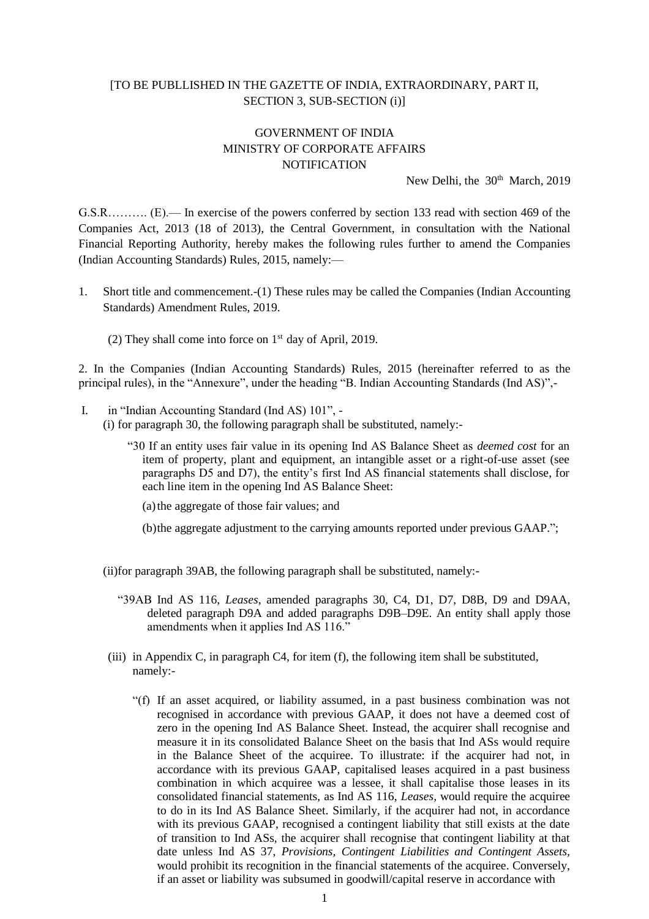### [TO BE PUBLLISHED IN THE GAZETTE OF INDIA, EXTRAORDINARY, PART II, SECTION 3, SUB-SECTION (i)]

## GOVERNMENT OF INDIA MINISTRY OF CORPORATE AFFAIRS **NOTIFICATION**

New Delhi, the  $30<sup>th</sup>$  March, 2019

G.S.R………. (E).— In exercise of the powers conferred by section 133 read with section 469 of the Companies Act, 2013 (18 of 2013), the Central Government, in consultation with the National Financial Reporting Authority, hereby makes the following rules further to amend the Companies (Indian Accounting Standards) Rules, 2015, namely:—

- 1. Short title and commencement.-(1) These rules may be called the Companies (Indian Accounting Standards) Amendment Rules, 2019.
	- (2) They shall come into force on  $1<sup>st</sup>$  day of April, 2019.

2. In the Companies (Indian Accounting Standards) Rules, 2015 (hereinafter referred to as the principal rules), in the "Annexure", under the heading "B. Indian Accounting Standards (Ind AS)",-

- I. in "Indian Accounting Standard (Ind AS) 101", (i) for paragraph 30, the following paragraph shall be substituted, namely:-
	- "30 If an entity uses fair value in its opening Ind AS Balance Sheet as *deemed cost* for an item of property, plant and equipment, an intangible asset or a right-of-use asset (see paragraphs D5 and D7), the entity's first Ind AS financial statements shall disclose, for each line item in the opening Ind AS Balance Sheet:
		- (a)the aggregate of those fair values; and
		- (b)the aggregate adjustment to the carrying amounts reported under previous GAAP.";

(ii)for paragraph 39AB, the following paragraph shall be substituted, namely:-

- "39AB Ind AS 116, *Leases*, amended paragraphs 30, C4, D1, D7, D8B, D9 and D9AA, deleted paragraph D9A and added paragraphs D9B–D9E. An entity shall apply those amendments when it applies Ind AS 116."
- (iii) in Appendix C, in paragraph C4, for item (f), the following item shall be substituted, namely:-
	- "(f) If an asset acquired, or liability assumed, in a past business combination was not recognised in accordance with previous GAAP, it does not have a deemed cost of zero in the opening Ind AS Balance Sheet. Instead, the acquirer shall recognise and measure it in its consolidated Balance Sheet on the basis that Ind ASs would require in the Balance Sheet of the acquiree. To illustrate: if the acquirer had not, in accordance with its previous GAAP, capitalised leases acquired in a past business combination in which acquiree was a lessee, it shall capitalise those leases in its consolidated financial statements, as Ind AS 116, *Leases,* would require the acquiree to do in its Ind AS Balance Sheet. Similarly, if the acquirer had not, in accordance with its previous GAAP, recognised a contingent liability that still exists at the date of transition to Ind ASs, the acquirer shall recognise that contingent liability at that date unless Ind AS 37, *Provisions, Contingent Liabilities and Contingent Assets,*  would prohibit its recognition in the financial statements of the acquiree. Conversely, if an asset or liability was subsumed in goodwill/capital reserve in accordance with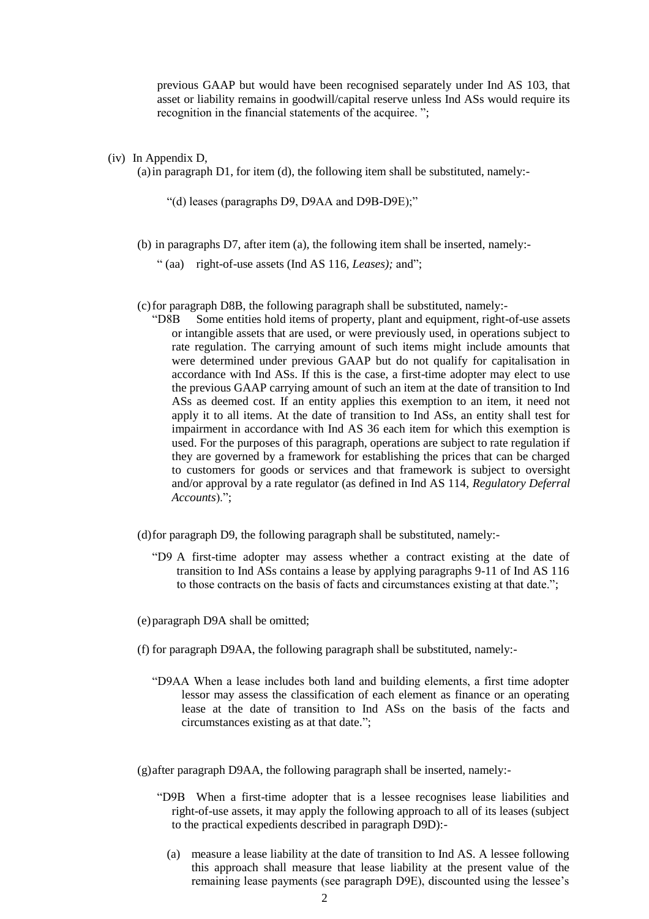previous GAAP but would have been recognised separately under Ind AS 103, that asset or liability remains in goodwill/capital reserve unless Ind ASs would require its recognition in the financial statements of the acquiree. ";

#### (iv) In Appendix D,

(a)in paragraph D1, for item (d), the following item shall be substituted, namely:-

"(d) leases (paragraphs D9, D9AA and D9B-D9E);"

- (b) in paragraphs D7, after item (a), the following item shall be inserted, namely:-
	- " (aa) right-of-use assets (Ind AS 116, *Leases);* and";

(c) for paragraph D8B, the following paragraph shall be substituted, namely:-<br>"D8B Some entities hold items of property, plant and equipment, right-

Some entities hold items of property, plant and equipment, right-of-use assets or intangible assets that are used, or were previously used, in operations subject to rate regulation. The carrying amount of such items might include amounts that were determined under previous GAAP but do not qualify for capitalisation in accordance with Ind ASs. If this is the case, a first-time adopter may elect to use the previous GAAP carrying amount of such an item at the date of transition to Ind ASs as deemed cost. If an entity applies this exemption to an item, it need not apply it to all items. At the date of transition to Ind ASs, an entity shall test for impairment in accordance with Ind AS 36 each item for which this exemption is used. For the purposes of this paragraph, operations are subject to rate regulation if they are governed by a framework for establishing the prices that can be charged to customers for goods or services and that framework is subject to oversight and/or approval by a rate regulator (as defined in Ind AS 114, *Regulatory Deferral Accounts*).";

(d)for paragraph D9, the following paragraph shall be substituted, namely:-

"D9 A first-time adopter may assess whether a contract existing at the date of transition to Ind ASs contains a lease by applying paragraphs 9-11 of Ind AS 116 to those contracts on the basis of facts and circumstances existing at that date.";

(e)paragraph D9A shall be omitted;

- (f) for paragraph D9AA, the following paragraph shall be substituted, namely:-
	- "D9AA When a lease includes both land and building elements, a first time adopter lessor may assess the classification of each element as finance or an operating lease at the date of transition to Ind ASs on the basis of the facts and circumstances existing as at that date.";

(g)after paragraph D9AA, the following paragraph shall be inserted, namely:-

- "D9B When a first-time adopter that is a lessee recognises lease liabilities and right-of-use assets, it may apply the following approach to all of its leases (subject to the practical expedients described in paragraph D9D):-
	- (a) measure a lease liability at the date of transition to Ind AS. A lessee following this approach shall measure that lease liability at the present value of the remaining lease payments (see paragraph D9E), discounted using the lessee's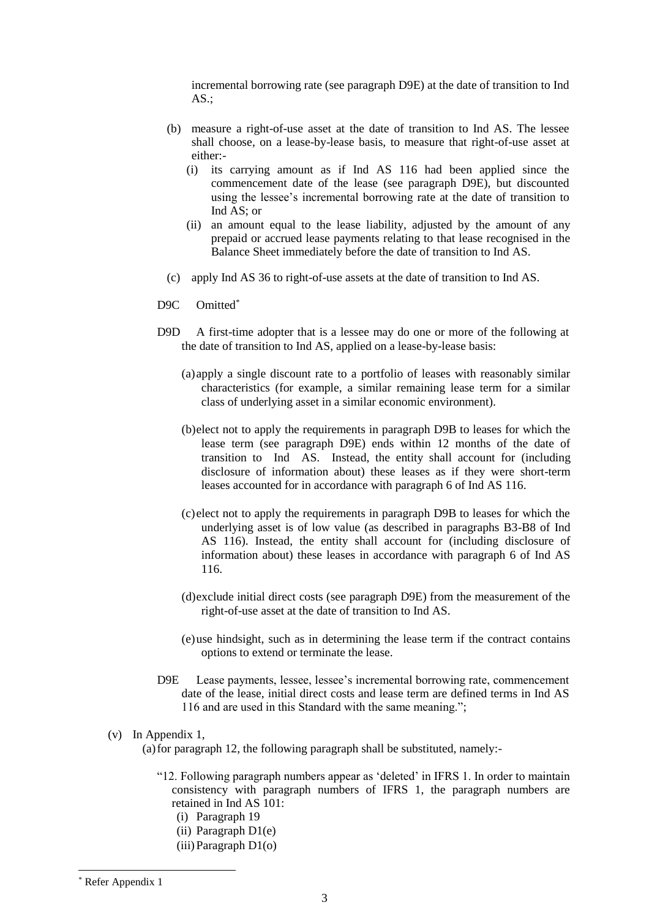incremental borrowing rate (see paragraph D9E) at the date of transition to Ind AS.;

- (b) measure a right-of-use asset at the date of transition to Ind AS. The lessee shall choose, on a lease-by-lease basis, to measure that right-of-use asset at either:-
	- (i) its carrying amount as if Ind AS 116 had been applied since the commencement date of the lease (see paragraph D9E), but discounted using the lessee's incremental borrowing rate at the date of transition to Ind AS; or
	- (ii) an amount equal to the lease liability, adjusted by the amount of any prepaid or accrued lease payments relating to that lease recognised in the Balance Sheet immediately before the date of transition to Ind AS.
- (c) apply Ind AS 36 to right-of-use assets at the date of transition to Ind AS.
- D<sub>9C</sub> Omitted<sup>\*</sup>
- D9D A first-time adopter that is a lessee may do one or more of the following at the date of transition to Ind AS, applied on a lease-by-lease basis:
	- (a)apply a single discount rate to a portfolio of leases with reasonably similar characteristics (for example, a similar remaining lease term for a similar class of underlying asset in a similar economic environment).
	- (b)elect not to apply the requirements in paragraph D9B to leases for which the lease term (see paragraph D9E) ends within 12 months of the date of transition to Ind AS. Instead, the entity shall account for (including disclosure of information about) these leases as if they were short-term leases accounted for in accordance with paragraph 6 of Ind AS 116.
	- (c)elect not to apply the requirements in paragraph D9B to leases for which the underlying asset is of low value (as described in paragraphs B3-B8 of Ind AS 116). Instead, the entity shall account for (including disclosure of information about) these leases in accordance with paragraph 6 of Ind AS 116.
	- (d)exclude initial direct costs (see paragraph D9E) from the measurement of the right-of-use asset at the date of transition to Ind AS.
	- (e)use hindsight, such as in determining the lease term if the contract contains options to extend or terminate the lease.
- D9E Lease payments, lessee, lessee's incremental borrowing rate, commencement date of the lease, initial direct costs and lease term are defined terms in Ind AS 116 and are used in this Standard with the same meaning.";
- (v) In Appendix 1,

(a)for paragraph 12, the following paragraph shall be substituted, namely:-

- "12. Following paragraph numbers appear as 'deleted' in IFRS 1. In order to maintain consistency with paragraph numbers of IFRS 1, the paragraph numbers are retained in Ind AS 101:
	- (i) Paragraph 19
	- (ii) Paragraph D1(e)
	- (iii)Paragraph D1(o)

 $\overline{a}$ 

<sup>\*</sup> Refer Appendix 1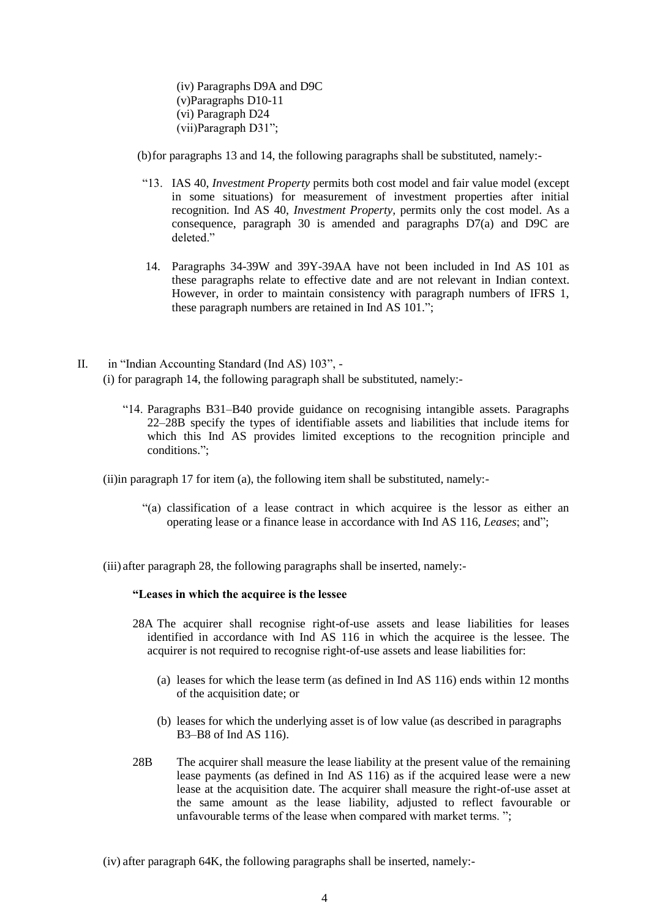(iv) Paragraphs D9A and D9C (v)Paragraphs D10-11 (vi) Paragraph D24 (vii)Paragraph D31";

(b)for paragraphs 13 and 14, the following paragraphs shall be substituted, namely:-

- "13. IAS 40, *Investment Property* permits both cost model and fair value model (except in some situations) for measurement of investment properties after initial recognition. Ind AS 40, *Investment Property,* permits only the cost model. As a consequence, paragraph 30 is amended and paragraphs D7(a) and D9C are deleted."
- 14. Paragraphs 34-39W and 39Y-39AA have not been included in Ind AS 101 as these paragraphs relate to effective date and are not relevant in Indian context. However, in order to maintain consistency with paragraph numbers of IFRS 1, these paragraph numbers are retained in Ind AS 101.";
- II. in "Indian Accounting Standard (Ind AS) 103", (i) for paragraph 14, the following paragraph shall be substituted, namely:-
	- "14. Paragraphs B31–B40 provide guidance on recognising intangible assets. Paragraphs 22–28B specify the types of identifiable assets and liabilities that include items for which this Ind AS provides limited exceptions to the recognition principle and conditions.";

(ii)in paragraph 17 for item (a), the following item shall be substituted, namely:-

"(a) classification of a lease contract in which acquiree is the lessor as either an operating lease or a finance lease in accordance with Ind AS 116, *Leases*; and";

(iii) after paragraph 28, the following paragraphs shall be inserted, namely:-

### **"Leases in which the acquiree is the lessee**

- 28A The acquirer shall recognise right-of-use assets and lease liabilities for leases identified in accordance with Ind AS 116 in which the acquiree is the lessee. The acquirer is not required to recognise right-of-use assets and lease liabilities for:
	- (a) leases for which the lease term (as defined in Ind AS 116) ends within 12 months of the acquisition date; or
	- (b) leases for which the underlying asset is of low value (as described in paragraphs B3–B8 of Ind AS 116).
- 28B The acquirer shall measure the lease liability at the present value of the remaining lease payments (as defined in Ind AS 116) as if the acquired lease were a new lease at the acquisition date. The acquirer shall measure the right-of-use asset at the same amount as the lease liability, adjusted to reflect favourable or unfavourable terms of the lease when compared with market terms. ";

(iv) after paragraph 64K, the following paragraphs shall be inserted, namely:-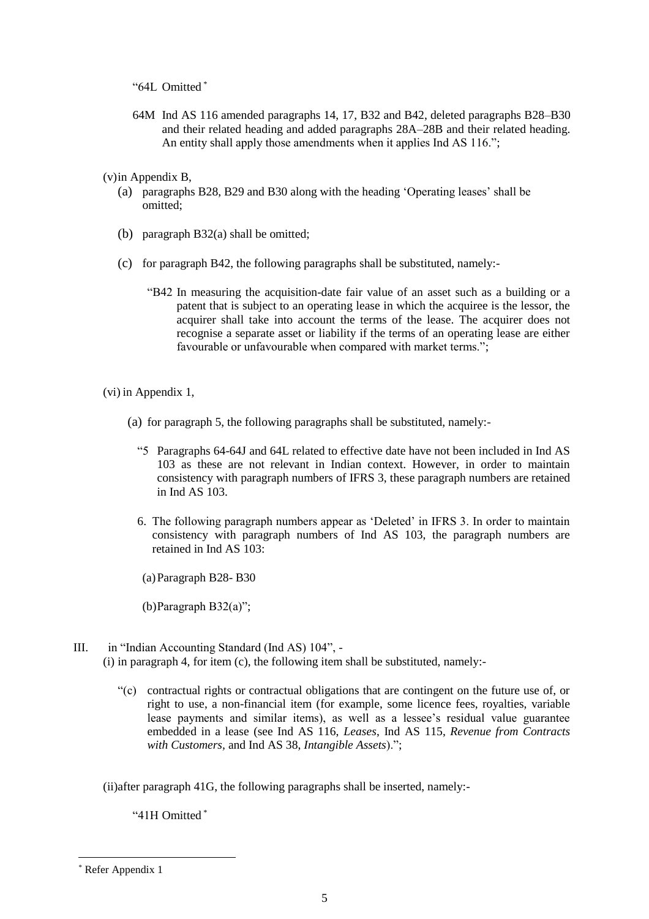"64L Omitted \*

64M Ind AS 116 amended paragraphs 14, 17, B32 and B42, deleted paragraphs B28–B30 and their related heading and added paragraphs 28A–28B and their related heading. An entity shall apply those amendments when it applies Ind AS 116.":

(v)in Appendix B,

- (a) paragraphs B28, B29 and B30 along with the heading 'Operating leases' shall be omitted;
- (b) paragraph B32(a) shall be omitted;
- (c) for paragraph B42, the following paragraphs shall be substituted, namely:-
	- "B42 In measuring the acquisition-date fair value of an asset such as a building or a patent that is subject to an operating lease in which the acquiree is the lessor, the acquirer shall take into account the terms of the lease. The acquirer does not recognise a separate asset or liability if the terms of an operating lease are either favourable or unfavourable when compared with market terms.";

(vi) in Appendix 1,

- (a) for paragraph 5, the following paragraphs shall be substituted, namely:-
	- "5 Paragraphs 64-64J and 64L related to effective date have not been included in Ind AS 103 as these are not relevant in Indian context. However, in order to maintain consistency with paragraph numbers of IFRS 3, these paragraph numbers are retained in Ind AS 103.
	- 6. The following paragraph numbers appear as 'Deleted' in IFRS 3. In order to maintain consistency with paragraph numbers of Ind AS 103, the paragraph numbers are retained in Ind AS 103:
	- (a)Paragraph B28- B30

(b) Paragraph  $B32(a)$ ";

- III. in "Indian Accounting Standard (Ind AS) 104", (i) in paragraph 4, for item (c), the following item shall be substituted, namely:-
	- "(c) contractual rights or contractual obligations that are contingent on the future use of, or right to use, a non-financial item (for example, some licence fees, royalties, variable lease payments and similar items), as well as a lessee's residual value guarantee embedded in a lease (see Ind AS 116, *Leases*, Ind AS 115, *Revenue from Contracts with Customers,* and Ind AS 38, *Intangible Assets*).";

(ii)after paragraph 41G, the following paragraphs shall be inserted, namely:-

"41H Omitted \*

<sup>\*</sup> Refer Appendix 1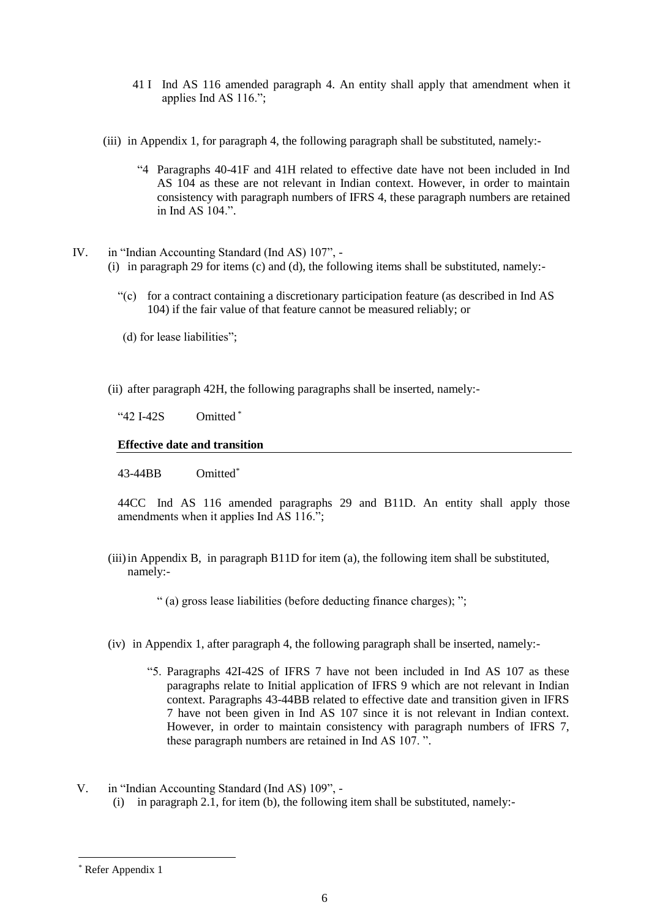- 41 I Ind AS 116 amended paragraph 4. An entity shall apply that amendment when it applies Ind AS 116.";
- (iii) in Appendix 1, for paragraph 4, the following paragraph shall be substituted, namely:-
	- "4 Paragraphs 40-41F and 41H related to effective date have not been included in Ind AS 104 as these are not relevant in Indian context. However, in order to maintain consistency with paragraph numbers of IFRS 4, these paragraph numbers are retained in Ind AS 104.".
- IV. in "Indian Accounting Standard (Ind AS) 107", (i) in paragraph 29 for items (c) and (d), the following items shall be substituted, namely:-
	- "(c) for a contract containing a discretionary participation feature (as described in Ind AS 104) if the fair value of that feature cannot be measured reliably; or
	- (d) for lease liabilities";
	- (ii) after paragraph 42H, the following paragraphs shall be inserted, namely:-

"42 I-42S Omitted \*

### **Effective date and transition**

43-44BB Omitted\*

44CC Ind AS 116 amended paragraphs 29 and B11D. An entity shall apply those amendments when it applies Ind AS 116.";

- (iii)in Appendix B, in paragraph B11D for item (a), the following item shall be substituted, namely:-
	- " (a) gross lease liabilities (before deducting finance charges); ";
- (iv) in Appendix 1, after paragraph 4, the following paragraph shall be inserted, namely:-
	- "5. Paragraphs 42I-42S of IFRS 7 have not been included in Ind AS 107 as these paragraphs relate to Initial application of IFRS 9 which are not relevant in Indian context. Paragraphs 43-44BB related to effective date and transition given in IFRS 7 have not been given in Ind AS 107 since it is not relevant in Indian context. However, in order to maintain consistency with paragraph numbers of IFRS 7, these paragraph numbers are retained in Ind AS 107. ".
- V. in "Indian Accounting Standard (Ind AS) 109",
	- (i) in paragraph 2.1, for item (b), the following item shall be substituted, namely:-

<sup>\*</sup> Refer Appendix 1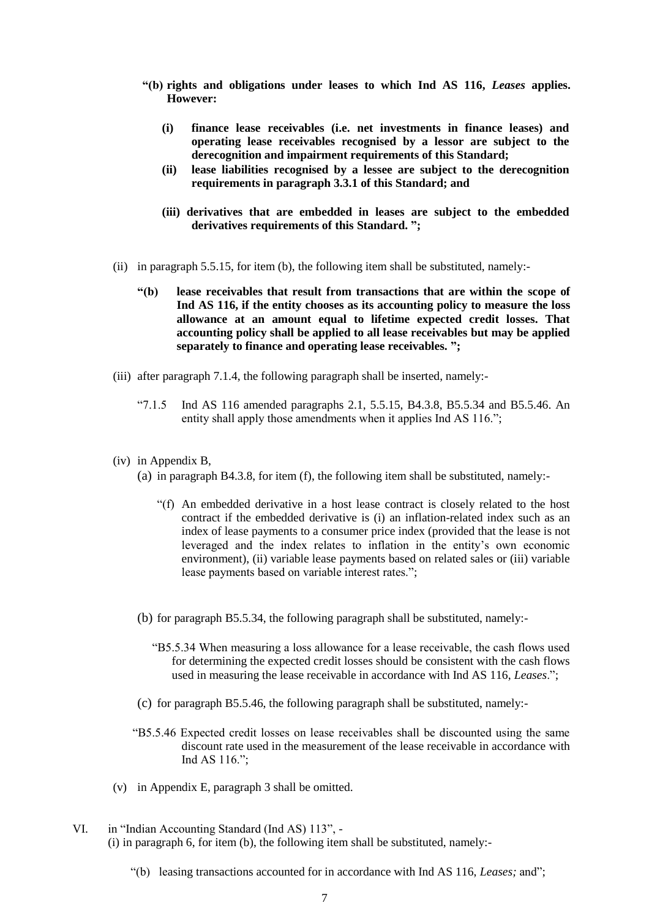- **"(b) rights and obligations under leases to which Ind AS 116,** *Leases* **applies. However:**
	- **(i) finance lease receivables (i.e. net investments in finance leases) and operating lease receivables recognised by a lessor are subject to the derecognition and impairment requirements of this Standard;**
	- **(ii) lease liabilities recognised by a lessee are subject to the derecognition requirements in paragraph 3.3.1 of this Standard; and**
	- **(iii) derivatives that are embedded in leases are subject to the embedded derivatives requirements of this Standard. ";**
- (ii) in paragraph 5.5.15, for item (b), the following item shall be substituted, namely:-
	- **"(b) lease receivables that result from transactions that are within the scope of Ind AS 116, if the entity chooses as its accounting policy to measure the loss allowance at an amount equal to lifetime expected credit losses. That accounting policy shall be applied to all lease receivables but may be applied separately to finance and operating lease receivables. ";**
- (iii) after paragraph 7.1.4, the following paragraph shall be inserted, namely:-
	- "7.1.5 Ind AS 116 amended paragraphs 2.1, 5.5.15, B4.3.8, B5.5.34 and B5.5.46. An entity shall apply those amendments when it applies Ind AS 116.";
- (iv) in Appendix B,
	- (a) in paragraph B4.3.8, for item (f), the following item shall be substituted, namely:-
		- "(f) An embedded derivative in a host lease contract is closely related to the host contract if the embedded derivative is (i) an inflation-related index such as an index of lease payments to a consumer price index (provided that the lease is not leveraged and the index relates to inflation in the entity's own economic environment), (ii) variable lease payments based on related sales or (iii) variable lease payments based on variable interest rates.";
	- (b) for paragraph B5.5.34, the following paragraph shall be substituted, namely:-
		- "B5.5.34 When measuring a loss allowance for a lease receivable, the cash flows used for determining the expected credit losses should be consistent with the cash flows used in measuring the lease receivable in accordance with Ind AS 116, *Leases*.";
	- (c) for paragraph B5.5.46, the following paragraph shall be substituted, namely:-
	- "B5.5.46 Expected credit losses on lease receivables shall be discounted using the same discount rate used in the measurement of the lease receivable in accordance with Ind AS 116.";
- (v) in Appendix E, paragraph 3 shall be omitted.
- VI. in "Indian Accounting Standard (Ind AS) 113", (i) in paragraph 6, for item (b), the following item shall be substituted, namely:-
	- "(b) leasing transactions accounted for in accordance with Ind AS 116, *Leases;* and";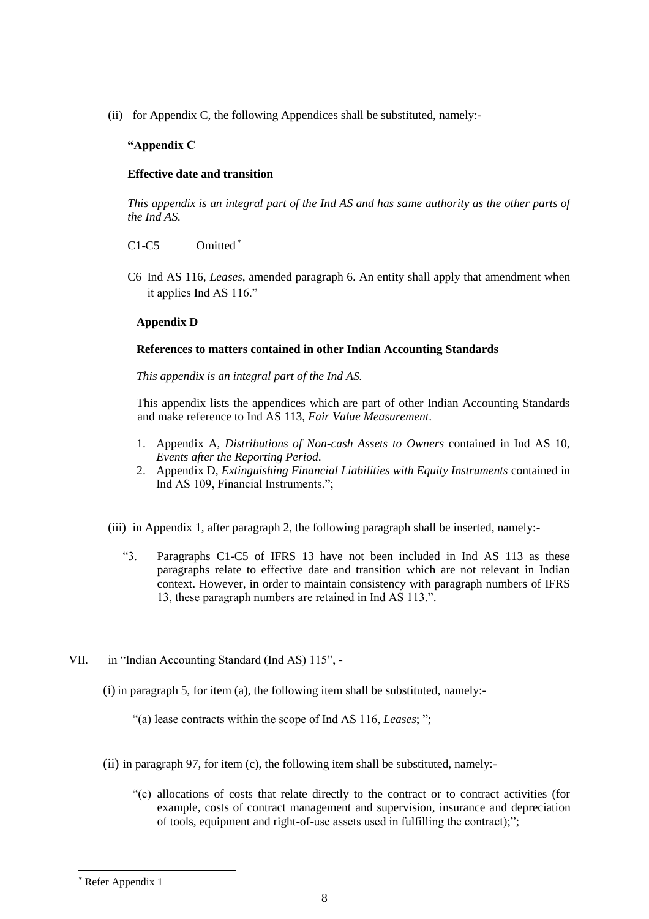(ii) for Appendix C, the following Appendices shall be substituted, namely:-

### **"Appendix C**

### **Effective date and transition**

*This appendix is an integral part of the Ind AS and has same authority as the other parts of the Ind AS.*

- C1-C5 Omitted \*
- C6 Ind AS 116, *Leases*, amended paragraph 6. An entity shall apply that amendment when it applies Ind AS 116."

## **Appendix D**

### **References to matters contained in other Indian Accounting Standards**

*This appendix is an integral part of the Ind AS.*

This appendix lists the appendices which are part of other Indian Accounting Standards and make reference to Ind AS 113, *Fair Value Measurement*.

- 1. Appendix A, *Distributions of Non-cash Assets to Owners* contained in Ind AS 10, *Events after the Reporting Period*.
- 2. Appendix D, *Extinguishing Financial Liabilities with Equity Instruments* contained in Ind AS 109, Financial Instruments.";
- (iii) in Appendix 1, after paragraph 2, the following paragraph shall be inserted, namely:-
	- "3. Paragraphs C1-C5 of IFRS 13 have not been included in Ind AS 113 as these paragraphs relate to effective date and transition which are not relevant in Indian context. However, in order to maintain consistency with paragraph numbers of IFRS 13, these paragraph numbers are retained in Ind AS 113.".
- VII. in "Indian Accounting Standard (Ind AS) 115",
	- (i) in paragraph 5, for item (a), the following item shall be substituted, namely:-
		- "(a) lease contracts within the scope of Ind AS 116, *Leases*; ";
	- (ii) in paragraph 97, for item (c), the following item shall be substituted, namely:-
		- "(c) allocations of costs that relate directly to the contract or to contract activities (for example, costs of contract management and supervision, insurance and depreciation of tools, equipment and right-of-use assets used in fulfilling the contract);";

 $\overline{a}$ 

<sup>\*</sup> Refer Appendix 1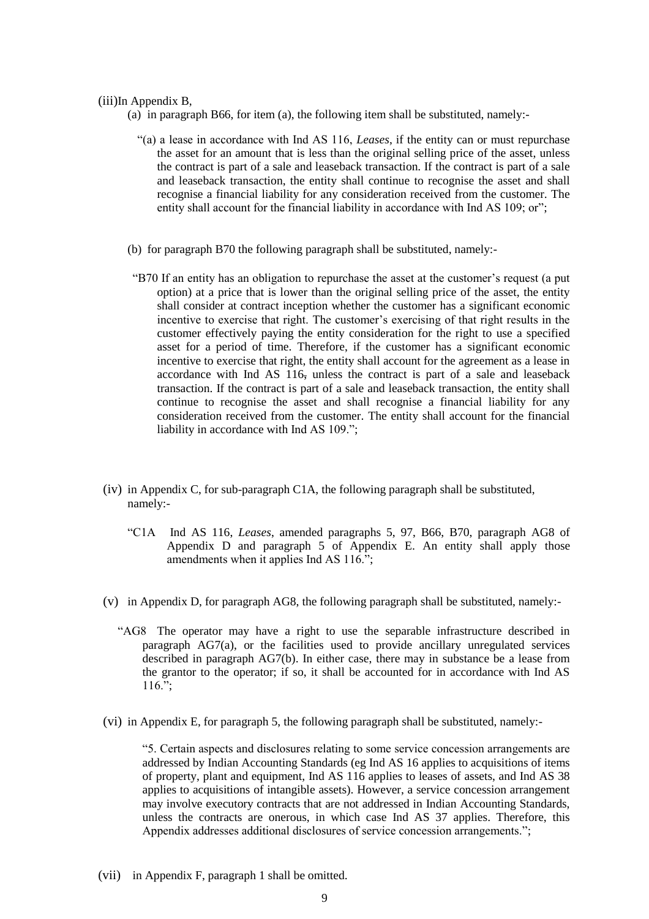### (iii)In Appendix B,

- (a) in paragraph B66, for item (a), the following item shall be substituted, namely:-
	- "(a) a lease in accordance with Ind AS 116, *Leases*, if the entity can or must repurchase the asset for an amount that is less than the original selling price of the asset, unless the contract is part of a sale and leaseback transaction. If the contract is part of a sale and leaseback transaction, the entity shall continue to recognise the asset and shall recognise a financial liability for any consideration received from the customer. The entity shall account for the financial liability in accordance with Ind AS 109; or";
- (b) for paragraph B70 the following paragraph shall be substituted, namely:-
- "B70 If an entity has an obligation to repurchase the asset at the customer's request (a put option) at a price that is lower than the original selling price of the asset, the entity shall consider at contract inception whether the customer has a significant economic incentive to exercise that right. The customer's exercising of that right results in the customer effectively paying the entity consideration for the right to use a specified asset for a period of time. Therefore, if the customer has a significant economic incentive to exercise that right, the entity shall account for the agreement as a lease in accordance with Ind AS 116, unless the contract is part of a sale and leaseback transaction. If the contract is part of a sale and leaseback transaction, the entity shall continue to recognise the asset and shall recognise a financial liability for any consideration received from the customer. The entity shall account for the financial liability in accordance with Ind AS 109.";
- (iv) in Appendix C, for sub-paragraph C1A, the following paragraph shall be substituted, namely:-
	- "C1A Ind AS 116, *Leases*, amended paragraphs 5, 97, B66, B70, paragraph AG8 of Appendix D and paragraph 5 of Appendix E. An entity shall apply those amendments when it applies Ind AS 116.";
- (v) in Appendix D, for paragraph AG8, the following paragraph shall be substituted, namely:-
	- "AG8 The operator may have a right to use the separable infrastructure described in paragraph AG7(a), or the facilities used to provide ancillary unregulated services described in paragraph AG7(b). In either case, there may in substance be a lease from the grantor to the operator; if so, it shall be accounted for in accordance with Ind AS  $116."$ ;
- (vi) in Appendix E, for paragraph 5, the following paragraph shall be substituted, namely:-

"5. Certain aspects and disclosures relating to some service concession arrangements are addressed by Indian Accounting Standards (eg Ind AS 16 applies to acquisitions of items of property, plant and equipment, Ind AS 116 applies to leases of assets, and Ind AS 38 applies to acquisitions of intangible assets). However, a service concession arrangement may involve executory contracts that are not addressed in Indian Accounting Standards, unless the contracts are onerous, in which case Ind AS 37 applies. Therefore, this Appendix addresses additional disclosures of service concession arrangements.";

(vii) in Appendix F, paragraph 1 shall be omitted.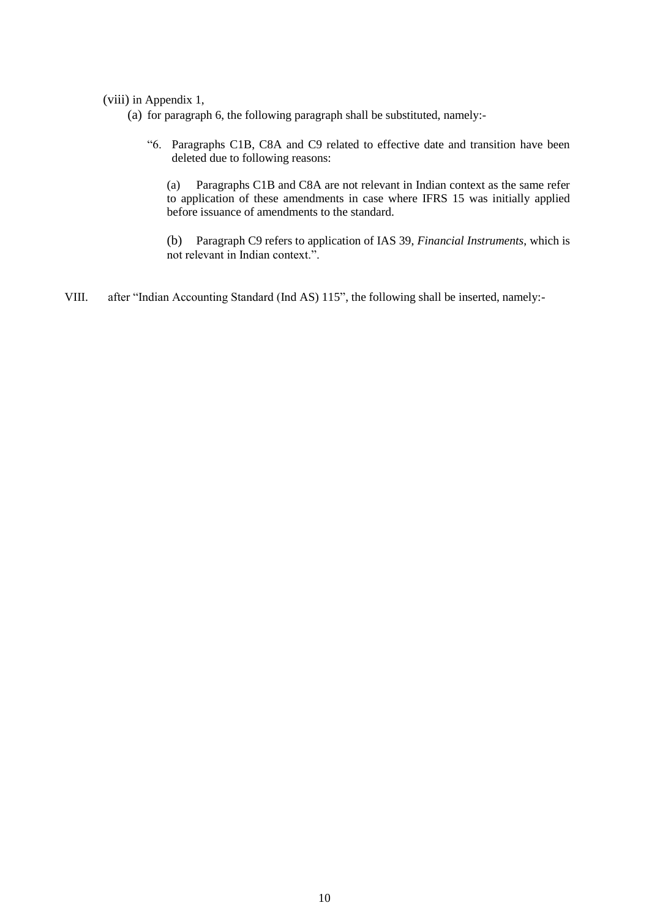### (viii) in Appendix 1,

- (a) for paragraph 6, the following paragraph shall be substituted, namely:-
	- "6. Paragraphs C1B, C8A and C9 related to effective date and transition have been deleted due to following reasons:

(a) Paragraphs C1B and C8A are not relevant in Indian context as the same refer to application of these amendments in case where IFRS 15 was initially applied before issuance of amendments to the standard.

(b) Paragraph C9 refers to application of IAS 39, *Financial Instruments*, which is not relevant in Indian context.".

VIII. after "Indian Accounting Standard (Ind AS) 115", the following shall be inserted, namely:-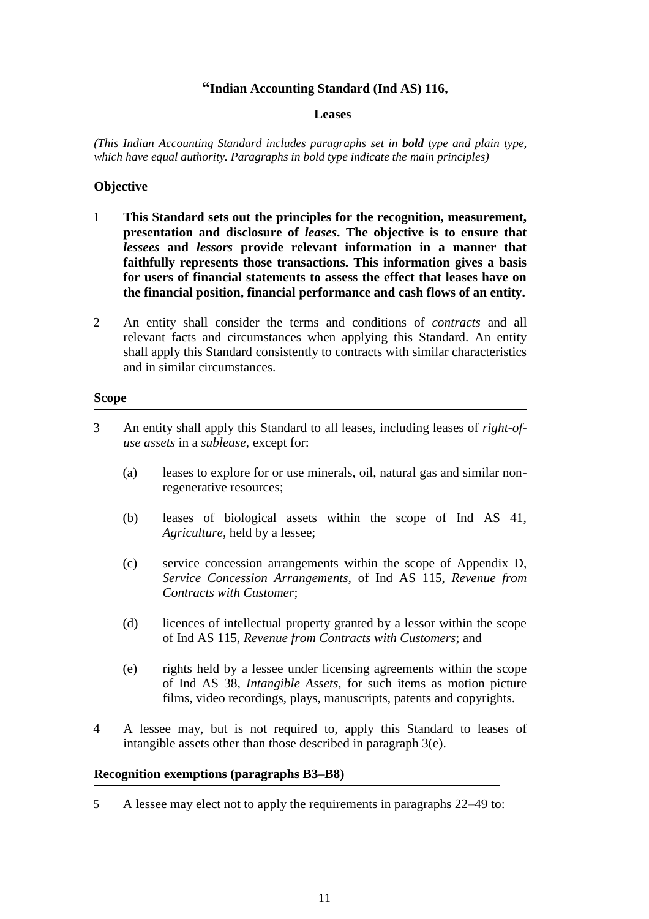## **"Indian Accounting Standard (Ind AS) 116,**

### **Leases**

*(This Indian Accounting Standard includes paragraphs set in bold type and plain type, which have equal authority. Paragraphs in bold type indicate the main principles)*

### **Objective**

- 1 **This Standard sets out the principles for the recognition, measurement, presentation and disclosure of** *leases***. The objective is to ensure that**  *lessees* **and** *lessors* **provide relevant information in a manner that faithfully represents those transactions. This information gives a basis for users of financial statements to assess the effect that leases have on the financial position, financial performance and cash flows of an entity.**
- 2 An entity shall consider the terms and conditions of *contracts* and all relevant facts and circumstances when applying this Standard. An entity shall apply this Standard consistently to contracts with similar characteristics and in similar circumstances.

### **Scope**

- 3 An entity shall apply this Standard to all leases, including leases of *right-ofuse assets* in a *sublease*, except for:
	- (a) leases to explore for or use minerals, oil, natural gas and similar nonregenerative resources;
	- (b) leases of biological assets within the scope of Ind AS 41, *Agriculture,* held by a lessee;
	- (c) service concession arrangements within the scope of Appendix D, *Service Concession Arrangements,* of Ind AS 115, *Revenue from Contracts with Customer*;
	- (d) licences of intellectual property granted by a lessor within the scope of Ind AS 115, *Revenue from Contracts with Customers*; and
	- (e) rights held by a lessee under licensing agreements within the scope of Ind AS 38, *Intangible Assets,* for such items as motion picture films, video recordings, plays, manuscripts, patents and copyrights.
- 4 A lessee may, but is not required to, apply this Standard to leases of intangible assets other than those described in paragraph 3(e).

## **Recognition exemptions (paragraphs B3–B8)**

5 A lessee may elect not to apply the requirements in paragraphs 22–49 to: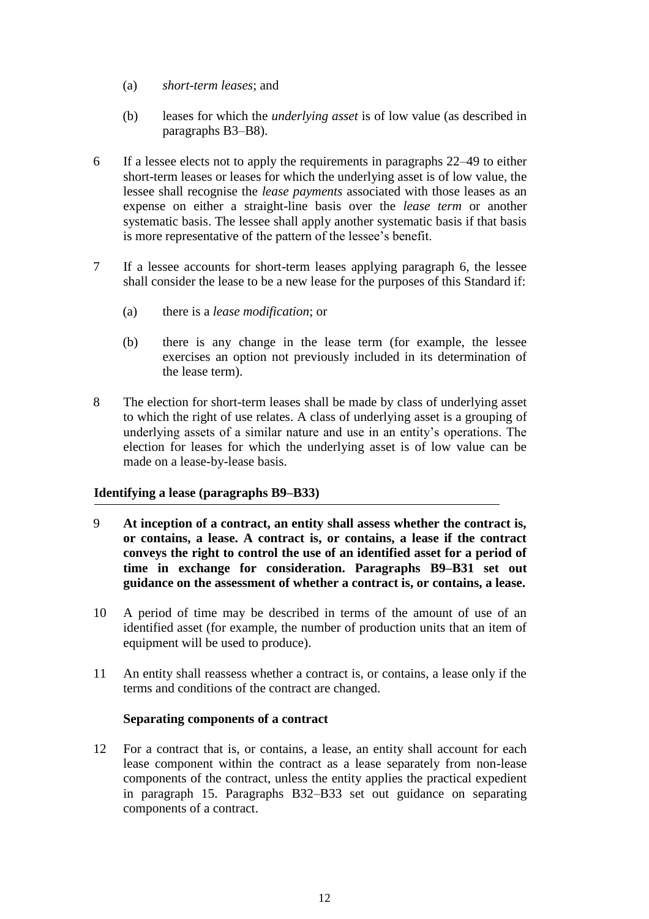- (a) *short-term leases*; and
- (b) leases for which the *underlying asset* is of low value (as described in paragraphs B3–B8).
- 6 If a lessee elects not to apply the requirements in paragraphs 22–49 to either short-term leases or leases for which the underlying asset is of low value, the lessee shall recognise the *lease payments* associated with those leases as an expense on either a straight-line basis over the *lease term* or another systematic basis. The lessee shall apply another systematic basis if that basis is more representative of the pattern of the lessee's benefit.
- 7 If a lessee accounts for short-term leases applying paragraph 6, the lessee shall consider the lease to be a new lease for the purposes of this Standard if:
	- (a) there is a *lease modification*; or
	- (b) there is any change in the lease term (for example, the lessee exercises an option not previously included in its determination of the lease term).
- 8 The election for short-term leases shall be made by class of underlying asset to which the right of use relates. A class of underlying asset is a grouping of underlying assets of a similar nature and use in an entity's operations. The election for leases for which the underlying asset is of low value can be made on a lease-by-lease basis.

# **Identifying a lease (paragraphs B9–B33)**

- 9 **At inception of a contract, an entity shall assess whether the contract is, or contains, a lease. A contract is, or contains, a lease if the contract conveys the right to control the use of an identified asset for a period of time in exchange for consideration. Paragraphs B9–B31 set out guidance on the assessment of whether a contract is, or contains, a lease.**
- 10 A period of time may be described in terms of the amount of use of an identified asset (for example, the number of production units that an item of equipment will be used to produce).
- 11 An entity shall reassess whether a contract is, or contains, a lease only if the terms and conditions of the contract are changed.

## **Separating components of a contract**

12 For a contract that is, or contains, a lease, an entity shall account for each lease component within the contract as a lease separately from non-lease components of the contract, unless the entity applies the practical expedient in paragraph 15. Paragraphs B32–B33 set out guidance on separating components of a contract.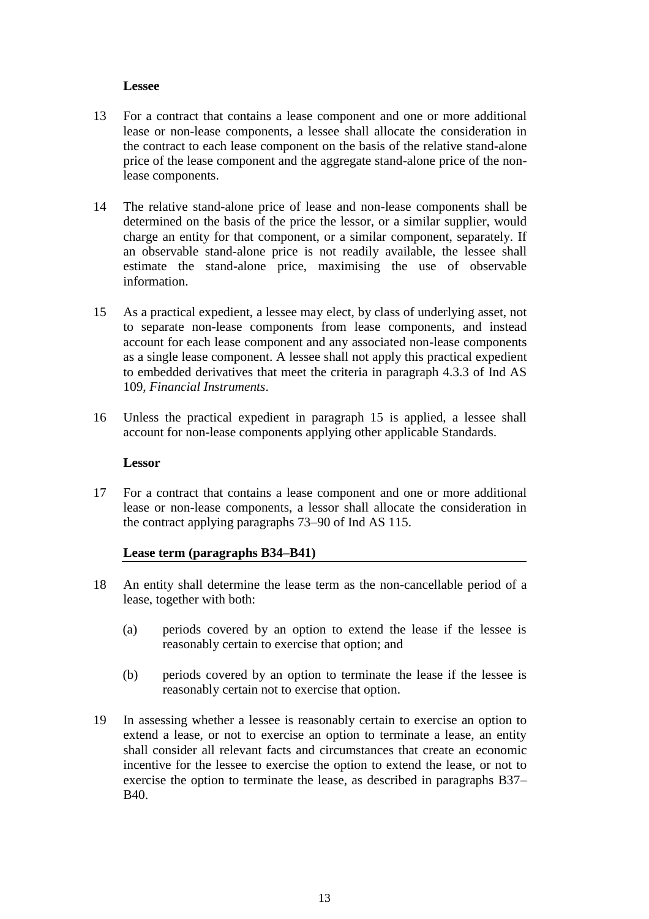## **Lessee**

- 13 For a contract that contains a lease component and one or more additional lease or non-lease components, a lessee shall allocate the consideration in the contract to each lease component on the basis of the relative stand-alone price of the lease component and the aggregate stand-alone price of the nonlease components.
- 14 The relative stand-alone price of lease and non-lease components shall be determined on the basis of the price the lessor, or a similar supplier, would charge an entity for that component, or a similar component, separately. If an observable stand-alone price is not readily available, the lessee shall estimate the stand-alone price, maximising the use of observable information.
- 15 As a practical expedient, a lessee may elect, by class of underlying asset, not to separate non-lease components from lease components, and instead account for each lease component and any associated non-lease components as a single lease component. A lessee shall not apply this practical expedient to embedded derivatives that meet the criteria in paragraph 4.3.3 of Ind AS 109, *Financial Instruments*.
- 16 Unless the practical expedient in paragraph 15 is applied, a lessee shall account for non-lease components applying other applicable Standards.

### **Lessor**

17 For a contract that contains a lease component and one or more additional lease or non-lease components, a lessor shall allocate the consideration in the contract applying paragraphs 73–90 of Ind AS 115.

## **Lease term (paragraphs B34–B41)**

- 18 An entity shall determine the lease term as the non-cancellable period of a lease, together with both:
	- (a) periods covered by an option to extend the lease if the lessee is reasonably certain to exercise that option; and
	- (b) periods covered by an option to terminate the lease if the lessee is reasonably certain not to exercise that option.
- 19 In assessing whether a lessee is reasonably certain to exercise an option to extend a lease, or not to exercise an option to terminate a lease, an entity shall consider all relevant facts and circumstances that create an economic incentive for the lessee to exercise the option to extend the lease, or not to exercise the option to terminate the lease, as described in paragraphs B37– B40.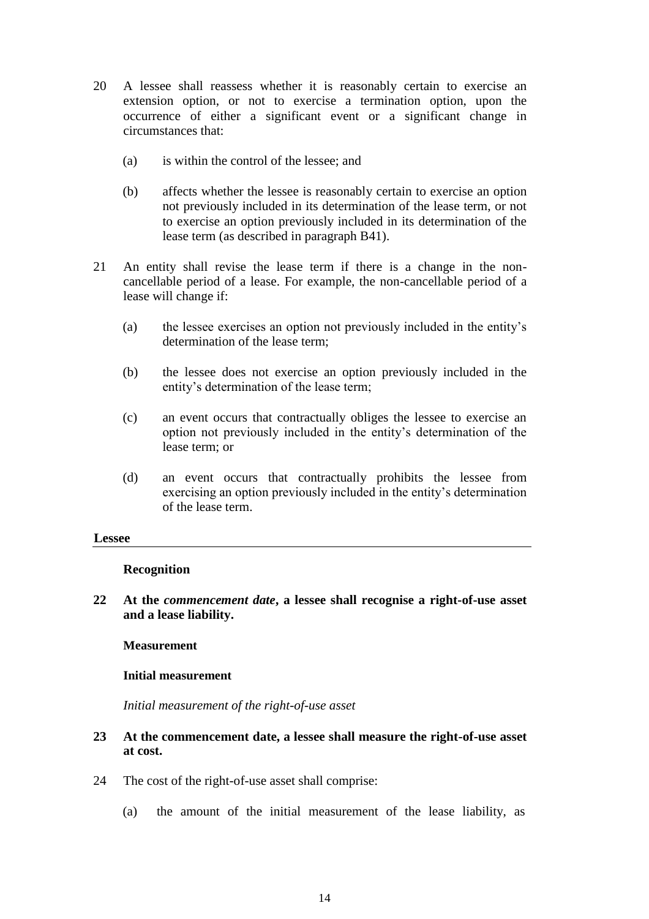- 20 A lessee shall reassess whether it is reasonably certain to exercise an extension option, or not to exercise a termination option, upon the occurrence of either a significant event or a significant change in circumstances that:
	- (a) is within the control of the lessee; and
	- (b) affects whether the lessee is reasonably certain to exercise an option not previously included in its determination of the lease term, or not to exercise an option previously included in its determination of the lease term (as described in paragraph B41).
- 21 An entity shall revise the lease term if there is a change in the noncancellable period of a lease. For example, the non-cancellable period of a lease will change if:
	- (a) the lessee exercises an option not previously included in the entity's determination of the lease term;
	- (b) the lessee does not exercise an option previously included in the entity's determination of the lease term;
	- (c) an event occurs that contractually obliges the lessee to exercise an option not previously included in the entity's determination of the lease term; or
	- (d) an event occurs that contractually prohibits the lessee from exercising an option previously included in the entity's determination of the lease term.

### **Lessee**

### **Recognition**

**22 At the** *commencement date***, a lessee shall recognise a right-of-use asset and a lease liability.**

## **Measurement**

### **Initial measurement**

*Initial measurement of the right-of-use asset*

## **23 At the commencement date, a lessee shall measure the right-of-use asset at cost.**

- 24 The cost of the right-of-use asset shall comprise:
	- (a) the amount of the initial measurement of the lease liability, as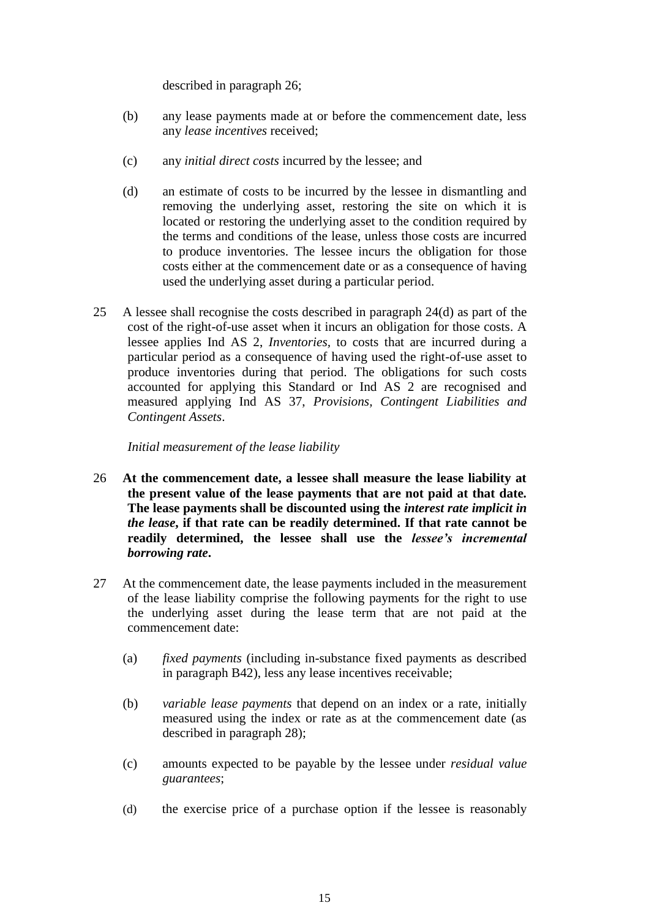described in paragraph 26;

- (b) any lease payments made at or before the commencement date, less any *lease incentives* received;
- (c) any *initial direct costs* incurred by the lessee; and
- (d) an estimate of costs to be incurred by the lessee in dismantling and removing the underlying asset, restoring the site on which it is located or restoring the underlying asset to the condition required by the terms and conditions of the lease, unless those costs are incurred to produce inventories. The lessee incurs the obligation for those costs either at the commencement date or as a consequence of having used the underlying asset during a particular period.
- 25 A lessee shall recognise the costs described in paragraph 24(d) as part of the cost of the right-of-use asset when it incurs an obligation for those costs. A lessee applies Ind AS 2, *Inventories,* to costs that are incurred during a particular period as a consequence of having used the right-of-use asset to produce inventories during that period. The obligations for such costs accounted for applying this Standard or Ind AS 2 are recognised and measured applying Ind AS 37, *Provisions, Contingent Liabilities and Contingent Assets*.

*Initial measurement of the lease liability*

- 26 **At the commencement date, a lessee shall measure the lease liability at the present value of the lease payments that are not paid at that date. The lease payments shall be discounted using the** *interest rate implicit in the lease***, if that rate can be readily determined. If that rate cannot be readily determined, the lessee shall use the** *lessee's incremental borrowing rate***.**
- 27 At the commencement date, the lease payments included in the measurement of the lease liability comprise the following payments for the right to use the underlying asset during the lease term that are not paid at the commencement date:
	- (a) *fixed payments* (including in-substance fixed payments as described in paragraph B42), less any lease incentives receivable;
	- (b) *variable lease payments* that depend on an index or a rate, initially measured using the index or rate as at the commencement date (as described in paragraph 28);
	- (c) amounts expected to be payable by the lessee under *residual value guarantees*;
	- (d) the exercise price of a purchase option if the lessee is reasonably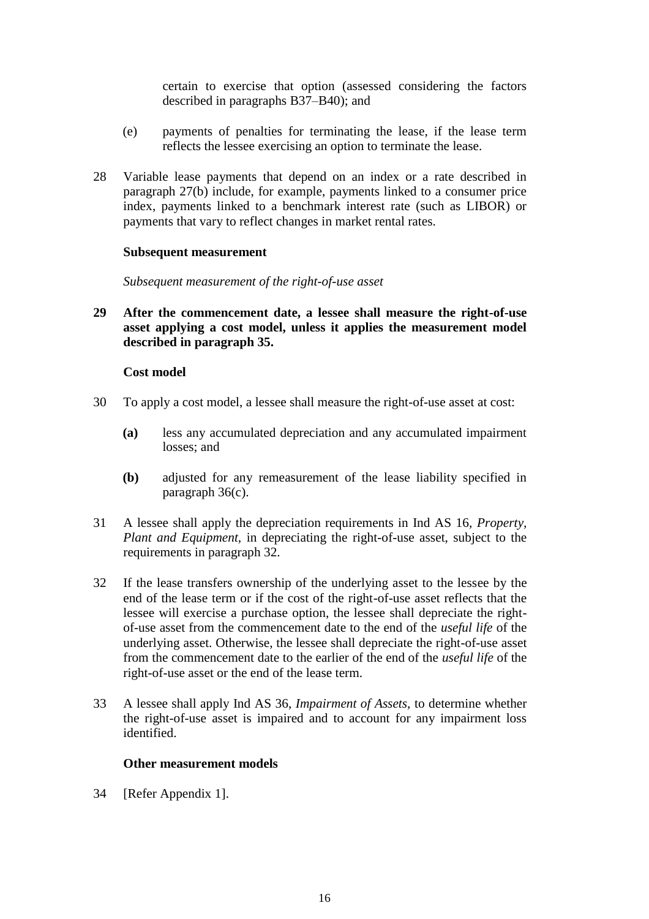certain to exercise that option (assessed considering the factors described in paragraphs B37–B40); and

- (e) payments of penalties for terminating the lease, if the lease term reflects the lessee exercising an option to terminate the lease.
- 28 Variable lease payments that depend on an index or a rate described in paragraph 27(b) include, for example, payments linked to a consumer price index, payments linked to a benchmark interest rate (such as LIBOR) or payments that vary to reflect changes in market rental rates.

### **Subsequent measurement**

### *Subsequent measurement of the right-of-use asset*

**29 After the commencement date, a lessee shall measure the right-of-use asset applying a cost model, unless it applies the measurement model described in paragraph 35.**

### **Cost model**

- 30 To apply a cost model, a lessee shall measure the right-of-use asset at cost:
	- **(a)** less any accumulated depreciation and any accumulated impairment losses; and
	- **(b)** adjusted for any remeasurement of the lease liability specified in paragraph 36(c).
- 31 A lessee shall apply the depreciation requirements in Ind AS 16, *Property, Plant and Equipment,* in depreciating the right-of-use asset, subject to the requirements in paragraph 32.
- 32 If the lease transfers ownership of the underlying asset to the lessee by the end of the lease term or if the cost of the right-of-use asset reflects that the lessee will exercise a purchase option, the lessee shall depreciate the rightof-use asset from the commencement date to the end of the *useful life* of the underlying asset. Otherwise, the lessee shall depreciate the right-of-use asset from the commencement date to the earlier of the end of the *useful life* of the right-of-use asset or the end of the lease term.
- 33 A lessee shall apply Ind AS 36, *Impairment of Assets,* to determine whether the right-of-use asset is impaired and to account for any impairment loss identified.

### **Other measurement models**

34 [Refer Appendix 1].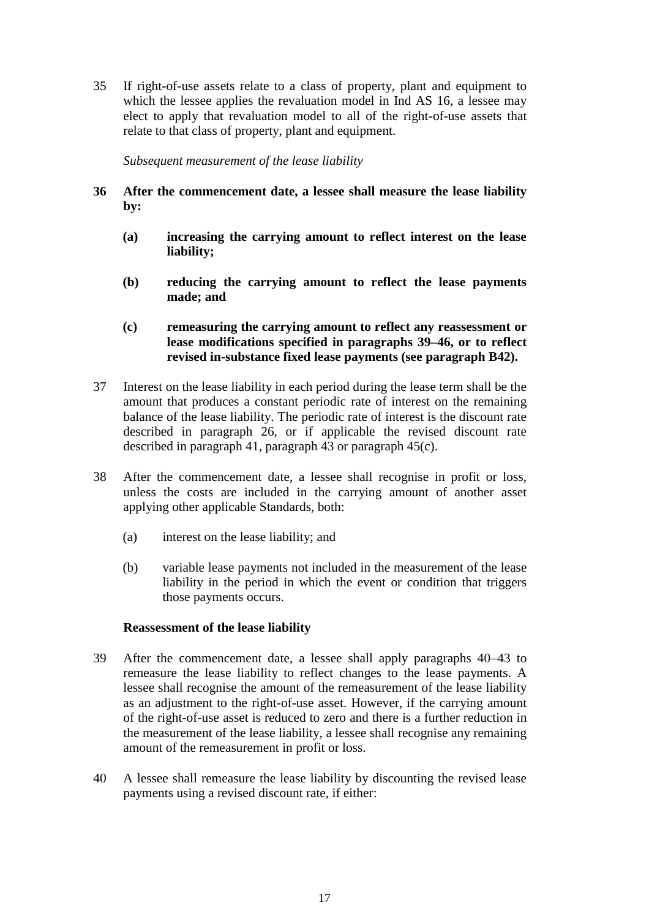35 If right-of-use assets relate to a class of property, plant and equipment to which the lessee applies the revaluation model in Ind AS 16, a lessee may elect to apply that revaluation model to all of the right-of-use assets that relate to that class of property, plant and equipment.

*Subsequent measurement of the lease liability*

- **36 After the commencement date, a lessee shall measure the lease liability by:**
	- **(a) increasing the carrying amount to reflect interest on the lease liability;**
	- **(b) reducing the carrying amount to reflect the lease payments made; and**
	- **(c) remeasuring the carrying amount to reflect any reassessment or lease modifications specified in paragraphs 39–46, or to reflect revised in-substance fixed lease payments (see paragraph B42).**
- 37 Interest on the lease liability in each period during the lease term shall be the amount that produces a constant periodic rate of interest on the remaining balance of the lease liability. The periodic rate of interest is the discount rate described in paragraph 26, or if applicable the revised discount rate described in paragraph 41, paragraph 43 or paragraph 45(c).
- 38 After the commencement date, a lessee shall recognise in profit or loss, unless the costs are included in the carrying amount of another asset applying other applicable Standards, both:
	- (a) interest on the lease liability; and
	- (b) variable lease payments not included in the measurement of the lease liability in the period in which the event or condition that triggers those payments occurs.

## **Reassessment of the lease liability**

- 39 After the commencement date, a lessee shall apply paragraphs 40–43 to remeasure the lease liability to reflect changes to the lease payments. A lessee shall recognise the amount of the remeasurement of the lease liability as an adjustment to the right-of-use asset. However, if the carrying amount of the right-of-use asset is reduced to zero and there is a further reduction in the measurement of the lease liability, a lessee shall recognise any remaining amount of the remeasurement in profit or loss.
- 40 A lessee shall remeasure the lease liability by discounting the revised lease payments using a revised discount rate, if either: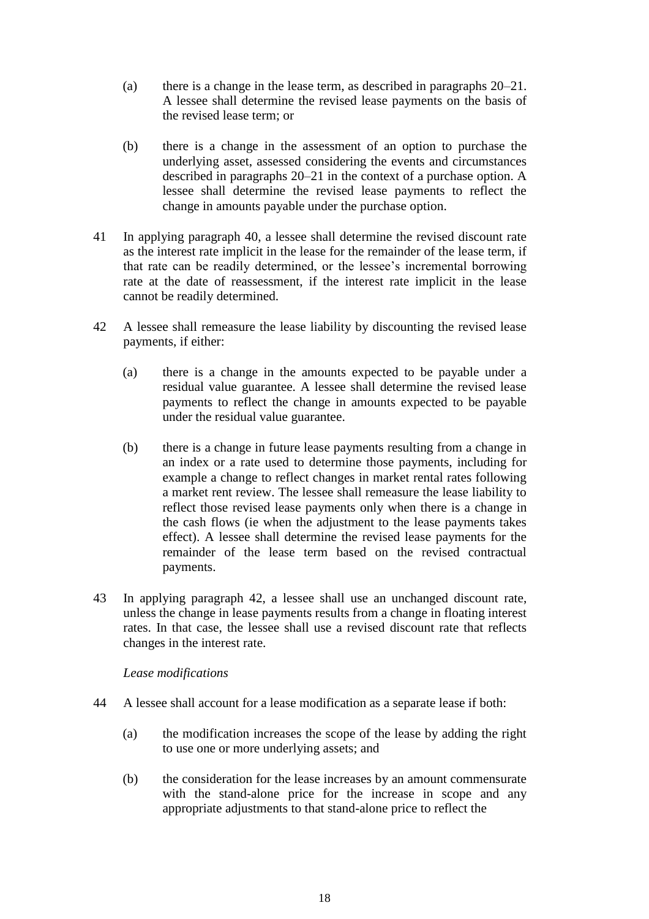- (a) there is a change in the lease term, as described in paragraphs 20–21. A lessee shall determine the revised lease payments on the basis of the revised lease term; or
- (b) there is a change in the assessment of an option to purchase the underlying asset, assessed considering the events and circumstances described in paragraphs 20–21 in the context of a purchase option. A lessee shall determine the revised lease payments to reflect the change in amounts payable under the purchase option.
- 41 In applying paragraph 40, a lessee shall determine the revised discount rate as the interest rate implicit in the lease for the remainder of the lease term, if that rate can be readily determined, or the lessee's incremental borrowing rate at the date of reassessment, if the interest rate implicit in the lease cannot be readily determined.
- 42 A lessee shall remeasure the lease liability by discounting the revised lease payments, if either:
	- (a) there is a change in the amounts expected to be payable under a residual value guarantee. A lessee shall determine the revised lease payments to reflect the change in amounts expected to be payable under the residual value guarantee.
	- (b) there is a change in future lease payments resulting from a change in an index or a rate used to determine those payments, including for example a change to reflect changes in market rental rates following a market rent review. The lessee shall remeasure the lease liability to reflect those revised lease payments only when there is a change in the cash flows (ie when the adjustment to the lease payments takes effect). A lessee shall determine the revised lease payments for the remainder of the lease term based on the revised contractual payments.
- 43 In applying paragraph 42, a lessee shall use an unchanged discount rate, unless the change in lease payments results from a change in floating interest rates. In that case, the lessee shall use a revised discount rate that reflects changes in the interest rate.

## *Lease modifications*

- 44 A lessee shall account for a lease modification as a separate lease if both:
	- (a) the modification increases the scope of the lease by adding the right to use one or more underlying assets; and
	- (b) the consideration for the lease increases by an amount commensurate with the stand-alone price for the increase in scope and any appropriate adjustments to that stand-alone price to reflect the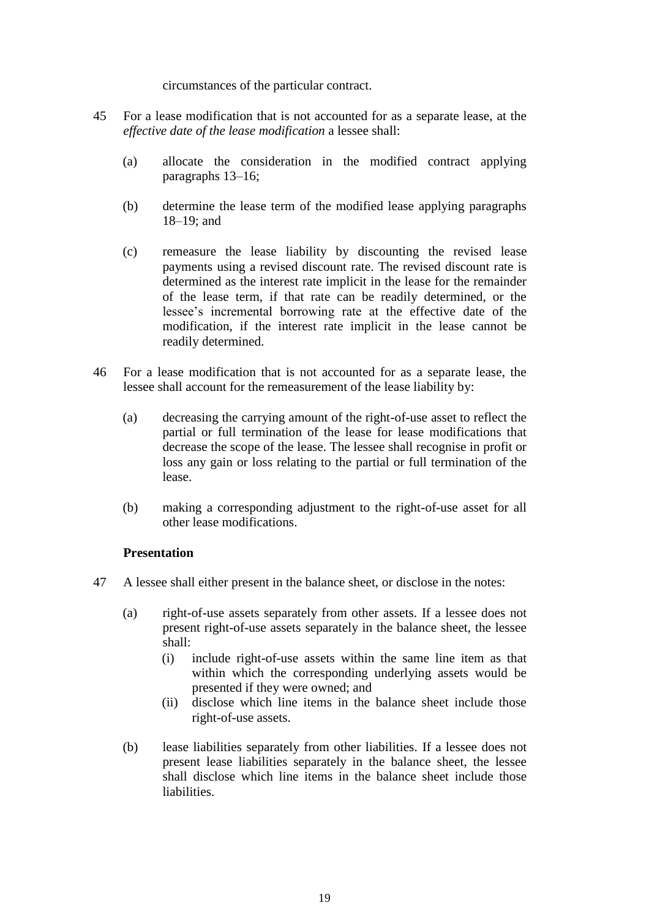circumstances of the particular contract.

- 45 For a lease modification that is not accounted for as a separate lease, at the *effective date of the lease modification* a lessee shall:
	- (a) allocate the consideration in the modified contract applying paragraphs 13–16;
	- (b) determine the lease term of the modified lease applying paragraphs 18–19; and
	- (c) remeasure the lease liability by discounting the revised lease payments using a revised discount rate. The revised discount rate is determined as the interest rate implicit in the lease for the remainder of the lease term, if that rate can be readily determined, or the lessee's incremental borrowing rate at the effective date of the modification, if the interest rate implicit in the lease cannot be readily determined.
- 46 For a lease modification that is not accounted for as a separate lease, the lessee shall account for the remeasurement of the lease liability by:
	- (a) decreasing the carrying amount of the right-of-use asset to reflect the partial or full termination of the lease for lease modifications that decrease the scope of the lease. The lessee shall recognise in profit or loss any gain or loss relating to the partial or full termination of the lease.
	- (b) making a corresponding adjustment to the right-of-use asset for all other lease modifications.

## **Presentation**

- 47 A lessee shall either present in the balance sheet, or disclose in the notes:
	- (a) right-of-use assets separately from other assets. If a lessee does not present right-of-use assets separately in the balance sheet, the lessee shall:
		- (i) include right-of-use assets within the same line item as that within which the corresponding underlying assets would be presented if they were owned; and
		- (ii) disclose which line items in the balance sheet include those right-of-use assets.
	- (b) lease liabilities separately from other liabilities. If a lessee does not present lease liabilities separately in the balance sheet, the lessee shall disclose which line items in the balance sheet include those liabilities.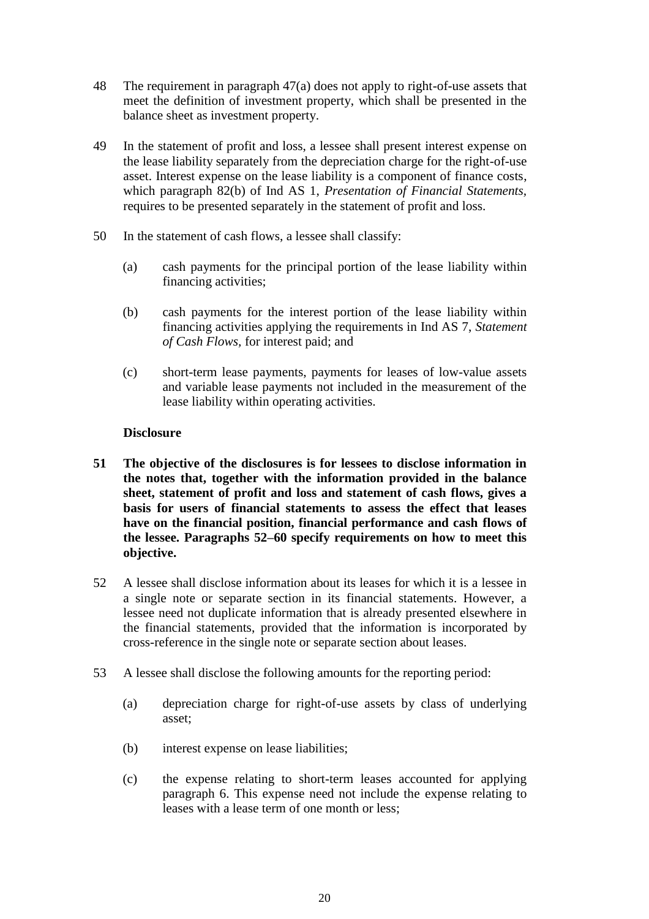- 48 The requirement in paragraph 47(a) does not apply to right-of-use assets that meet the definition of investment property, which shall be presented in the balance sheet as investment property.
- 49 In the statement of profit and loss, a lessee shall present interest expense on the lease liability separately from the depreciation charge for the right-of-use asset. Interest expense on the lease liability is a component of finance costs, which paragraph 82(b) of Ind AS 1, *Presentation of Financial Statements,* requires to be presented separately in the statement of profit and loss.
- 50 In the statement of cash flows, a lessee shall classify:
	- (a) cash payments for the principal portion of the lease liability within financing activities;
	- (b) cash payments for the interest portion of the lease liability within financing activities applying the requirements in Ind AS 7, *Statement of Cash Flows,* for interest paid; and
	- (c) short-term lease payments, payments for leases of low-value assets and variable lease payments not included in the measurement of the lease liability within operating activities.

## **Disclosure**

- **51 The objective of the disclosures is for lessees to disclose information in the notes that, together with the information provided in the balance sheet, statement of profit and loss and statement of cash flows, gives a basis for users of financial statements to assess the effect that leases have on the financial position, financial performance and cash flows of the lessee. Paragraphs 52–60 specify requirements on how to meet this objective.**
- 52 A lessee shall disclose information about its leases for which it is a lessee in a single note or separate section in its financial statements. However, a lessee need not duplicate information that is already presented elsewhere in the financial statements, provided that the information is incorporated by cross-reference in the single note or separate section about leases.
- 53 A lessee shall disclose the following amounts for the reporting period:
	- (a) depreciation charge for right-of-use assets by class of underlying asset;
	- (b) interest expense on lease liabilities;
	- (c) the expense relating to short-term leases accounted for applying paragraph 6. This expense need not include the expense relating to leases with a lease term of one month or less;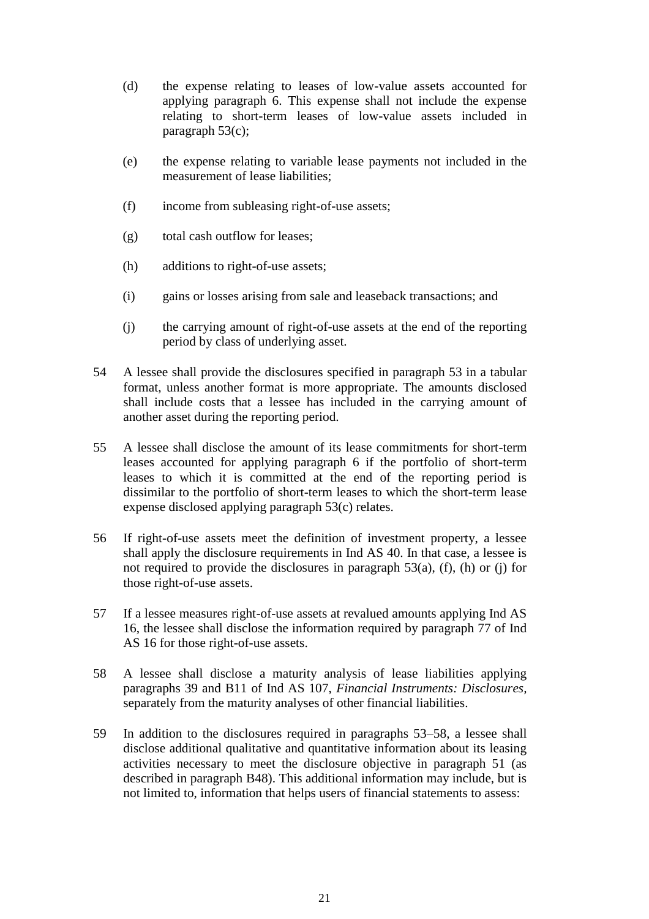- (d) the expense relating to leases of low-value assets accounted for applying paragraph 6. This expense shall not include the expense relating to short-term leases of low-value assets included in paragraph 53(c);
- (e) the expense relating to variable lease payments not included in the measurement of lease liabilities;
- (f) income from subleasing right-of-use assets;
- (g) total cash outflow for leases;
- (h) additions to right-of-use assets;
- (i) gains or losses arising from sale and leaseback transactions; and
- (j) the carrying amount of right-of-use assets at the end of the reporting period by class of underlying asset.
- 54 A lessee shall provide the disclosures specified in paragraph 53 in a tabular format, unless another format is more appropriate. The amounts disclosed shall include costs that a lessee has included in the carrying amount of another asset during the reporting period.
- 55 A lessee shall disclose the amount of its lease commitments for short-term leases accounted for applying paragraph 6 if the portfolio of short-term leases to which it is committed at the end of the reporting period is dissimilar to the portfolio of short-term leases to which the short-term lease expense disclosed applying paragraph 53(c) relates.
- 56 If right-of-use assets meet the definition of investment property, a lessee shall apply the disclosure requirements in Ind AS 40. In that case, a lessee is not required to provide the disclosures in paragraph 53(a), (f), (h) or (j) for those right-of-use assets.
- 57 If a lessee measures right-of-use assets at revalued amounts applying Ind AS 16, the lessee shall disclose the information required by paragraph 77 of Ind AS 16 for those right-of-use assets.
- 58 A lessee shall disclose a maturity analysis of lease liabilities applying paragraphs 39 and B11 of Ind AS 107, *Financial Instruments: Disclosures,* separately from the maturity analyses of other financial liabilities.
- 59 In addition to the disclosures required in paragraphs 53–58, a lessee shall disclose additional qualitative and quantitative information about its leasing activities necessary to meet the disclosure objective in paragraph 51 (as described in paragraph B48). This additional information may include, but is not limited to, information that helps users of financial statements to assess: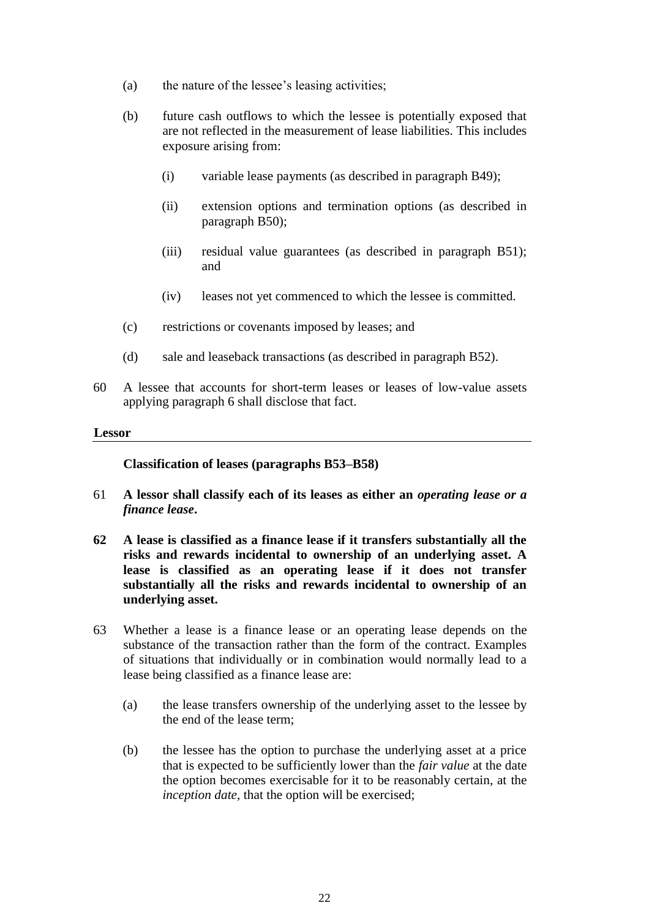- (a) the nature of the lessee's leasing activities;
- (b) future cash outflows to which the lessee is potentially exposed that are not reflected in the measurement of lease liabilities. This includes exposure arising from:
	- (i) variable lease payments (as described in paragraph B49);
	- (ii) extension options and termination options (as described in paragraph B50);
	- (iii) residual value guarantees (as described in paragraph B51); and
	- (iv) leases not yet commenced to which the lessee is committed.
- (c) restrictions or covenants imposed by leases; and
- (d) sale and leaseback transactions (as described in paragraph B52).
- 60 A lessee that accounts for short-term leases or leases of low-value assets applying paragraph 6 shall disclose that fact.

### **Lessor**

### **Classification of leases (paragraphs B53–B58)**

- 61 **A lessor shall classify each of its leases as either an** *operating lease or a finance lease***.**
- **62 A lease is classified as a finance lease if it transfers substantially all the risks and rewards incidental to ownership of an underlying asset. A lease is classified as an operating lease if it does not transfer substantially all the risks and rewards incidental to ownership of an underlying asset.**
- 63 Whether a lease is a finance lease or an operating lease depends on the substance of the transaction rather than the form of the contract. Examples of situations that individually or in combination would normally lead to a lease being classified as a finance lease are:
	- (a) the lease transfers ownership of the underlying asset to the lessee by the end of the lease term;
	- (b) the lessee has the option to purchase the underlying asset at a price that is expected to be sufficiently lower than the *fair value* at the date the option becomes exercisable for it to be reasonably certain, at the *inception date*, that the option will be exercised;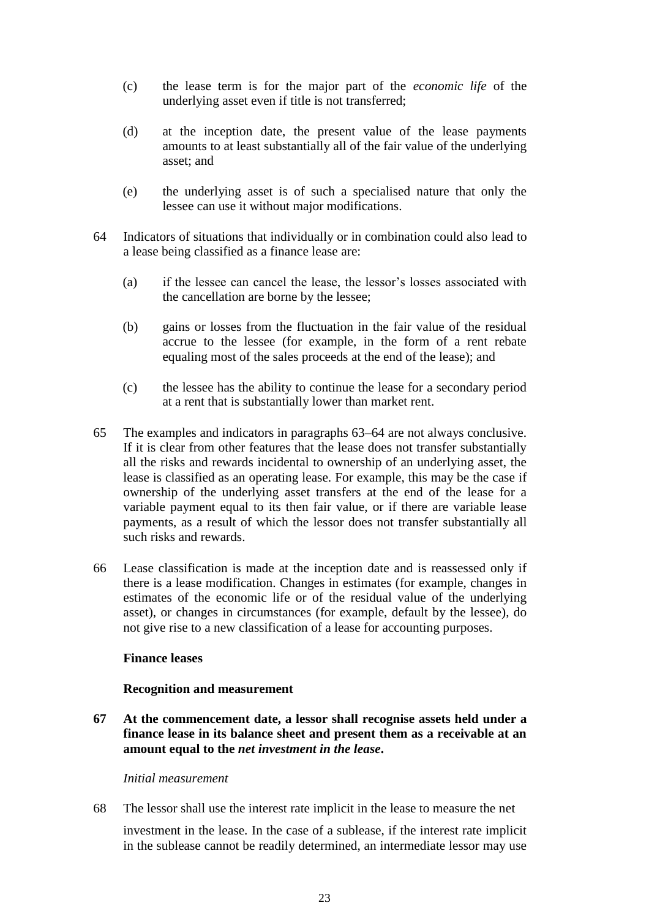- (c) the lease term is for the major part of the *economic life* of the underlying asset even if title is not transferred;
- (d) at the inception date, the present value of the lease payments amounts to at least substantially all of the fair value of the underlying asset; and
- (e) the underlying asset is of such a specialised nature that only the lessee can use it without major modifications.
- 64 Indicators of situations that individually or in combination could also lead to a lease being classified as a finance lease are:
	- (a) if the lessee can cancel the lease, the lessor's losses associated with the cancellation are borne by the lessee;
	- (b) gains or losses from the fluctuation in the fair value of the residual accrue to the lessee (for example, in the form of a rent rebate equaling most of the sales proceeds at the end of the lease); and
	- (c) the lessee has the ability to continue the lease for a secondary period at a rent that is substantially lower than market rent.
- 65 The examples and indicators in paragraphs 63–64 are not always conclusive. If it is clear from other features that the lease does not transfer substantially all the risks and rewards incidental to ownership of an underlying asset, the lease is classified as an operating lease. For example, this may be the case if ownership of the underlying asset transfers at the end of the lease for a variable payment equal to its then fair value, or if there are variable lease payments, as a result of which the lessor does not transfer substantially all such risks and rewards.
- 66 Lease classification is made at the inception date and is reassessed only if there is a lease modification. Changes in estimates (for example, changes in estimates of the economic life or of the residual value of the underlying asset), or changes in circumstances (for example, default by the lessee), do not give rise to a new classification of a lease for accounting purposes.

## **Finance leases**

## **Recognition and measurement**

**67 At the commencement date, a lessor shall recognise assets held under a finance lease in its balance sheet and present them as a receivable at an amount equal to the** *net investment in the lease***.**

## *Initial measurement*

68 The lessor shall use the interest rate implicit in the lease to measure the net

investment in the lease. In the case of a sublease, if the interest rate implicit in the sublease cannot be readily determined, an intermediate lessor may use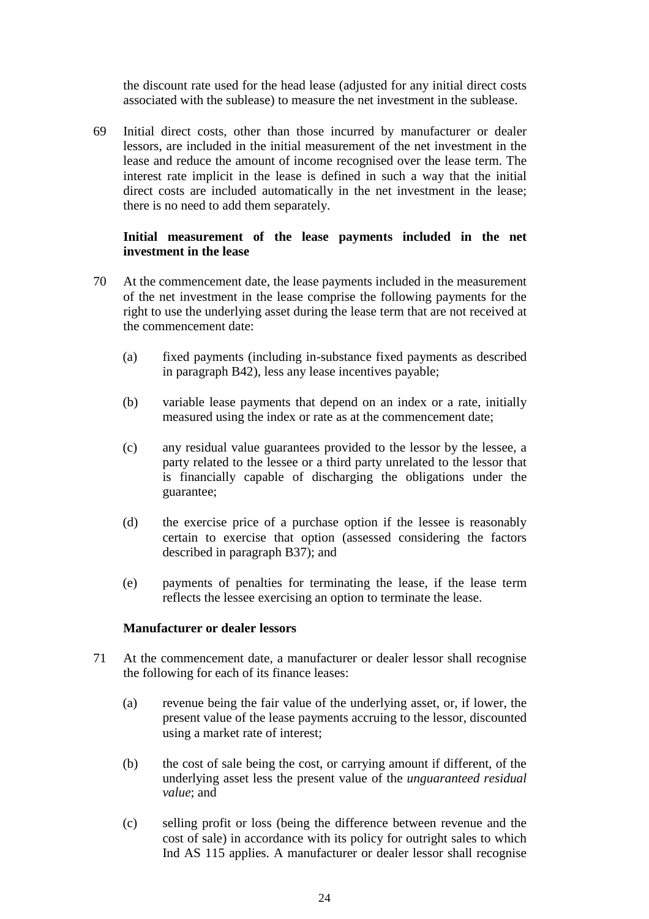the discount rate used for the head lease (adjusted for any initial direct costs associated with the sublease) to measure the net investment in the sublease.

69 Initial direct costs, other than those incurred by manufacturer or dealer lessors, are included in the initial measurement of the net investment in the lease and reduce the amount of income recognised over the lease term. The interest rate implicit in the lease is defined in such a way that the initial direct costs are included automatically in the net investment in the lease; there is no need to add them separately.

## **Initial measurement of the lease payments included in the net investment in the lease**

- 70 At the commencement date, the lease payments included in the measurement of the net investment in the lease comprise the following payments for the right to use the underlying asset during the lease term that are not received at the commencement date:
	- (a) fixed payments (including in-substance fixed payments as described in paragraph B42), less any lease incentives payable;
	- (b) variable lease payments that depend on an index or a rate, initially measured using the index or rate as at the commencement date;
	- (c) any residual value guarantees provided to the lessor by the lessee, a party related to the lessee or a third party unrelated to the lessor that is financially capable of discharging the obligations under the guarantee;
	- (d) the exercise price of a purchase option if the lessee is reasonably certain to exercise that option (assessed considering the factors described in paragraph B37); and
	- (e) payments of penalties for terminating the lease, if the lease term reflects the lessee exercising an option to terminate the lease.

## **Manufacturer or dealer lessors**

- 71 At the commencement date, a manufacturer or dealer lessor shall recognise the following for each of its finance leases:
	- (a) revenue being the fair value of the underlying asset, or, if lower, the present value of the lease payments accruing to the lessor, discounted using a market rate of interest;
	- (b) the cost of sale being the cost, or carrying amount if different, of the underlying asset less the present value of the *unguaranteed residual value*; and
	- (c) selling profit or loss (being the difference between revenue and the cost of sale) in accordance with its policy for outright sales to which Ind AS 115 applies. A manufacturer or dealer lessor shall recognise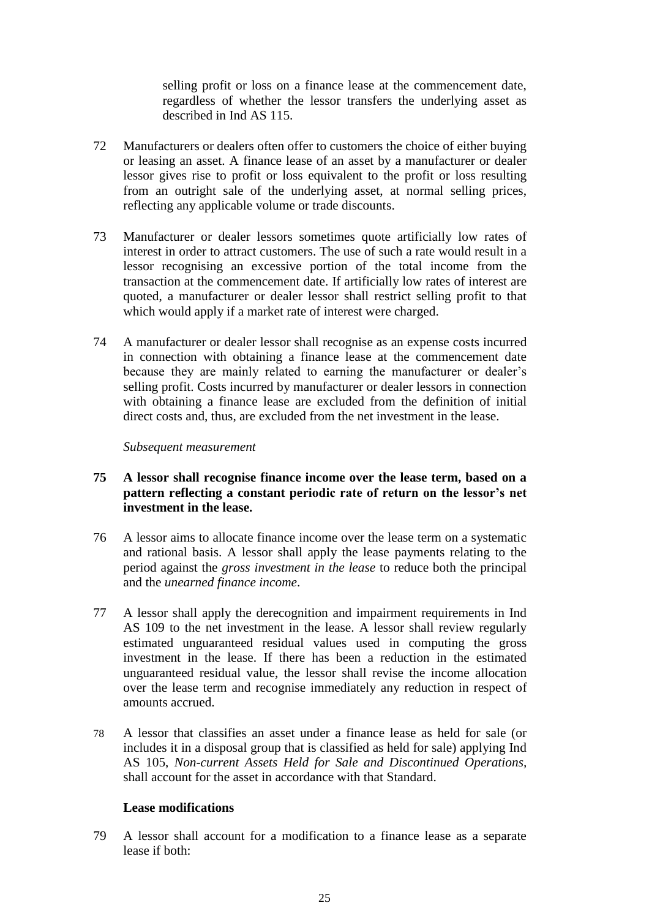selling profit or loss on a finance lease at the commencement date, regardless of whether the lessor transfers the underlying asset as described in Ind AS 115.

- 72 Manufacturers or dealers often offer to customers the choice of either buying or leasing an asset. A finance lease of an asset by a manufacturer or dealer lessor gives rise to profit or loss equivalent to the profit or loss resulting from an outright sale of the underlying asset, at normal selling prices, reflecting any applicable volume or trade discounts.
- 73 Manufacturer or dealer lessors sometimes quote artificially low rates of interest in order to attract customers. The use of such a rate would result in a lessor recognising an excessive portion of the total income from the transaction at the commencement date. If artificially low rates of interest are quoted, a manufacturer or dealer lessor shall restrict selling profit to that which would apply if a market rate of interest were charged.
- 74 A manufacturer or dealer lessor shall recognise as an expense costs incurred in connection with obtaining a finance lease at the commencement date because they are mainly related to earning the manufacturer or dealer's selling profit. Costs incurred by manufacturer or dealer lessors in connection with obtaining a finance lease are excluded from the definition of initial direct costs and, thus, are excluded from the net investment in the lease.

### *Subsequent measurement*

- **75 A lessor shall recognise finance income over the lease term, based on a pattern reflecting a constant periodic rate of return on the lessor's net investment in the lease.**
- 76 A lessor aims to allocate finance income over the lease term on a systematic and rational basis. A lessor shall apply the lease payments relating to the period against the *gross investment in the lease* to reduce both the principal and the *unearned finance income*.
- 77 A lessor shall apply the derecognition and impairment requirements in Ind AS 109 to the net investment in the lease. A lessor shall review regularly estimated unguaranteed residual values used in computing the gross investment in the lease. If there has been a reduction in the estimated unguaranteed residual value, the lessor shall revise the income allocation over the lease term and recognise immediately any reduction in respect of amounts accrued.
- 78 A lessor that classifies an asset under a finance lease as held for sale (or includes it in a disposal group that is classified as held for sale) applying Ind AS 105, *Non-current Assets Held for Sale and Discontinued Operations,* shall account for the asset in accordance with that Standard.

### **Lease modifications**

79 A lessor shall account for a modification to a finance lease as a separate lease if both: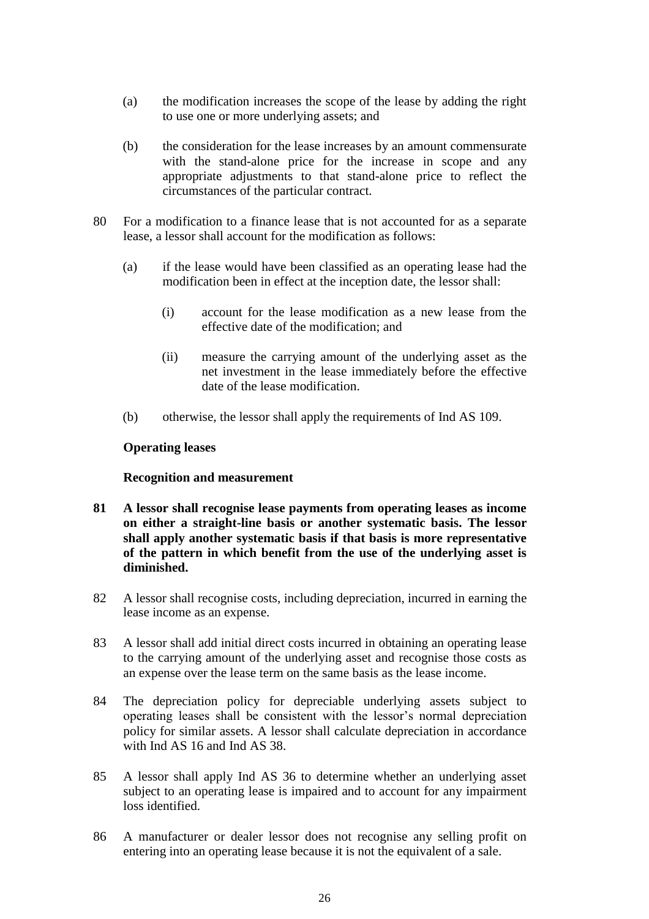- (a) the modification increases the scope of the lease by adding the right to use one or more underlying assets; and
- (b) the consideration for the lease increases by an amount commensurate with the stand-alone price for the increase in scope and any appropriate adjustments to that stand-alone price to reflect the circumstances of the particular contract.
- 80 For a modification to a finance lease that is not accounted for as a separate lease, a lessor shall account for the modification as follows:
	- (a) if the lease would have been classified as an operating lease had the modification been in effect at the inception date, the lessor shall:
		- (i) account for the lease modification as a new lease from the effective date of the modification; and
		- (ii) measure the carrying amount of the underlying asset as the net investment in the lease immediately before the effective date of the lease modification.
	- (b) otherwise, the lessor shall apply the requirements of Ind AS 109.

## **Operating leases**

## **Recognition and measurement**

- **81 A lessor shall recognise lease payments from operating leases as income on either a straight-line basis or another systematic basis. The lessor shall apply another systematic basis if that basis is more representative of the pattern in which benefit from the use of the underlying asset is diminished.**
- 82 A lessor shall recognise costs, including depreciation, incurred in earning the lease income as an expense.
- 83 A lessor shall add initial direct costs incurred in obtaining an operating lease to the carrying amount of the underlying asset and recognise those costs as an expense over the lease term on the same basis as the lease income.
- 84 The depreciation policy for depreciable underlying assets subject to operating leases shall be consistent with the lessor's normal depreciation policy for similar assets. A lessor shall calculate depreciation in accordance with Ind AS 16 and Ind AS 38.
- 85 A lessor shall apply Ind AS 36 to determine whether an underlying asset subject to an operating lease is impaired and to account for any impairment loss identified.
- 86 A manufacturer or dealer lessor does not recognise any selling profit on entering into an operating lease because it is not the equivalent of a sale.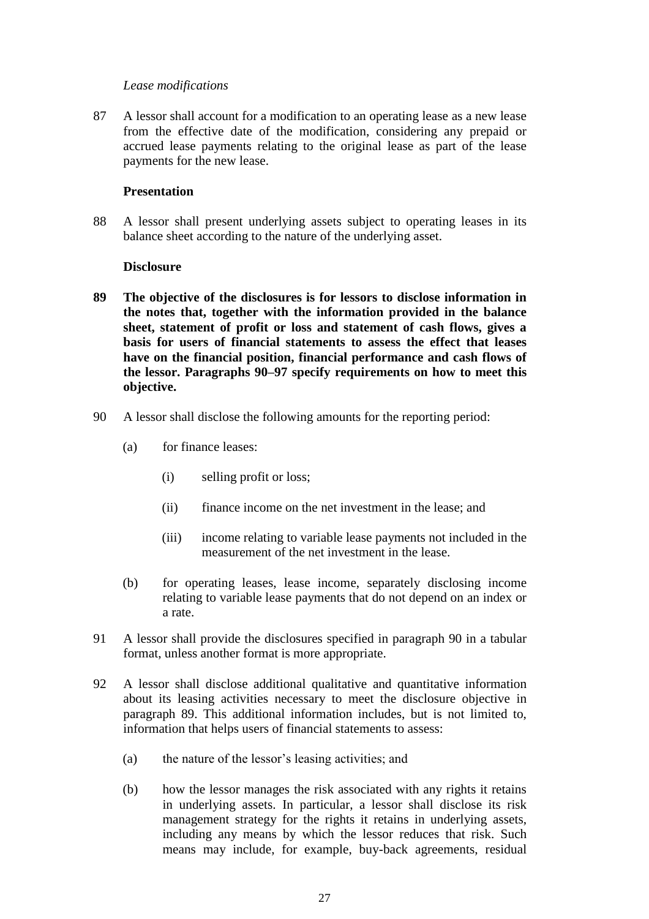### *Lease modifications*

87 A lessor shall account for a modification to an operating lease as a new lease from the effective date of the modification, considering any prepaid or accrued lease payments relating to the original lease as part of the lease payments for the new lease.

## **Presentation**

88 A lessor shall present underlying assets subject to operating leases in its balance sheet according to the nature of the underlying asset.

### **Disclosure**

- **89 The objective of the disclosures is for lessors to disclose information in the notes that, together with the information provided in the balance sheet, statement of profit or loss and statement of cash flows, gives a basis for users of financial statements to assess the effect that leases have on the financial position, financial performance and cash flows of the lessor. Paragraphs 90–97 specify requirements on how to meet this objective.**
- 90 A lessor shall disclose the following amounts for the reporting period:
	- (a) for finance leases:
		- (i) selling profit or loss;
		- (ii) finance income on the net investment in the lease; and
		- (iii) income relating to variable lease payments not included in the measurement of the net investment in the lease.
	- (b) for operating leases, lease income, separately disclosing income relating to variable lease payments that do not depend on an index or a rate.
- 91 A lessor shall provide the disclosures specified in paragraph 90 in a tabular format, unless another format is more appropriate.
- 92 A lessor shall disclose additional qualitative and quantitative information about its leasing activities necessary to meet the disclosure objective in paragraph 89. This additional information includes, but is not limited to, information that helps users of financial statements to assess:
	- (a) the nature of the lessor's leasing activities; and
	- (b) how the lessor manages the risk associated with any rights it retains in underlying assets. In particular, a lessor shall disclose its risk management strategy for the rights it retains in underlying assets, including any means by which the lessor reduces that risk. Such means may include, for example, buy-back agreements, residual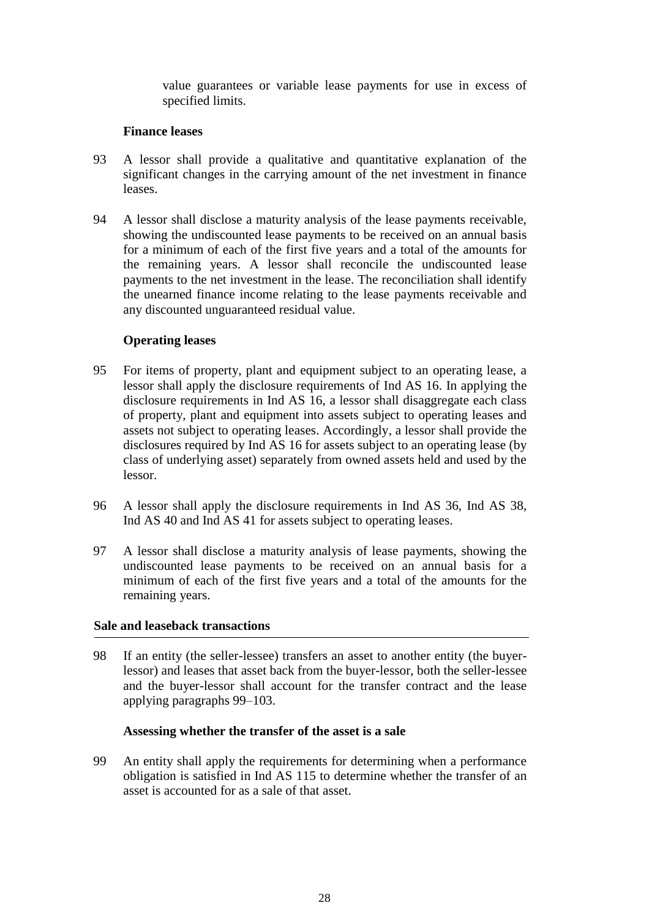value guarantees or variable lease payments for use in excess of specified limits.

## **Finance leases**

- 93 A lessor shall provide a qualitative and quantitative explanation of the significant changes in the carrying amount of the net investment in finance leases.
- 94 A lessor shall disclose a maturity analysis of the lease payments receivable, showing the undiscounted lease payments to be received on an annual basis for a minimum of each of the first five years and a total of the amounts for the remaining years. A lessor shall reconcile the undiscounted lease payments to the net investment in the lease. The reconciliation shall identify the unearned finance income relating to the lease payments receivable and any discounted unguaranteed residual value.

# **Operating leases**

- 95 For items of property, plant and equipment subject to an operating lease, a lessor shall apply the disclosure requirements of Ind AS 16. In applying the disclosure requirements in Ind AS 16, a lessor shall disaggregate each class of property, plant and equipment into assets subject to operating leases and assets not subject to operating leases. Accordingly, a lessor shall provide the disclosures required by Ind AS 16 for assets subject to an operating lease (by class of underlying asset) separately from owned assets held and used by the lessor.
- 96 A lessor shall apply the disclosure requirements in Ind AS 36, Ind AS 38, Ind AS 40 and Ind AS 41 for assets subject to operating leases.
- 97 A lessor shall disclose a maturity analysis of lease payments, showing the undiscounted lease payments to be received on an annual basis for a minimum of each of the first five years and a total of the amounts for the remaining years.

## **Sale and leaseback transactions**

98 If an entity (the seller-lessee) transfers an asset to another entity (the buyerlessor) and leases that asset back from the buyer-lessor, both the seller-lessee and the buyer-lessor shall account for the transfer contract and the lease applying paragraphs 99–103.

## **Assessing whether the transfer of the asset is a sale**

99 An entity shall apply the requirements for determining when a performance obligation is satisfied in Ind AS 115 to determine whether the transfer of an asset is accounted for as a sale of that asset.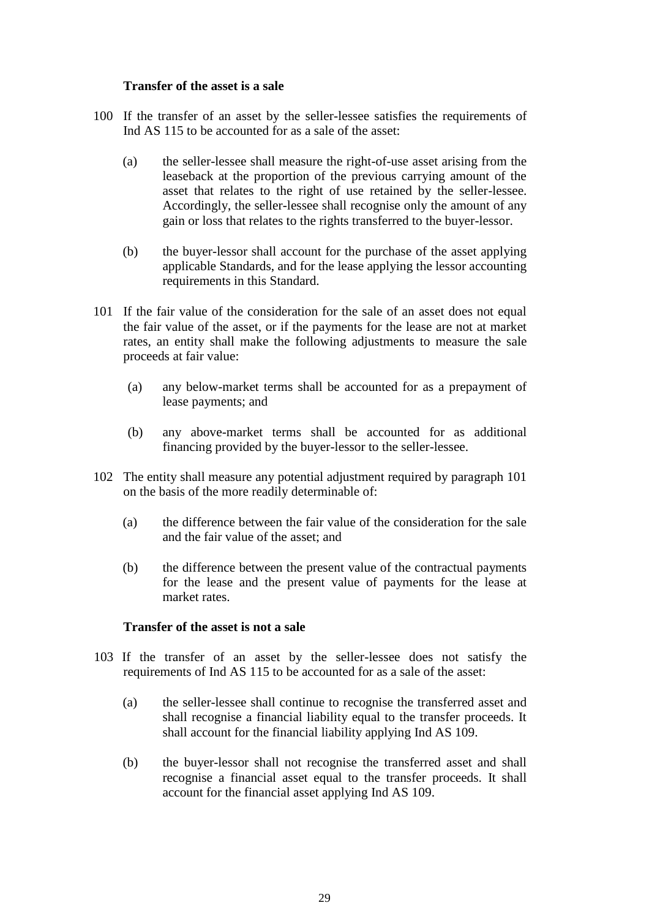### **Transfer of the asset is a sale**

- 100 If the transfer of an asset by the seller-lessee satisfies the requirements of Ind AS 115 to be accounted for as a sale of the asset:
	- (a) the seller-lessee shall measure the right-of-use asset arising from the leaseback at the proportion of the previous carrying amount of the asset that relates to the right of use retained by the seller-lessee. Accordingly, the seller-lessee shall recognise only the amount of any gain or loss that relates to the rights transferred to the buyer-lessor.
	- (b) the buyer-lessor shall account for the purchase of the asset applying applicable Standards, and for the lease applying the lessor accounting requirements in this Standard.
- 101 If the fair value of the consideration for the sale of an asset does not equal the fair value of the asset, or if the payments for the lease are not at market rates, an entity shall make the following adjustments to measure the sale proceeds at fair value:
	- (a) any below-market terms shall be accounted for as a prepayment of lease payments; and
	- (b) any above-market terms shall be accounted for as additional financing provided by the buyer-lessor to the seller-lessee.
- 102 The entity shall measure any potential adjustment required by paragraph 101 on the basis of the more readily determinable of:
	- (a) the difference between the fair value of the consideration for the sale and the fair value of the asset; and
	- (b) the difference between the present value of the contractual payments for the lease and the present value of payments for the lease at market rates.

### **Transfer of the asset is not a sale**

- 103 If the transfer of an asset by the seller-lessee does not satisfy the requirements of Ind AS 115 to be accounted for as a sale of the asset:
	- (a) the seller-lessee shall continue to recognise the transferred asset and shall recognise a financial liability equal to the transfer proceeds. It shall account for the financial liability applying Ind AS 109.
	- (b) the buyer-lessor shall not recognise the transferred asset and shall recognise a financial asset equal to the transfer proceeds. It shall account for the financial asset applying Ind AS 109.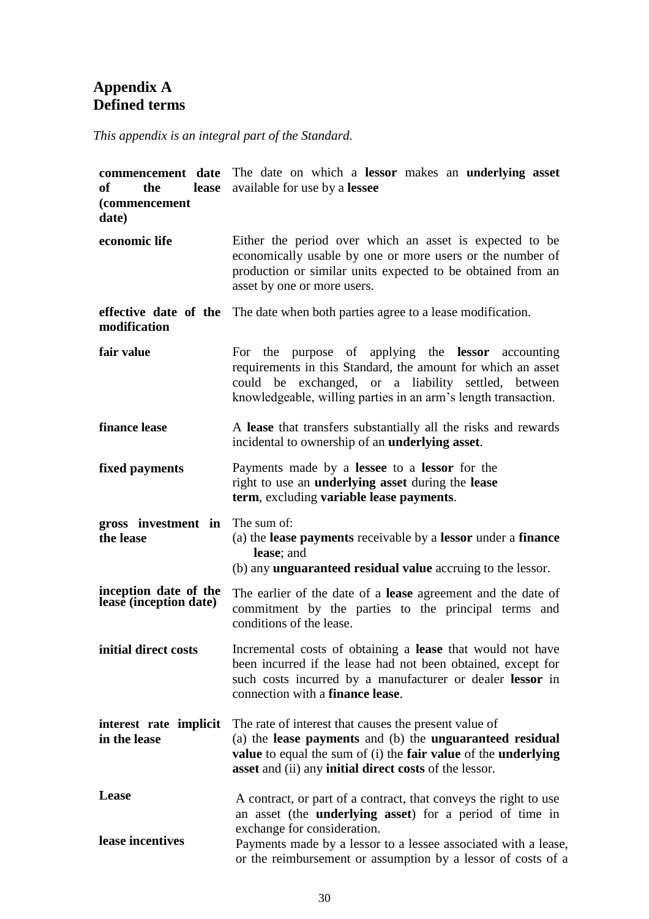# **Appendix A Defined terms**

*This appendix is an integral part of the Standard.*

| <b>of</b><br>the<br>lease<br><i>(commencement</i><br>date) | commencement date The date on which a lessor makes an underlying asset<br>available for use by a lessee                                                                                                                                                                          |
|------------------------------------------------------------|----------------------------------------------------------------------------------------------------------------------------------------------------------------------------------------------------------------------------------------------------------------------------------|
| economic life                                              | Either the period over which an asset is expected to be<br>economically usable by one or more users or the number of<br>production or similar units expected to be obtained from an<br>asset by one or more users.                                                               |
| modification                                               | effective date of the The date when both parties agree to a lease modification.                                                                                                                                                                                                  |
| fair value                                                 | For the purpose of applying the lessor accounting<br>requirements in this Standard, the amount for which an asset<br>could be exchanged, or a liability settled, between<br>knowledgeable, willing parties in an arm's length transaction.                                       |
| finance lease                                              | A lease that transfers substantially all the risks and rewards<br>incidental to ownership of an <b>underlying asset</b> .                                                                                                                                                        |
| fixed payments                                             | Payments made by a lessee to a lessor for the<br>right to use an <b>underlying</b> asset during the lease<br>term, excluding variable lease payments.                                                                                                                            |
| gross investment in<br>the lease                           | The sum of:<br>(a) the <b>lease payments</b> receivable by a <b>lessor</b> under a <b>finance</b><br>lease; and<br>(b) any <b>unguaranteed residual value</b> accruing to the lessor.                                                                                            |
| inception date of the<br>lease (inception date)            | The earlier of the date of a lease agreement and the date of<br>commitment by the parties to the principal terms and<br>conditions of the lease.                                                                                                                                 |
| initial direct costs                                       | Incremental costs of obtaining a lease that would not have<br>been incurred if the lease had not been obtained, except for<br>such costs incurred by a manufacturer or dealer lessor in<br>connection with a finance lease.                                                      |
| interest rate implicit<br>in the lease                     | The rate of interest that causes the present value of<br>(a) the lease payments and (b) the unguaranteed residual<br><b>value</b> to equal the sum of (i) the <b>fair value</b> of the <b>underlying</b><br><b>asset</b> and (ii) any <b>initial direct costs</b> of the lessor. |
| Lease                                                      | A contract, or part of a contract, that conveys the right to use<br>an asset (the <b>underlying asset</b> ) for a period of time in                                                                                                                                              |
| lease incentives                                           | exchange for consideration.<br>Payments made by a lessor to a lessee associated with a lease,<br>or the reimbursement or assumption by a lessor of costs of a                                                                                                                    |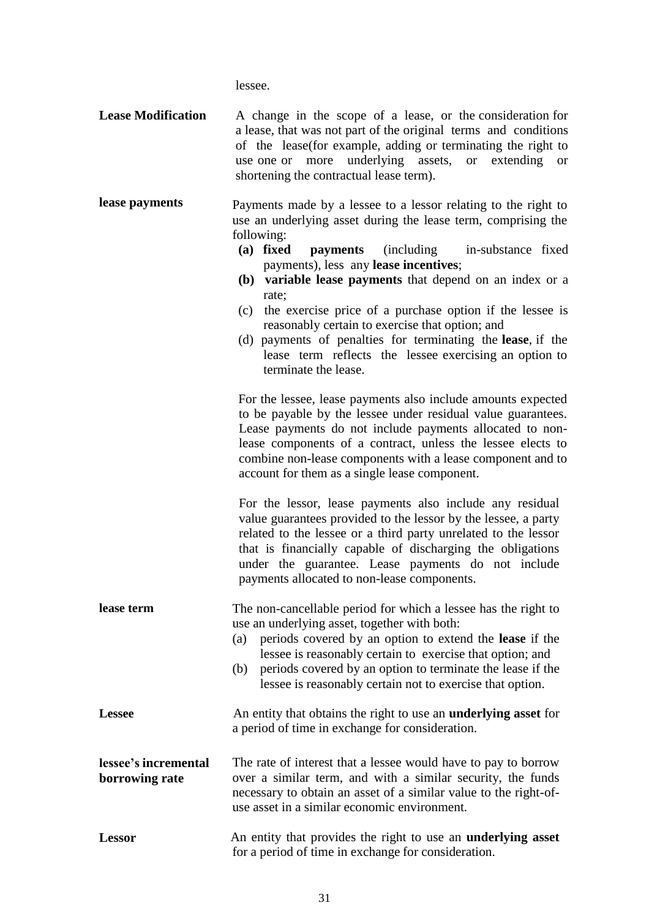lessee.

| <b>Lease Modification</b>              | A change in the scope of a lease, or the consideration for<br>a lease, that was not part of the original terms and conditions<br>of the lease (for example, adding or terminating the right to<br>use one or more underlying assets, or extending<br><b>or</b><br>shortening the contractual lease term).                                                                                                                                                                                                                                                                                                                                                                                                                                 |
|----------------------------------------|-------------------------------------------------------------------------------------------------------------------------------------------------------------------------------------------------------------------------------------------------------------------------------------------------------------------------------------------------------------------------------------------------------------------------------------------------------------------------------------------------------------------------------------------------------------------------------------------------------------------------------------------------------------------------------------------------------------------------------------------|
| lease payments                         | Payments made by a lessee to a lessor relating to the right to<br>use an underlying asset during the lease term, comprising the<br>following:<br>(a) fixed<br>payments<br>(including)<br>in-substance fixed<br>payments), less any lease incentives;<br>(b) variable lease payments that depend on an index or a<br>rate;<br>(c) the exercise price of a purchase option if the lessee is<br>reasonably certain to exercise that option; and<br>(d) payments of penalties for terminating the lease, if the<br>lease term reflects the lessee exercising an option to<br>terminate the lease.                                                                                                                                             |
|                                        | For the lessee, lease payments also include amounts expected<br>to be payable by the lessee under residual value guarantees.<br>Lease payments do not include payments allocated to non-<br>lease components of a contract, unless the lessee elects to<br>combine non-lease components with a lease component and to<br>account for them as a single lease component.<br>For the lessor, lease payments also include any residual<br>value guarantees provided to the lessor by the lessee, a party<br>related to the lessee or a third party unrelated to the lessor<br>that is financially capable of discharging the obligations<br>under the guarantee. Lease payments do not include<br>payments allocated to non-lease components. |
| lease term                             | The non-cancellable period for which a lessee has the right to<br>use an underlying asset, together with both:<br>periods covered by an option to extend the lease if the<br>(a)<br>lessee is reasonably certain to exercise that option; and<br>periods covered by an option to terminate the lease if the<br>(b)<br>lessee is reasonably certain not to exercise that option.                                                                                                                                                                                                                                                                                                                                                           |
| <b>Lessee</b>                          | An entity that obtains the right to use an <b>underlying asset</b> for<br>a period of time in exchange for consideration.                                                                                                                                                                                                                                                                                                                                                                                                                                                                                                                                                                                                                 |
| lessee's incremental<br>borrowing rate | The rate of interest that a lessee would have to pay to borrow<br>over a similar term, and with a similar security, the funds<br>necessary to obtain an asset of a similar value to the right-of-<br>use asset in a similar economic environment.                                                                                                                                                                                                                                                                                                                                                                                                                                                                                         |
| <b>Lessor</b>                          | An entity that provides the right to use an <b>underlying asset</b><br>for a period of time in exchange for consideration.                                                                                                                                                                                                                                                                                                                                                                                                                                                                                                                                                                                                                |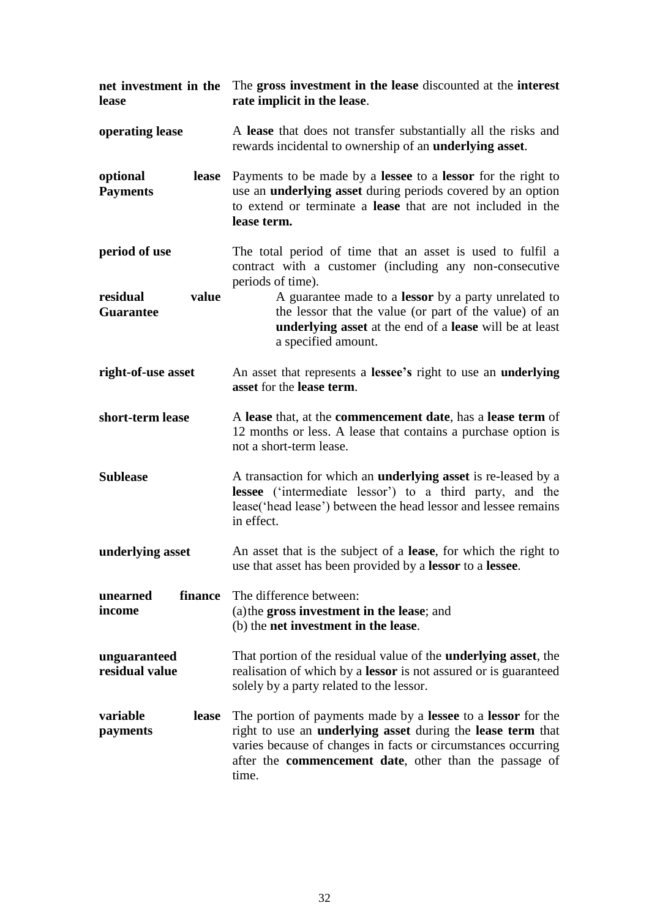| net investment in the<br>lease                         | The gross investment in the lease discounted at the interest<br>rate implicit in the lease.                                                                                                                                                                                                                                                           |
|--------------------------------------------------------|-------------------------------------------------------------------------------------------------------------------------------------------------------------------------------------------------------------------------------------------------------------------------------------------------------------------------------------------------------|
| operating lease                                        | A lease that does not transfer substantially all the risks and<br>rewards incidental to ownership of an <b>underlying asset</b> .                                                                                                                                                                                                                     |
| optional<br>lease<br><b>Payments</b>                   | Payments to be made by a lessee to a lessor for the right to<br>use an underlying asset during periods covered by an option<br>to extend or terminate a lease that are not included in the<br>lease term.                                                                                                                                             |
| period of use<br>residual<br>value<br><b>Guarantee</b> | The total period of time that an asset is used to fulfil a<br>contract with a customer (including any non-consecutive<br>periods of time).<br>A guarantee made to a <b>lessor</b> by a party unrelated to<br>the lessor that the value (or part of the value) of an<br>underlying asset at the end of a lease will be at least<br>a specified amount. |
| right-of-use asset                                     | An asset that represents a lessee's right to use an underlying<br>asset for the lease term.                                                                                                                                                                                                                                                           |
| short-term lease                                       | A lease that, at the <b>commencement date</b> , has a <b>lease term</b> of<br>12 months or less. A lease that contains a purchase option is<br>not a short-term lease.                                                                                                                                                                                |
| <b>Sublease</b>                                        | A transaction for which an <b>underlying asset</b> is re-leased by a<br>lessee ('intermediate lessor') to a third party, and the<br>lease ('head lease') between the head lessor and lessee remains<br>in effect.                                                                                                                                     |
| underlying asset                                       | An asset that is the subject of a <b>lease</b> , for which the right to<br>use that asset has been provided by a lessor to a lessee.                                                                                                                                                                                                                  |
| finance<br>unearned<br>income                          | The difference between:<br>(a) the gross investment in the lease; and<br>(b) the net investment in the lease.                                                                                                                                                                                                                                         |
| unguaranteed<br>residual value                         | That portion of the residual value of the <b>underlying asset</b> , the<br>realisation of which by a lessor is not assured or is guaranteed<br>solely by a party related to the lessor.                                                                                                                                                               |
| variable<br>lease<br>payments                          | The portion of payments made by a lessee to a lessor for the<br>right to use an <b>underlying asset</b> during the lease term that<br>varies because of changes in facts or circumstances occurring<br>after the commencement date, other than the passage of<br>time.                                                                                |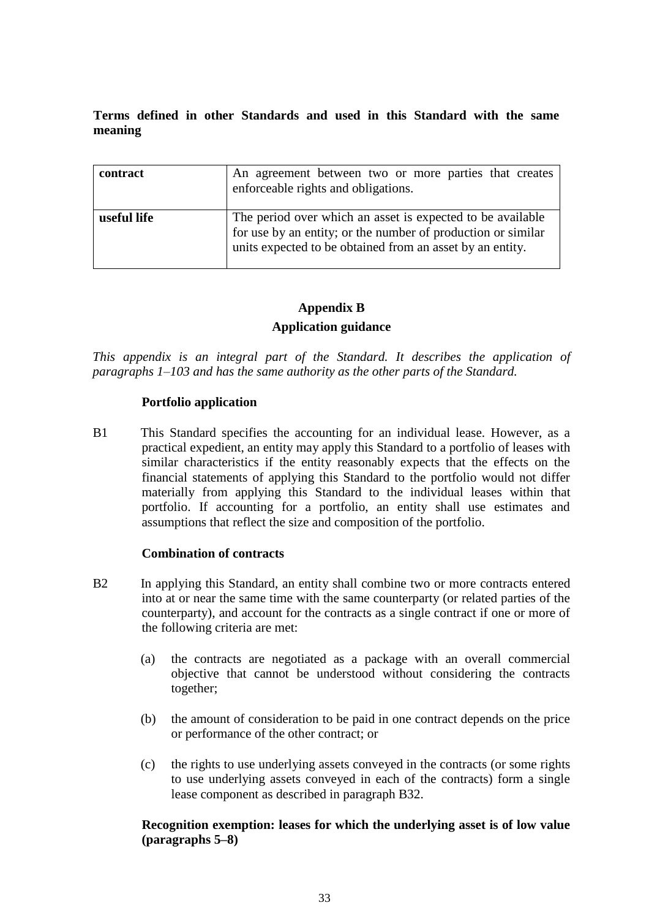## **Terms defined in other Standards and used in this Standard with the same meaning**

| <b>contract</b> | An agreement between two or more parties that creates<br>enforceable rights and obligations.                                                                                            |
|-----------------|-----------------------------------------------------------------------------------------------------------------------------------------------------------------------------------------|
| useful life     | The period over which an asset is expected to be available<br>for use by an entity; or the number of production or similar<br>units expected to be obtained from an asset by an entity. |

## **Appendix B**

## **Application guidance**

*This appendix is an integral part of the Standard. It describes the application of paragraphs 1–103 and has the same authority as the other parts of the Standard.*

## **Portfolio application**

B1 This Standard specifies the accounting for an individual lease. However, as a practical expedient, an entity may apply this Standard to a portfolio of leases with similar characteristics if the entity reasonably expects that the effects on the financial statements of applying this Standard to the portfolio would not differ materially from applying this Standard to the individual leases within that portfolio. If accounting for a portfolio, an entity shall use estimates and assumptions that reflect the size and composition of the portfolio.

# **Combination of contracts**

- B<sub>2</sub> In applying this Standard, an entity shall combine two or more contracts entered into at or near the same time with the same counterparty (or related parties of the counterparty), and account for the contracts as a single contract if one or more of the following criteria are met:
	- (a) the contracts are negotiated as a package with an overall commercial objective that cannot be understood without considering the contracts together;
	- (b) the amount of consideration to be paid in one contract depends on the price or performance of the other contract; or
	- (c) the rights to use underlying assets conveyed in the contracts (or some rights to use underlying assets conveyed in each of the contracts) form a single lease component as described in paragraph B32.

## **Recognition exemption: leases for which the underlying asset is of low value (paragraphs 5–8)**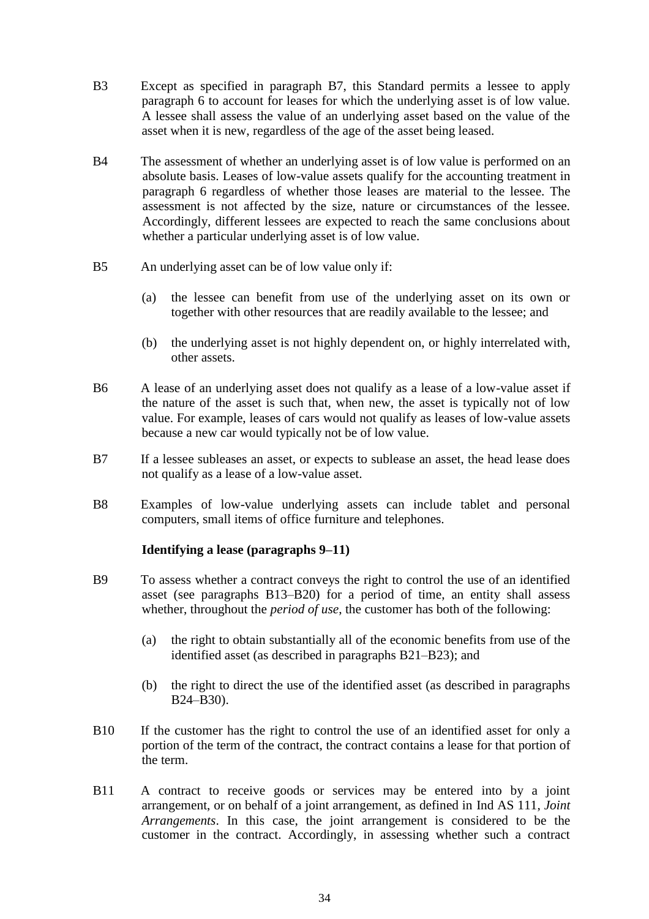- B3 Except as specified in paragraph B7, this Standard permits a lessee to apply paragraph 6 to account for leases for which the underlying asset is of low value. A lessee shall assess the value of an underlying asset based on the value of the asset when it is new, regardless of the age of the asset being leased.
- B4 The assessment of whether an underlying asset is of low value is performed on an absolute basis. Leases of low-value assets qualify for the accounting treatment in paragraph 6 regardless of whether those leases are material to the lessee. The assessment is not affected by the size, nature or circumstances of the lessee. Accordingly, different lessees are expected to reach the same conclusions about whether a particular underlying asset is of low value.
- B5 An underlying asset can be of low value only if:
	- (a) the lessee can benefit from use of the underlying asset on its own or together with other resources that are readily available to the lessee; and
	- (b) the underlying asset is not highly dependent on, or highly interrelated with, other assets.
- B6 A lease of an underlying asset does not qualify as a lease of a low-value asset if the nature of the asset is such that, when new, the asset is typically not of low value. For example, leases of cars would not qualify as leases of low-value assets because a new car would typically not be of low value.
- B7 If a lessee subleases an asset, or expects to sublease an asset, the head lease does not qualify as a lease of a low-value asset.
- B8 Examples of low-value underlying assets can include tablet and personal computers, small items of office furniture and telephones.

## **Identifying a lease (paragraphs 9–11)**

- B9 To assess whether a contract conveys the right to control the use of an identified asset (see paragraphs B13–B20) for a period of time, an entity shall assess whether, throughout the *period of use*, the customer has both of the following:
	- (a) the right to obtain substantially all of the economic benefits from use of the identified asset (as described in paragraphs B21–B23); and
	- (b) the right to direct the use of the identified asset (as described in paragraphs B24–B30).
- B10 If the customer has the right to control the use of an identified asset for only a portion of the term of the contract, the contract contains a lease for that portion of the term.
- B11 A contract to receive goods or services may be entered into by a joint arrangement, or on behalf of a joint arrangement, as defined in Ind AS 111, *Joint Arrangements*. In this case, the joint arrangement is considered to be the customer in the contract. Accordingly, in assessing whether such a contract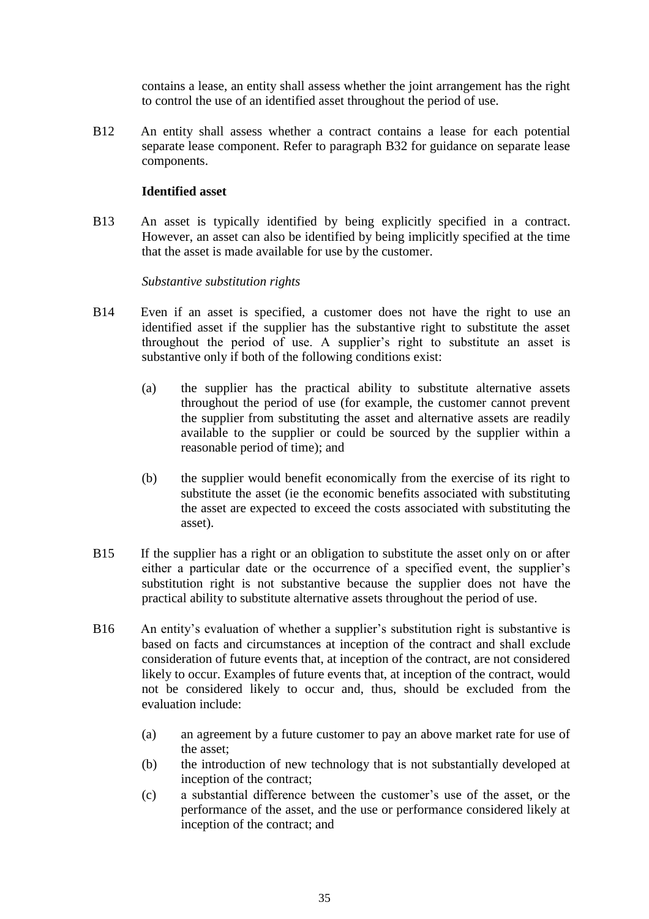contains a lease, an entity shall assess whether the joint arrangement has the right to control the use of an identified asset throughout the period of use.

B12 An entity shall assess whether a contract contains a lease for each potential separate lease component. Refer to paragraph B32 for guidance on separate lease components.

## **Identified asset**

B13 An asset is typically identified by being explicitly specified in a contract. However, an asset can also be identified by being implicitly specified at the time that the asset is made available for use by the customer.

## *Substantive substitution rights*

- B14 Even if an asset is specified, a customer does not have the right to use an identified asset if the supplier has the substantive right to substitute the asset throughout the period of use. A supplier's right to substitute an asset is substantive only if both of the following conditions exist:
	- (a) the supplier has the practical ability to substitute alternative assets throughout the period of use (for example, the customer cannot prevent the supplier from substituting the asset and alternative assets are readily available to the supplier or could be sourced by the supplier within a reasonable period of time); and
	- (b) the supplier would benefit economically from the exercise of its right to substitute the asset (ie the economic benefits associated with substituting the asset are expected to exceed the costs associated with substituting the asset).
- B15 If the supplier has a right or an obligation to substitute the asset only on or after either a particular date or the occurrence of a specified event, the supplier's substitution right is not substantive because the supplier does not have the practical ability to substitute alternative assets throughout the period of use.
- B16 An entity's evaluation of whether a supplier's substitution right is substantive is based on facts and circumstances at inception of the contract and shall exclude consideration of future events that, at inception of the contract, are not considered likely to occur. Examples of future events that, at inception of the contract, would not be considered likely to occur and, thus, should be excluded from the evaluation include:
	- (a) an agreement by a future customer to pay an above market rate for use of the asset;
	- (b) the introduction of new technology that is not substantially developed at inception of the contract;
	- (c) a substantial difference between the customer's use of the asset, or the performance of the asset, and the use or performance considered likely at inception of the contract; and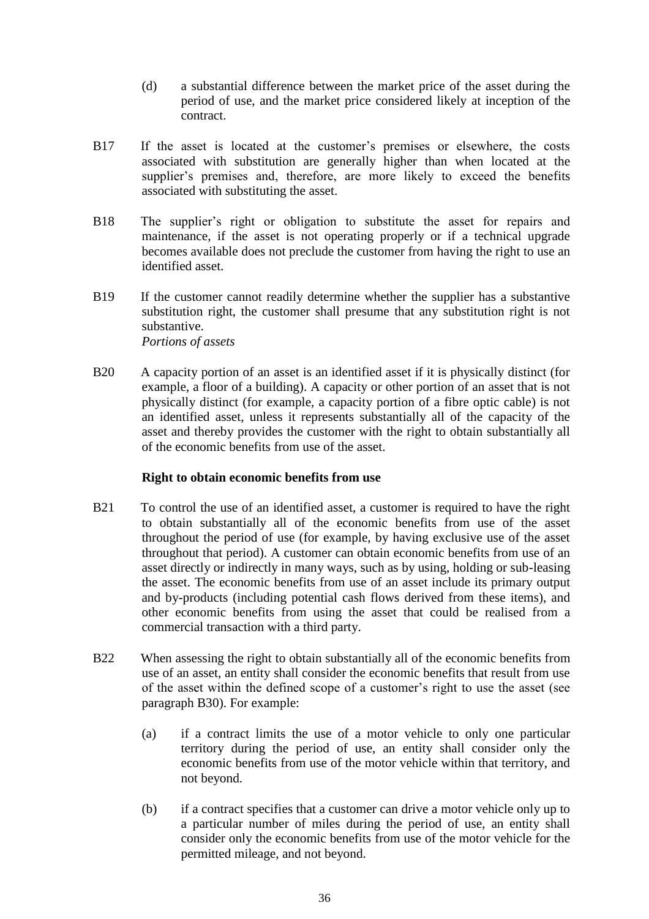- (d) a substantial difference between the market price of the asset during the period of use, and the market price considered likely at inception of the contract.
- B17 If the asset is located at the customer's premises or elsewhere, the costs associated with substitution are generally higher than when located at the supplier's premises and, therefore, are more likely to exceed the benefits associated with substituting the asset.
- B18 The supplier's right or obligation to substitute the asset for repairs and maintenance, if the asset is not operating properly or if a technical upgrade becomes available does not preclude the customer from having the right to use an identified asset.
- B19 If the customer cannot readily determine whether the supplier has a substantive substitution right, the customer shall presume that any substitution right is not substantive. *Portions of assets*
- B20 A capacity portion of an asset is an identified asset if it is physically distinct (for example, a floor of a building). A capacity or other portion of an asset that is not physically distinct (for example, a capacity portion of a fibre optic cable) is not an identified asset, unless it represents substantially all of the capacity of the asset and thereby provides the customer with the right to obtain substantially all of the economic benefits from use of the asset.

# **Right to obtain economic benefits from use**

- B21 To control the use of an identified asset, a customer is required to have the right to obtain substantially all of the economic benefits from use of the asset throughout the period of use (for example, by having exclusive use of the asset throughout that period). A customer can obtain economic benefits from use of an asset directly or indirectly in many ways, such as by using, holding or sub-leasing the asset. The economic benefits from use of an asset include its primary output and by-products (including potential cash flows derived from these items), and other economic benefits from using the asset that could be realised from a commercial transaction with a third party.
- B22 When assessing the right to obtain substantially all of the economic benefits from use of an asset, an entity shall consider the economic benefits that result from use of the asset within the defined scope of a customer's right to use the asset (see paragraph B30). For example:
	- (a) if a contract limits the use of a motor vehicle to only one particular territory during the period of use, an entity shall consider only the economic benefits from use of the motor vehicle within that territory, and not beyond.
	- (b) if a contract specifies that a customer can drive a motor vehicle only up to a particular number of miles during the period of use, an entity shall consider only the economic benefits from use of the motor vehicle for the permitted mileage, and not beyond.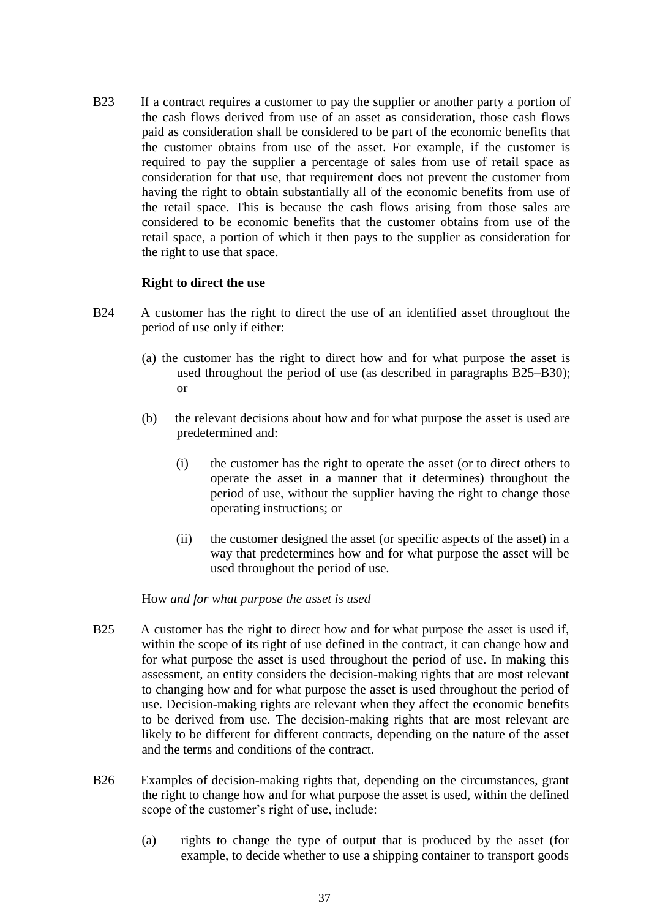B23 If a contract requires a customer to pay the supplier or another party a portion of the cash flows derived from use of an asset as consideration, those cash flows paid as consideration shall be considered to be part of the economic benefits that the customer obtains from use of the asset. For example, if the customer is required to pay the supplier a percentage of sales from use of retail space as consideration for that use, that requirement does not prevent the customer from having the right to obtain substantially all of the economic benefits from use of the retail space. This is because the cash flows arising from those sales are considered to be economic benefits that the customer obtains from use of the retail space, a portion of which it then pays to the supplier as consideration for the right to use that space.

## **Right to direct the use**

- B24 A customer has the right to direct the use of an identified asset throughout the period of use only if either:
	- (a) the customer has the right to direct how and for what purpose the asset is used throughout the period of use (as described in paragraphs B25–B30); or
	- (b) the relevant decisions about how and for what purpose the asset is used are predetermined and:
		- (i) the customer has the right to operate the asset (or to direct others to operate the asset in a manner that it determines) throughout the period of use, without the supplier having the right to change those operating instructions; or
		- (ii) the customer designed the asset (or specific aspects of the asset) in a way that predetermines how and for what purpose the asset will be used throughout the period of use.

### How *and for what purpose the asset is used*

- B25 A customer has the right to direct how and for what purpose the asset is used if, within the scope of its right of use defined in the contract, it can change how and for what purpose the asset is used throughout the period of use. In making this assessment, an entity considers the decision-making rights that are most relevant to changing how and for what purpose the asset is used throughout the period of use. Decision-making rights are relevant when they affect the economic benefits to be derived from use. The decision-making rights that are most relevant are likely to be different for different contracts, depending on the nature of the asset and the terms and conditions of the contract.
- B26 Examples of decision-making rights that, depending on the circumstances, grant the right to change how and for what purpose the asset is used, within the defined scope of the customer's right of use, include:
	- (a) rights to change the type of output that is produced by the asset (for example, to decide whether to use a shipping container to transport goods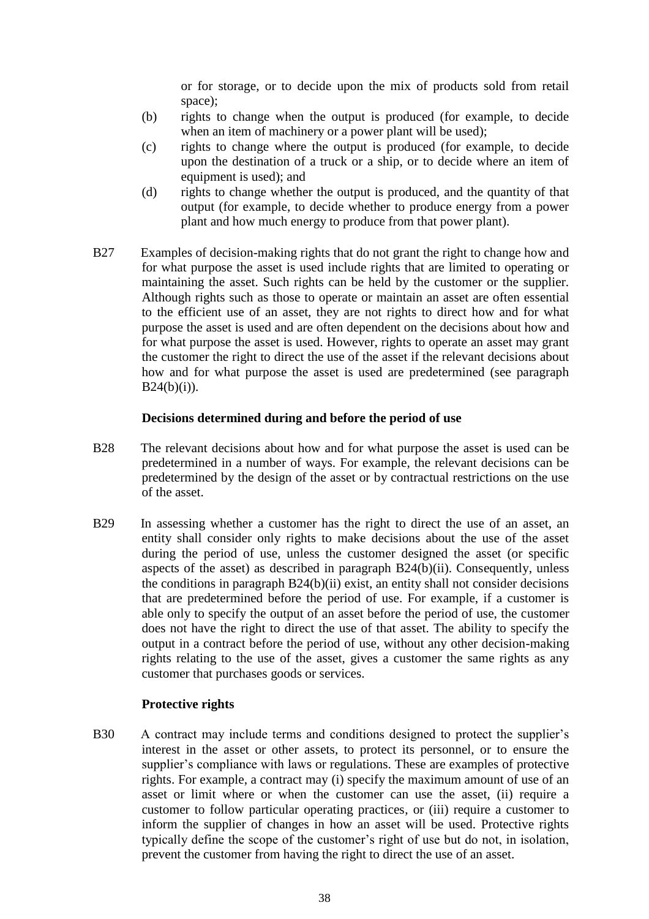or for storage, or to decide upon the mix of products sold from retail space);

- (b) rights to change when the output is produced (for example, to decide when an item of machinery or a power plant will be used);
- (c) rights to change where the output is produced (for example, to decide upon the destination of a truck or a ship, or to decide where an item of equipment is used); and
- (d) rights to change whether the output is produced, and the quantity of that output (for example, to decide whether to produce energy from a power plant and how much energy to produce from that power plant).
- B27 Examples of decision-making rights that do not grant the right to change how and for what purpose the asset is used include rights that are limited to operating or maintaining the asset. Such rights can be held by the customer or the supplier. Although rights such as those to operate or maintain an asset are often essential to the efficient use of an asset, they are not rights to direct how and for what purpose the asset is used and are often dependent on the decisions about how and for what purpose the asset is used. However, rights to operate an asset may grant the customer the right to direct the use of the asset if the relevant decisions about how and for what purpose the asset is used are predetermined (see paragraph  $B24(b)(i)$ ).

## **Decisions determined during and before the period of use**

- B28 The relevant decisions about how and for what purpose the asset is used can be predetermined in a number of ways. For example, the relevant decisions can be predetermined by the design of the asset or by contractual restrictions on the use of the asset.
- B29 In assessing whether a customer has the right to direct the use of an asset, an entity shall consider only rights to make decisions about the use of the asset during the period of use, unless the customer designed the asset (or specific aspects of the asset) as described in paragraph B24(b)(ii). Consequently, unless the conditions in paragraph B24(b)(ii) exist, an entity shall not consider decisions that are predetermined before the period of use. For example, if a customer is able only to specify the output of an asset before the period of use, the customer does not have the right to direct the use of that asset. The ability to specify the output in a contract before the period of use, without any other decision-making rights relating to the use of the asset, gives a customer the same rights as any customer that purchases goods or services.

### **Protective rights**

B30 A contract may include terms and conditions designed to protect the supplier's interest in the asset or other assets, to protect its personnel, or to ensure the supplier's compliance with laws or regulations. These are examples of protective rights. For example, a contract may (i) specify the maximum amount of use of an asset or limit where or when the customer can use the asset, (ii) require a customer to follow particular operating practices, or (iii) require a customer to inform the supplier of changes in how an asset will be used. Protective rights typically define the scope of the customer's right of use but do not, in isolation, prevent the customer from having the right to direct the use of an asset.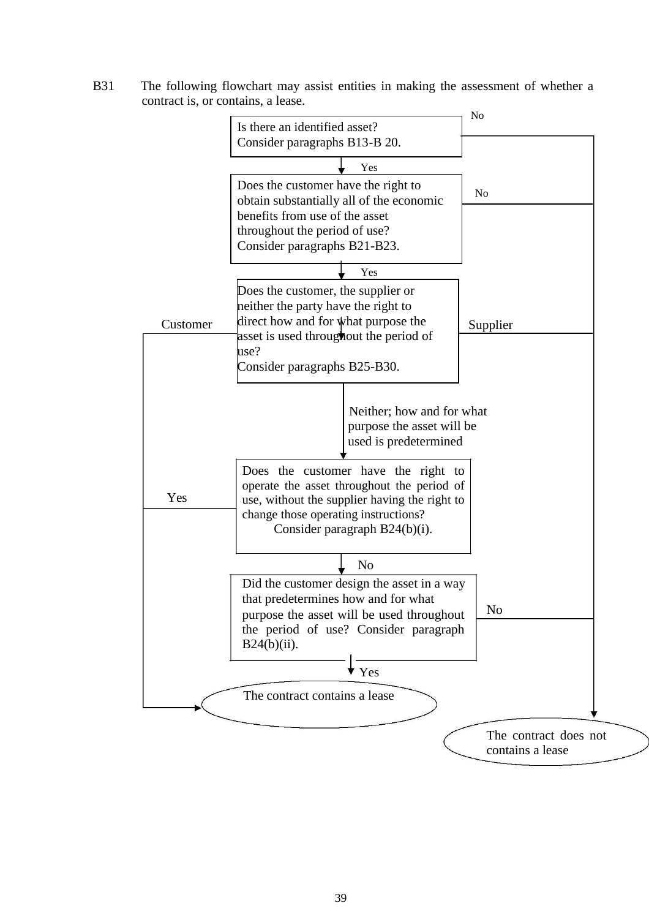B31 The following flowchart may assist entities in making the assessment of whether a contract is, or contains, a lease.

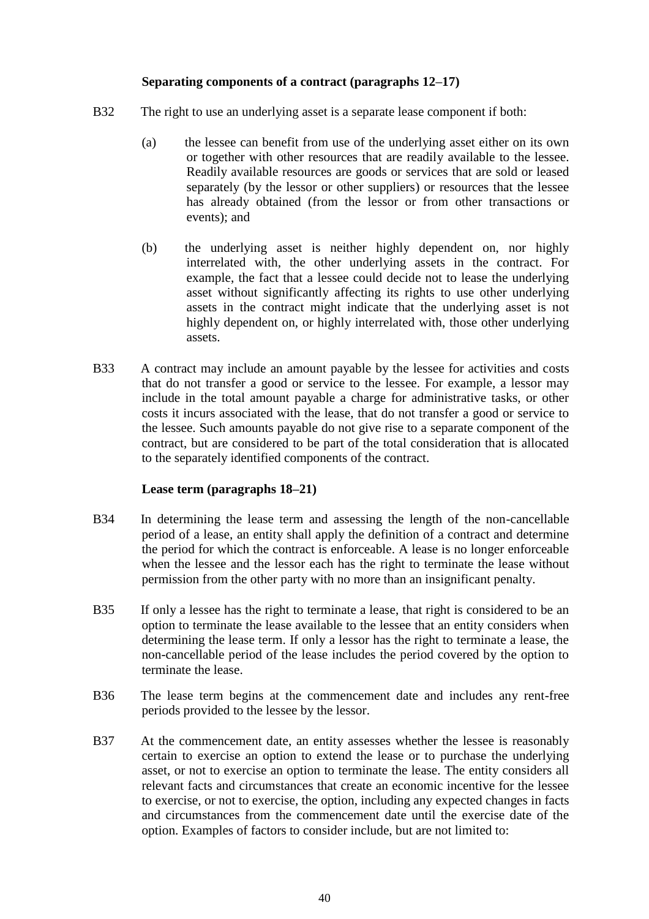## **Separating components of a contract (paragraphs 12–17)**

- B32 The right to use an underlying asset is a separate lease component if both:
	- (a) the lessee can benefit from use of the underlying asset either on its own or together with other resources that are readily available to the lessee. Readily available resources are goods or services that are sold or leased separately (by the lessor or other suppliers) or resources that the lessee has already obtained (from the lessor or from other transactions or events); and
	- (b) the underlying asset is neither highly dependent on, nor highly interrelated with, the other underlying assets in the contract. For example, the fact that a lessee could decide not to lease the underlying asset without significantly affecting its rights to use other underlying assets in the contract might indicate that the underlying asset is not highly dependent on, or highly interrelated with, those other underlying assets.
- B33 A contract may include an amount payable by the lessee for activities and costs that do not transfer a good or service to the lessee. For example, a lessor may include in the total amount payable a charge for administrative tasks, or other costs it incurs associated with the lease, that do not transfer a good or service to the lessee. Such amounts payable do not give rise to a separate component of the contract, but are considered to be part of the total consideration that is allocated to the separately identified components of the contract.

## **Lease term (paragraphs 18–21)**

- B34 In determining the lease term and assessing the length of the non-cancellable period of a lease, an entity shall apply the definition of a contract and determine the period for which the contract is enforceable. A lease is no longer enforceable when the lessee and the lessor each has the right to terminate the lease without permission from the other party with no more than an insignificant penalty.
- B35 If only a lessee has the right to terminate a lease, that right is considered to be an option to terminate the lease available to the lessee that an entity considers when determining the lease term. If only a lessor has the right to terminate a lease, the non-cancellable period of the lease includes the period covered by the option to terminate the lease.
- B36 The lease term begins at the commencement date and includes any rent-free periods provided to the lessee by the lessor.
- B37 At the commencement date, an entity assesses whether the lessee is reasonably certain to exercise an option to extend the lease or to purchase the underlying asset, or not to exercise an option to terminate the lease. The entity considers all relevant facts and circumstances that create an economic incentive for the lessee to exercise, or not to exercise, the option, including any expected changes in facts and circumstances from the commencement date until the exercise date of the option. Examples of factors to consider include, but are not limited to: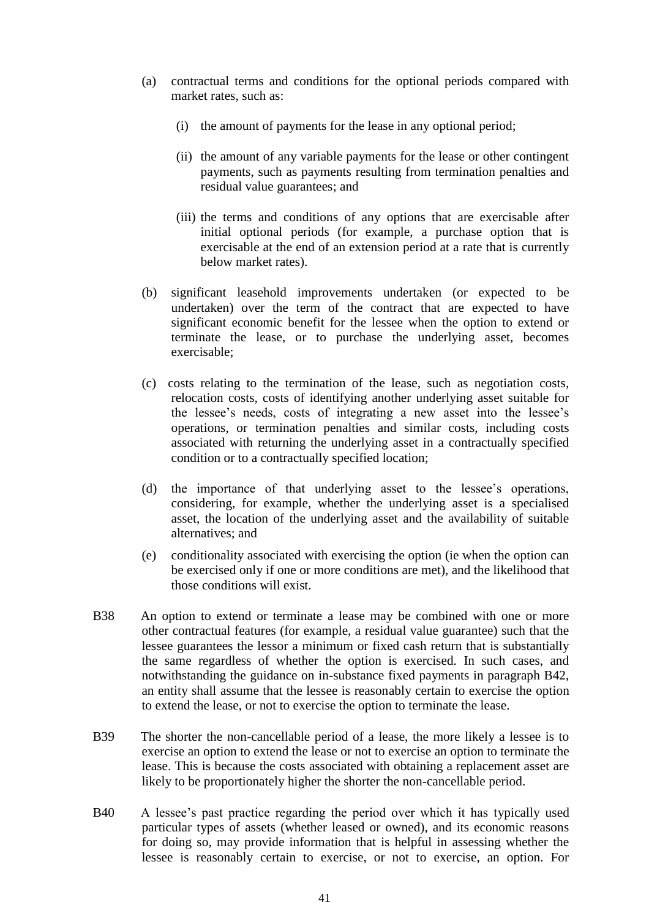- (a) contractual terms and conditions for the optional periods compared with market rates, such as:
	- (i) the amount of payments for the lease in any optional period;
	- (ii) the amount of any variable payments for the lease or other contingent payments, such as payments resulting from termination penalties and residual value guarantees; and
	- (iii) the terms and conditions of any options that are exercisable after initial optional periods (for example, a purchase option that is exercisable at the end of an extension period at a rate that is currently below market rates).
- (b) significant leasehold improvements undertaken (or expected to be undertaken) over the term of the contract that are expected to have significant economic benefit for the lessee when the option to extend or terminate the lease, or to purchase the underlying asset, becomes exercisable;
- (c) costs relating to the termination of the lease, such as negotiation costs, relocation costs, costs of identifying another underlying asset suitable for the lessee's needs, costs of integrating a new asset into the lessee's operations, or termination penalties and similar costs, including costs associated with returning the underlying asset in a contractually specified condition or to a contractually specified location;
- (d) the importance of that underlying asset to the lessee's operations, considering, for example, whether the underlying asset is a specialised asset, the location of the underlying asset and the availability of suitable alternatives; and
- (e) conditionality associated with exercising the option (ie when the option can be exercised only if one or more conditions are met), and the likelihood that those conditions will exist.
- B38 An option to extend or terminate a lease may be combined with one or more other contractual features (for example, a residual value guarantee) such that the lessee guarantees the lessor a minimum or fixed cash return that is substantially the same regardless of whether the option is exercised. In such cases, and notwithstanding the guidance on in-substance fixed payments in paragraph B42, an entity shall assume that the lessee is reasonably certain to exercise the option to extend the lease, or not to exercise the option to terminate the lease.
- B39 The shorter the non-cancellable period of a lease, the more likely a lessee is to exercise an option to extend the lease or not to exercise an option to terminate the lease. This is because the costs associated with obtaining a replacement asset are likely to be proportionately higher the shorter the non-cancellable period.
- B40 A lessee's past practice regarding the period over which it has typically used particular types of assets (whether leased or owned), and its economic reasons for doing so, may provide information that is helpful in assessing whether the lessee is reasonably certain to exercise, or not to exercise, an option. For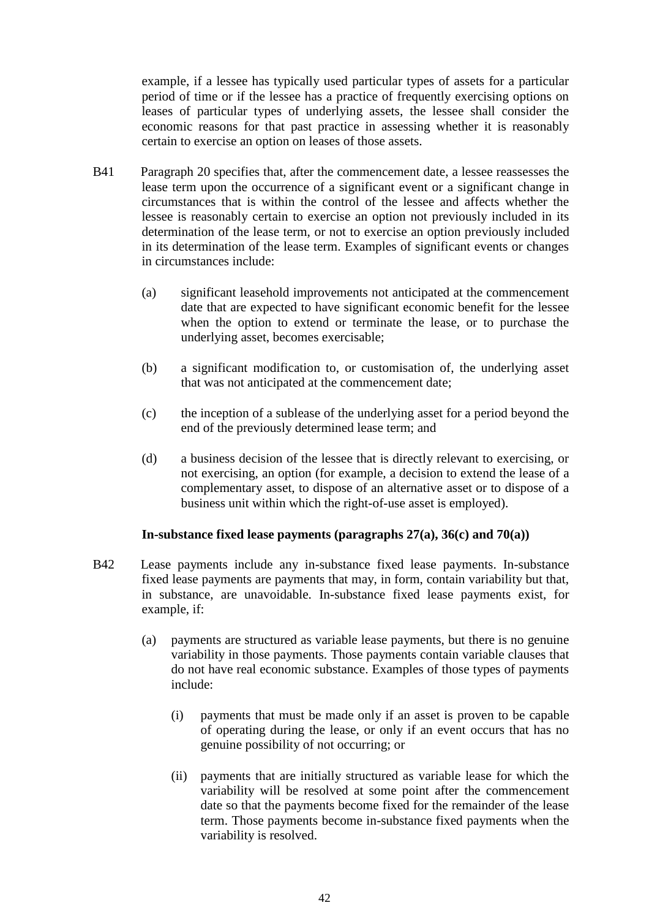example, if a lessee has typically used particular types of assets for a particular period of time or if the lessee has a practice of frequently exercising options on leases of particular types of underlying assets, the lessee shall consider the economic reasons for that past practice in assessing whether it is reasonably certain to exercise an option on leases of those assets.

- B41 Paragraph 20 specifies that, after the commencement date, a lessee reassesses the lease term upon the occurrence of a significant event or a significant change in circumstances that is within the control of the lessee and affects whether the lessee is reasonably certain to exercise an option not previously included in its determination of the lease term, or not to exercise an option previously included in its determination of the lease term. Examples of significant events or changes in circumstances include:
	- (a) significant leasehold improvements not anticipated at the commencement date that are expected to have significant economic benefit for the lessee when the option to extend or terminate the lease, or to purchase the underlying asset, becomes exercisable;
	- (b) a significant modification to, or customisation of, the underlying asset that was not anticipated at the commencement date;
	- (c) the inception of a sublease of the underlying asset for a period beyond the end of the previously determined lease term; and
	- (d) a business decision of the lessee that is directly relevant to exercising, or not exercising, an option (for example, a decision to extend the lease of a complementary asset, to dispose of an alternative asset or to dispose of a business unit within which the right-of-use asset is employed).

## **In-substance fixed lease payments (paragraphs 27(a), 36(c) and 70(a))**

- B42 Lease payments include any in-substance fixed lease payments. In-substance fixed lease payments are payments that may, in form, contain variability but that, in substance, are unavoidable. In-substance fixed lease payments exist, for example, if:
	- (a) payments are structured as variable lease payments, but there is no genuine variability in those payments. Those payments contain variable clauses that do not have real economic substance. Examples of those types of payments include:
		- (i) payments that must be made only if an asset is proven to be capable of operating during the lease, or only if an event occurs that has no genuine possibility of not occurring; or
		- (ii) payments that are initially structured as variable lease for which the variability will be resolved at some point after the commencement date so that the payments become fixed for the remainder of the lease term. Those payments become in-substance fixed payments when the variability is resolved.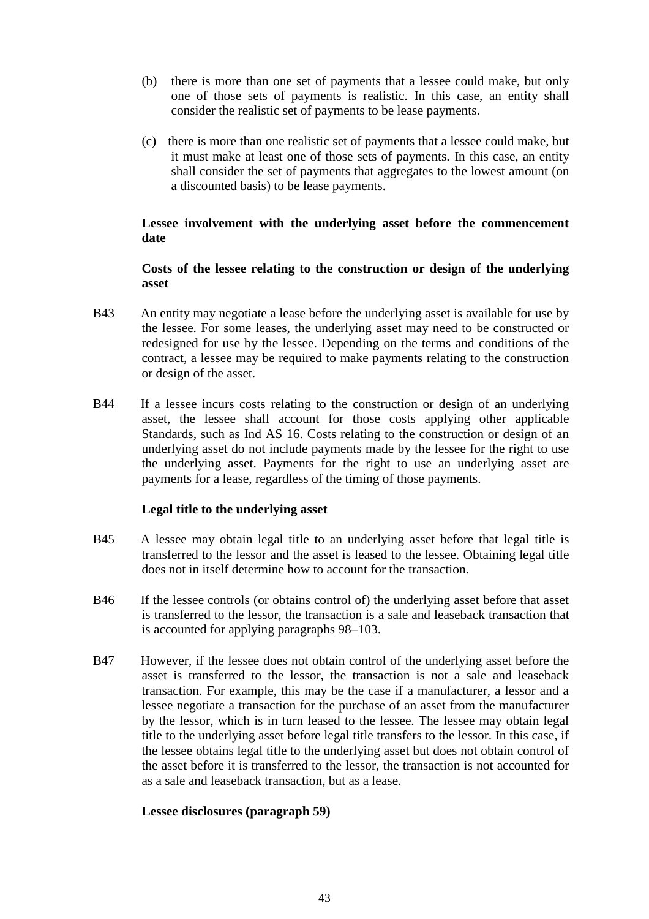- (b) there is more than one set of payments that a lessee could make, but only one of those sets of payments is realistic. In this case, an entity shall consider the realistic set of payments to be lease payments.
- (c) there is more than one realistic set of payments that a lessee could make, but it must make at least one of those sets of payments. In this case, an entity shall consider the set of payments that aggregates to the lowest amount (on a discounted basis) to be lease payments.

## **Lessee involvement with the underlying asset before the commencement date**

## **Costs of the lessee relating to the construction or design of the underlying asset**

- B43 An entity may negotiate a lease before the underlying asset is available for use by the lessee. For some leases, the underlying asset may need to be constructed or redesigned for use by the lessee. Depending on the terms and conditions of the contract, a lessee may be required to make payments relating to the construction or design of the asset.
- B44 If a lessee incurs costs relating to the construction or design of an underlying asset, the lessee shall account for those costs applying other applicable Standards, such as Ind AS 16. Costs relating to the construction or design of an underlying asset do not include payments made by the lessee for the right to use the underlying asset. Payments for the right to use an underlying asset are payments for a lease, regardless of the timing of those payments.

## **Legal title to the underlying asset**

- B45 A lessee may obtain legal title to an underlying asset before that legal title is transferred to the lessor and the asset is leased to the lessee. Obtaining legal title does not in itself determine how to account for the transaction.
- B46 If the lessee controls (or obtains control of) the underlying asset before that asset is transferred to the lessor, the transaction is a sale and leaseback transaction that is accounted for applying paragraphs 98–103.
- B47 However, if the lessee does not obtain control of the underlying asset before the asset is transferred to the lessor, the transaction is not a sale and leaseback transaction. For example, this may be the case if a manufacturer, a lessor and a lessee negotiate a transaction for the purchase of an asset from the manufacturer by the lessor, which is in turn leased to the lessee. The lessee may obtain legal title to the underlying asset before legal title transfers to the lessor. In this case, if the lessee obtains legal title to the underlying asset but does not obtain control of the asset before it is transferred to the lessor, the transaction is not accounted for as a sale and leaseback transaction, but as a lease.

## **Lessee disclosures (paragraph 59)**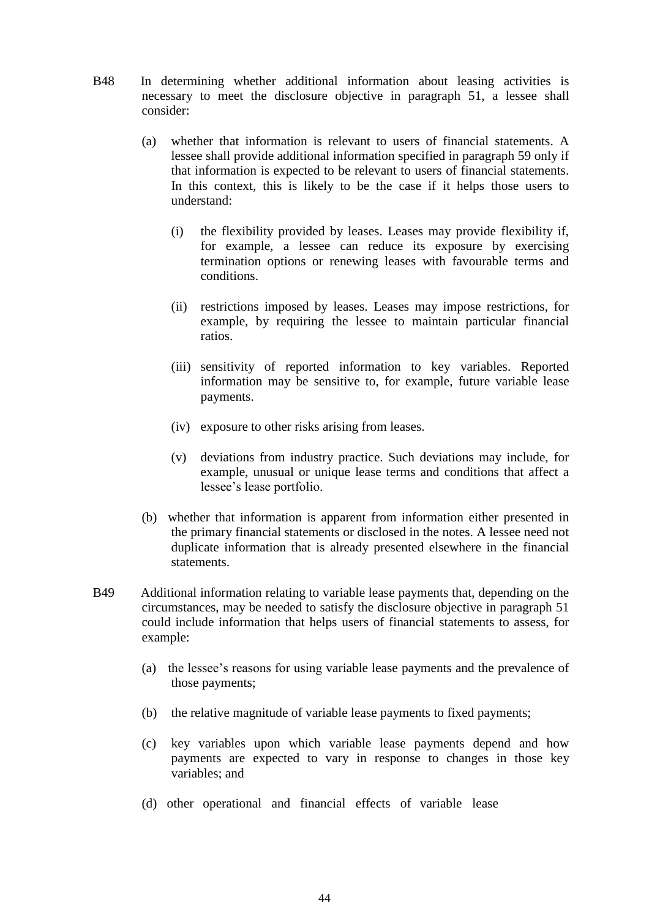- B48 In determining whether additional information about leasing activities is necessary to meet the disclosure objective in paragraph 51, a lessee shall consider:
	- (a) whether that information is relevant to users of financial statements. A lessee shall provide additional information specified in paragraph 59 only if that information is expected to be relevant to users of financial statements. In this context, this is likely to be the case if it helps those users to understand:
		- (i) the flexibility provided by leases. Leases may provide flexibility if, for example, a lessee can reduce its exposure by exercising termination options or renewing leases with favourable terms and conditions.
		- (ii) restrictions imposed by leases. Leases may impose restrictions, for example, by requiring the lessee to maintain particular financial ratios.
		- (iii) sensitivity of reported information to key variables. Reported information may be sensitive to, for example, future variable lease payments.
		- (iv) exposure to other risks arising from leases.
		- (v) deviations from industry practice. Such deviations may include, for example, unusual or unique lease terms and conditions that affect a lessee's lease portfolio.
	- (b) whether that information is apparent from information either presented in the primary financial statements or disclosed in the notes. A lessee need not duplicate information that is already presented elsewhere in the financial statements.
- B49 Additional information relating to variable lease payments that, depending on the circumstances, may be needed to satisfy the disclosure objective in paragraph 51 could include information that helps users of financial statements to assess, for example:
	- (a) the lessee's reasons for using variable lease payments and the prevalence of those payments;
	- (b) the relative magnitude of variable lease payments to fixed payments;
	- (c) key variables upon which variable lease payments depend and how payments are expected to vary in response to changes in those key variables; and
	- (d) other operational and financial effects of variable lease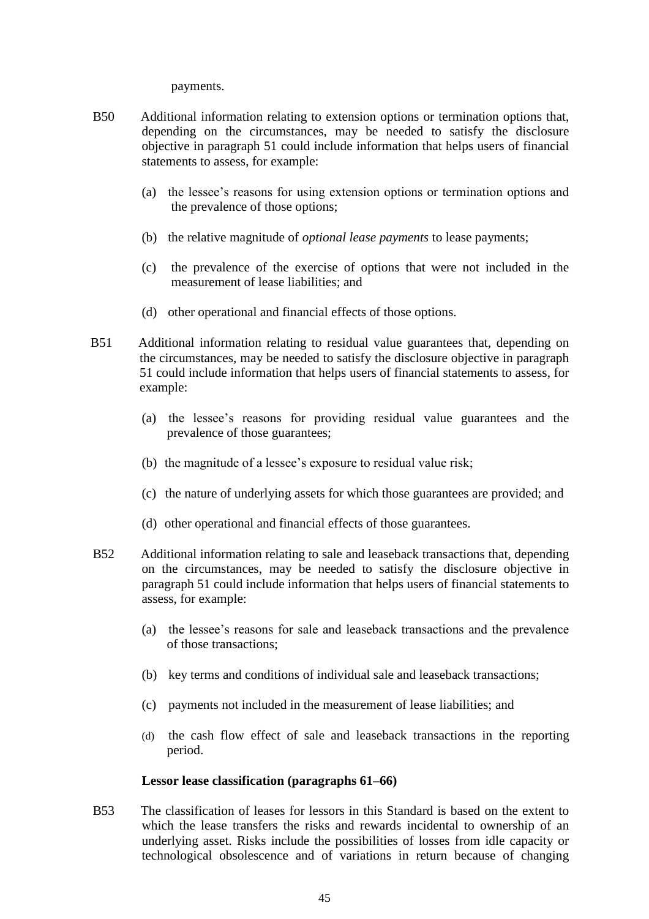payments.

- B50 Additional information relating to extension options or termination options that, depending on the circumstances, may be needed to satisfy the disclosure objective in paragraph 51 could include information that helps users of financial statements to assess, for example:
	- (a) the lessee's reasons for using extension options or termination options and the prevalence of those options;
	- (b) the relative magnitude of *optional lease payments* to lease payments;
	- (c) the prevalence of the exercise of options that were not included in the measurement of lease liabilities; and
	- (d) other operational and financial effects of those options.
- B51 Additional information relating to residual value guarantees that, depending on the circumstances, may be needed to satisfy the disclosure objective in paragraph 51 could include information that helps users of financial statements to assess, for example:
	- (a) the lessee's reasons for providing residual value guarantees and the prevalence of those guarantees;
	- (b) the magnitude of a lessee's exposure to residual value risk;
	- (c) the nature of underlying assets for which those guarantees are provided; and
	- (d) other operational and financial effects of those guarantees.
- B52 Additional information relating to sale and leaseback transactions that, depending on the circumstances, may be needed to satisfy the disclosure objective in paragraph 51 could include information that helps users of financial statements to assess, for example:
	- (a) the lessee's reasons for sale and leaseback transactions and the prevalence of those transactions;
	- (b) key terms and conditions of individual sale and leaseback transactions;
	- (c) payments not included in the measurement of lease liabilities; and
	- (d) the cash flow effect of sale and leaseback transactions in the reporting period.

### **Lessor lease classification (paragraphs 61–66)**

B53 The classification of leases for lessors in this Standard is based on the extent to which the lease transfers the risks and rewards incidental to ownership of an underlying asset. Risks include the possibilities of losses from idle capacity or technological obsolescence and of variations in return because of changing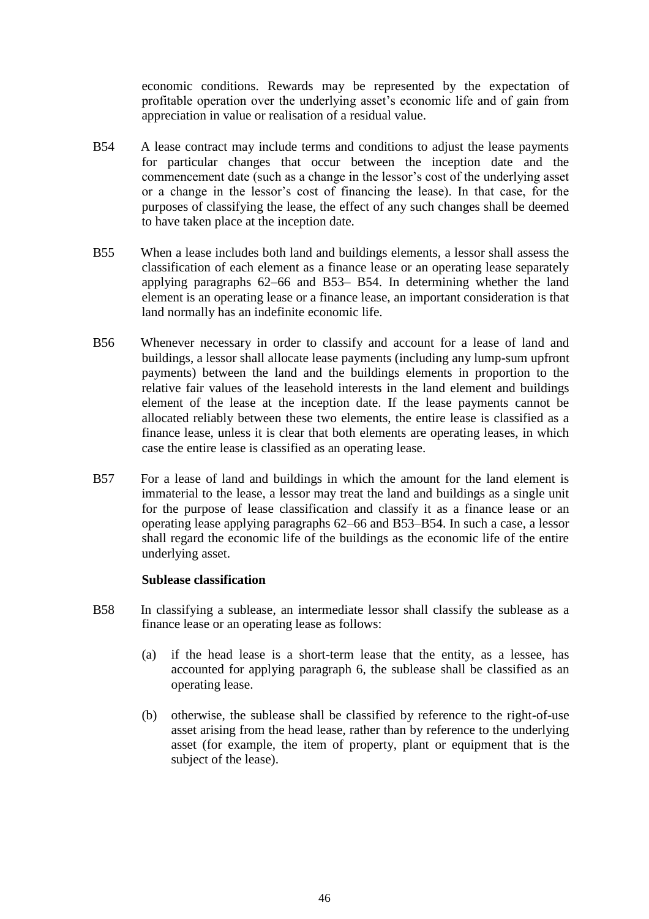economic conditions. Rewards may be represented by the expectation of profitable operation over the underlying asset's economic life and of gain from appreciation in value or realisation of a residual value.

- B54 A lease contract may include terms and conditions to adjust the lease payments for particular changes that occur between the inception date and the commencement date (such as a change in the lessor's cost of the underlying asset or a change in the lessor's cost of financing the lease). In that case, for the purposes of classifying the lease, the effect of any such changes shall be deemed to have taken place at the inception date.
- B55 When a lease includes both land and buildings elements, a lessor shall assess the classification of each element as a finance lease or an operating lease separately applying paragraphs 62–66 and B53– B54. In determining whether the land element is an operating lease or a finance lease, an important consideration is that land normally has an indefinite economic life.
- B56 Whenever necessary in order to classify and account for a lease of land and buildings, a lessor shall allocate lease payments (including any lump-sum upfront payments) between the land and the buildings elements in proportion to the relative fair values of the leasehold interests in the land element and buildings element of the lease at the inception date. If the lease payments cannot be allocated reliably between these two elements, the entire lease is classified as a finance lease, unless it is clear that both elements are operating leases, in which case the entire lease is classified as an operating lease.
- B57 For a lease of land and buildings in which the amount for the land element is immaterial to the lease, a lessor may treat the land and buildings as a single unit for the purpose of lease classification and classify it as a finance lease or an operating lease applying paragraphs 62–66 and B53–B54. In such a case, a lessor shall regard the economic life of the buildings as the economic life of the entire underlying asset.

### **Sublease classification**

- B58 In classifying a sublease, an intermediate lessor shall classify the sublease as a finance lease or an operating lease as follows:
	- (a) if the head lease is a short-term lease that the entity, as a lessee, has accounted for applying paragraph 6, the sublease shall be classified as an operating lease.
	- (b) otherwise, the sublease shall be classified by reference to the right-of-use asset arising from the head lease, rather than by reference to the underlying asset (for example, the item of property, plant or equipment that is the subject of the lease).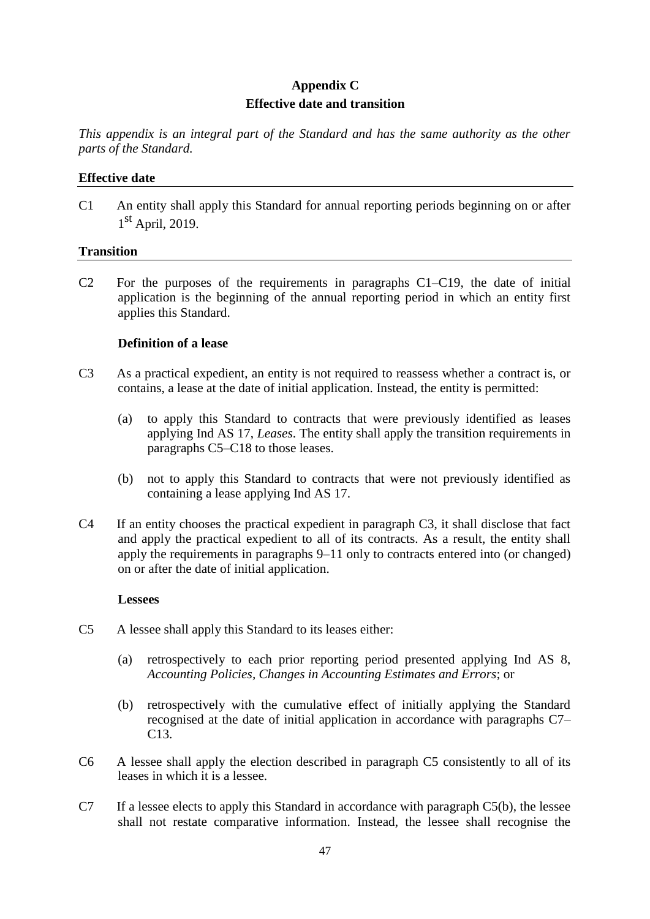# **Appendix C Effective date and transition**

*This appendix is an integral part of the Standard and has the same authority as the other parts of the Standard.*

## **Effective date**

C1 An entity shall apply this Standard for annual reporting periods beginning on or after 1<sup>st</sup> April, 2019.

## **Transition**

C2 For the purposes of the requirements in paragraphs C1–C19, the date of initial application is the beginning of the annual reporting period in which an entity first applies this Standard.

## **Definition of a lease**

- C3 As a practical expedient, an entity is not required to reassess whether a contract is, or contains, a lease at the date of initial application. Instead, the entity is permitted:
	- (a) to apply this Standard to contracts that were previously identified as leases applying Ind AS 17, *Leases*. The entity shall apply the transition requirements in paragraphs C5–C18 to those leases.
	- (b) not to apply this Standard to contracts that were not previously identified as containing a lease applying Ind AS 17.
- C4 If an entity chooses the practical expedient in paragraph C3, it shall disclose that fact and apply the practical expedient to all of its contracts. As a result, the entity shall apply the requirements in paragraphs 9–11 only to contracts entered into (or changed) on or after the date of initial application.

## **Lessees**

- C5 A lessee shall apply this Standard to its leases either:
	- (a) retrospectively to each prior reporting period presented applying Ind AS 8, *Accounting Policies, Changes in Accounting Estimates and Errors*; or
	- (b) retrospectively with the cumulative effect of initially applying the Standard recognised at the date of initial application in accordance with paragraphs C7– C13.
- C6 A lessee shall apply the election described in paragraph C5 consistently to all of its leases in which it is a lessee.
- C7 If a lessee elects to apply this Standard in accordance with paragraph C5(b), the lessee shall not restate comparative information. Instead, the lessee shall recognise the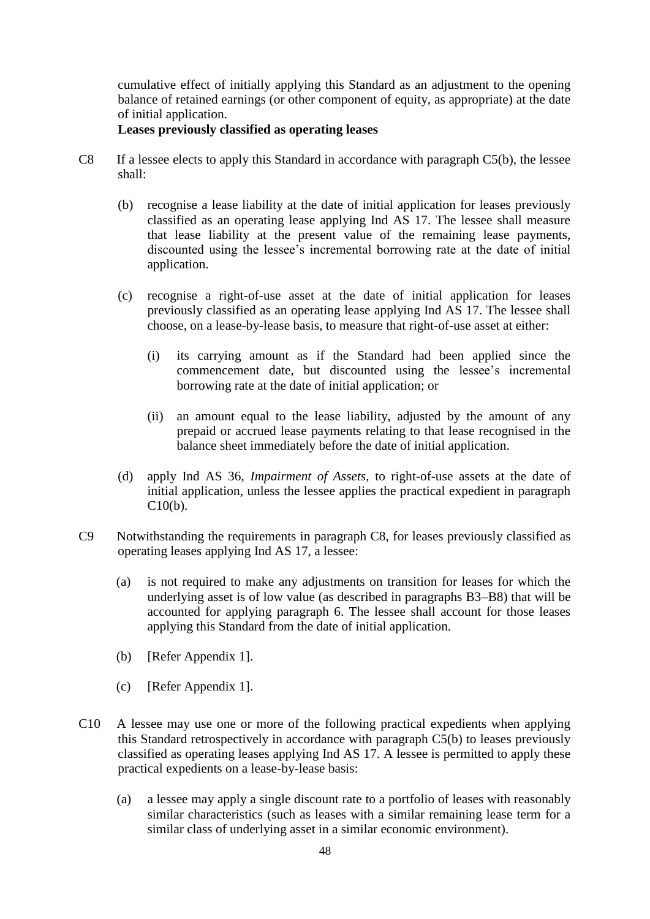cumulative effect of initially applying this Standard as an adjustment to the opening balance of retained earnings (or other component of equity, as appropriate) at the date of initial application.

## **Leases previously classified as operating leases**

- C8 If a lessee elects to apply this Standard in accordance with paragraph C5(b), the lessee shall:
	- (b) recognise a lease liability at the date of initial application for leases previously classified as an operating lease applying Ind AS 17. The lessee shall measure that lease liability at the present value of the remaining lease payments, discounted using the lessee's incremental borrowing rate at the date of initial application.
	- (c) recognise a right-of-use asset at the date of initial application for leases previously classified as an operating lease applying Ind AS 17. The lessee shall choose, on a lease-by-lease basis, to measure that right-of-use asset at either:
		- (i) its carrying amount as if the Standard had been applied since the commencement date, but discounted using the lessee's incremental borrowing rate at the date of initial application; or
		- (ii) an amount equal to the lease liability, adjusted by the amount of any prepaid or accrued lease payments relating to that lease recognised in the balance sheet immediately before the date of initial application.
	- (d) apply Ind AS 36, *Impairment of Assets*, to right-of-use assets at the date of initial application, unless the lessee applies the practical expedient in paragraph C10(b).
- C9 Notwithstanding the requirements in paragraph C8, for leases previously classified as operating leases applying Ind AS 17, a lessee:
	- (a) is not required to make any adjustments on transition for leases for which the underlying asset is of low value (as described in paragraphs B3–B8) that will be accounted for applying paragraph 6. The lessee shall account for those leases applying this Standard from the date of initial application.
	- (b) [Refer Appendix 1].
	- (c) [Refer Appendix 1].
- C10 A lessee may use one or more of the following practical expedients when applying this Standard retrospectively in accordance with paragraph C5(b) to leases previously classified as operating leases applying Ind AS 17. A lessee is permitted to apply these practical expedients on a lease-by-lease basis:
	- (a) a lessee may apply a single discount rate to a portfolio of leases with reasonably similar characteristics (such as leases with a similar remaining lease term for a similar class of underlying asset in a similar economic environment).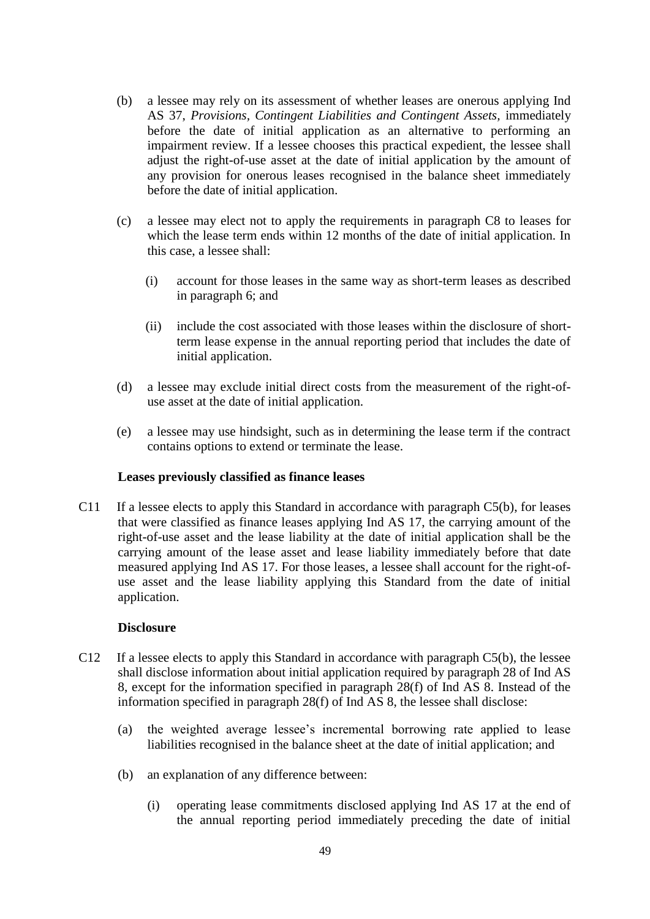- (b) a lessee may rely on its assessment of whether leases are onerous applying Ind AS 37, *Provisions, Contingent Liabilities and Contingent Assets,* immediately before the date of initial application as an alternative to performing an impairment review. If a lessee chooses this practical expedient, the lessee shall adjust the right-of-use asset at the date of initial application by the amount of any provision for onerous leases recognised in the balance sheet immediately before the date of initial application.
- (c) a lessee may elect not to apply the requirements in paragraph C8 to leases for which the lease term ends within 12 months of the date of initial application. In this case, a lessee shall:
	- (i) account for those leases in the same way as short-term leases as described in paragraph 6; and
	- (ii) include the cost associated with those leases within the disclosure of shortterm lease expense in the annual reporting period that includes the date of initial application.
- (d) a lessee may exclude initial direct costs from the measurement of the right-ofuse asset at the date of initial application.
- (e) a lessee may use hindsight, such as in determining the lease term if the contract contains options to extend or terminate the lease.

### **Leases previously classified as finance leases**

C11 If a lessee elects to apply this Standard in accordance with paragraph C5(b), for leases that were classified as finance leases applying Ind AS 17, the carrying amount of the right-of-use asset and the lease liability at the date of initial application shall be the carrying amount of the lease asset and lease liability immediately before that date measured applying Ind AS 17. For those leases, a lessee shall account for the right-ofuse asset and the lease liability applying this Standard from the date of initial application.

### **Disclosure**

- $C12$  If a lessee elects to apply this Standard in accordance with paragraph C5(b), the lessee shall disclose information about initial application required by paragraph 28 of Ind AS 8, except for the information specified in paragraph 28(f) of Ind AS 8. Instead of the information specified in paragraph 28(f) of Ind AS 8, the lessee shall disclose:
	- (a) the weighted average lessee's incremental borrowing rate applied to lease liabilities recognised in the balance sheet at the date of initial application; and
	- (b) an explanation of any difference between:
		- (i) operating lease commitments disclosed applying Ind AS 17 at the end of the annual reporting period immediately preceding the date of initial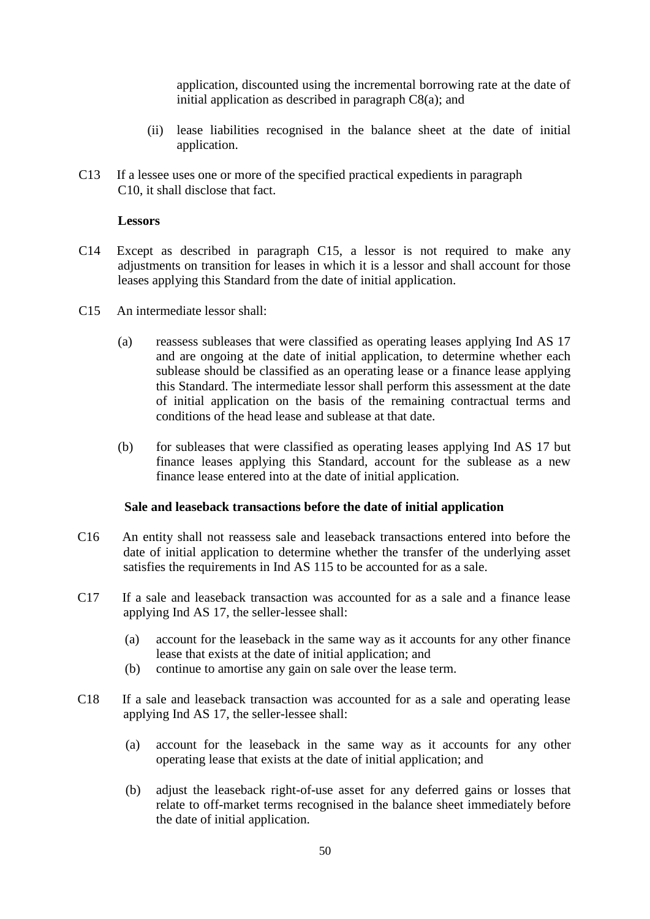application, discounted using the incremental borrowing rate at the date of initial application as described in paragraph C8(a); and

- (ii) lease liabilities recognised in the balance sheet at the date of initial application.
- C13 If a lessee uses one or more of the specified practical expedients in paragraph C10, it shall disclose that fact.

### **Lessors**

- C14 Except as described in paragraph C15, a lessor is not required to make any adjustments on transition for leases in which it is a lessor and shall account for those leases applying this Standard from the date of initial application.
- C15 An intermediate lessor shall:
	- (a) reassess subleases that were classified as operating leases applying Ind AS 17 and are ongoing at the date of initial application, to determine whether each sublease should be classified as an operating lease or a finance lease applying this Standard. The intermediate lessor shall perform this assessment at the date of initial application on the basis of the remaining contractual terms and conditions of the head lease and sublease at that date.
	- (b) for subleases that were classified as operating leases applying Ind AS 17 but finance leases applying this Standard, account for the sublease as a new finance lease entered into at the date of initial application.

### **Sale and leaseback transactions before the date of initial application**

- C16 An entity shall not reassess sale and leaseback transactions entered into before the date of initial application to determine whether the transfer of the underlying asset satisfies the requirements in Ind AS 115 to be accounted for as a sale.
- C17 If a sale and leaseback transaction was accounted for as a sale and a finance lease applying Ind AS 17, the seller-lessee shall:
	- (a) account for the leaseback in the same way as it accounts for any other finance lease that exists at the date of initial application; and
	- (b) continue to amortise any gain on sale over the lease term.
- C18 If a sale and leaseback transaction was accounted for as a sale and operating lease applying Ind AS 17, the seller-lessee shall:
	- (a) account for the leaseback in the same way as it accounts for any other operating lease that exists at the date of initial application; and
	- (b) adjust the leaseback right-of-use asset for any deferred gains or losses that relate to off-market terms recognised in the balance sheet immediately before the date of initial application.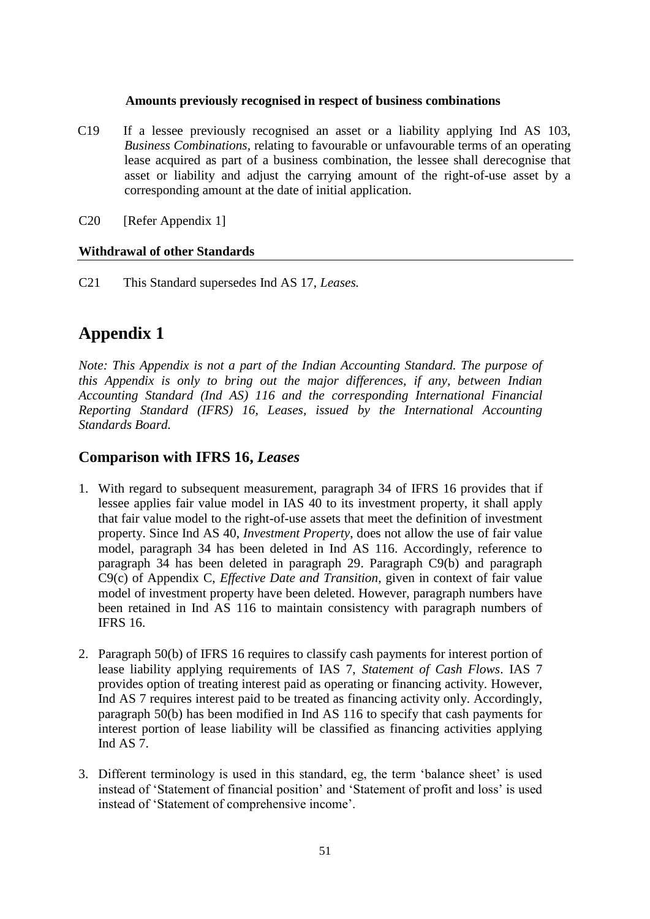### **Amounts previously recognised in respect of business combinations**

- C19 If a lessee previously recognised an asset or a liability applying Ind AS 103, *Business Combinations,* relating to favourable or unfavourable terms of an operating lease acquired as part of a business combination, the lessee shall derecognise that asset or liability and adjust the carrying amount of the right-of-use asset by a corresponding amount at the date of initial application.
- C<sub>20</sub> [Refer Appendix 1]

## **Withdrawal of other Standards**

C21 This Standard supersedes Ind AS 17, *Leases.*

# **Appendix 1**

*Note: This Appendix is not a part of the Indian Accounting Standard. The purpose of this Appendix is only to bring out the major differences, if any, between Indian Accounting Standard (Ind AS) 116 and the corresponding International Financial Reporting Standard (IFRS) 16, Leases, issued by the International Accounting Standards Board.*

# **Comparison with IFRS 16,** *Leases*

- 1. With regard to subsequent measurement, paragraph 34 of IFRS 16 provides that if lessee applies fair value model in IAS 40 to its investment property, it shall apply that fair value model to the right-of-use assets that meet the definition of investment property. Since Ind AS 40, *Investment Property*, does not allow the use of fair value model, paragraph 34 has been deleted in Ind AS 116. Accordingly, reference to paragraph 34 has been deleted in paragraph 29. Paragraph C9(b) and paragraph C9(c) of Appendix C, *Effective Date and Transition*, given in context of fair value model of investment property have been deleted. However, paragraph numbers have been retained in Ind AS 116 to maintain consistency with paragraph numbers of IFRS 16.
- 2. Paragraph 50(b) of IFRS 16 requires to classify cash payments for interest portion of lease liability applying requirements of IAS 7, *Statement of Cash Flows*. IAS 7 provides option of treating interest paid as operating or financing activity. However, Ind AS 7 requires interest paid to be treated as financing activity only. Accordingly, paragraph 50(b) has been modified in Ind AS 116 to specify that cash payments for interest portion of lease liability will be classified as financing activities applying Ind AS 7.
- 3. Different terminology is used in this standard, eg, the term 'balance sheet' is used instead of 'Statement of financial position' and 'Statement of profit and loss' is used instead of 'Statement of comprehensive income'.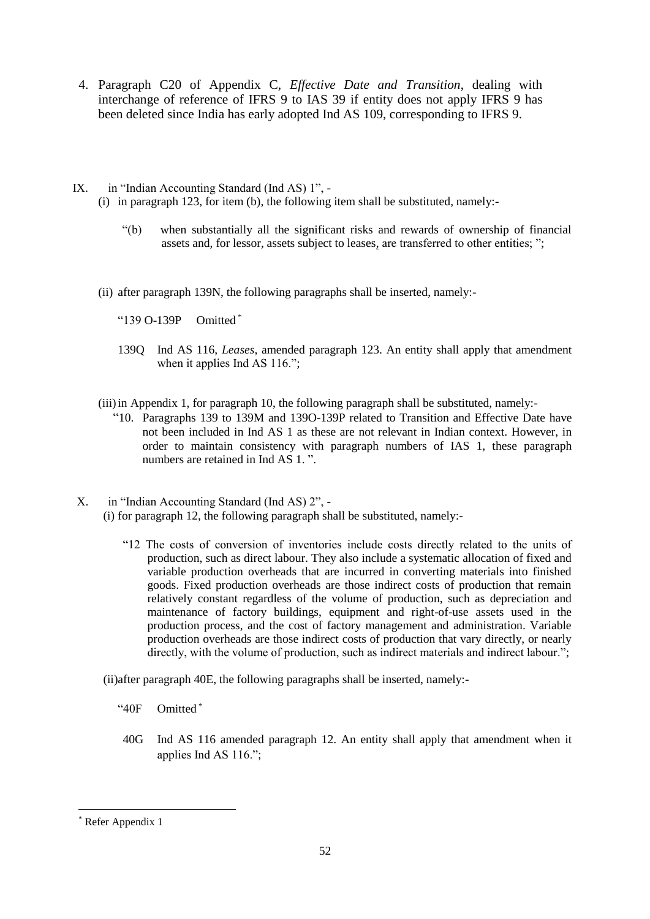- 4. Paragraph C20 of Appendix C, *Effective Date and Transition*, dealing with interchange of reference of IFRS 9 to IAS 39 if entity does not apply IFRS 9 has been deleted since India has early adopted Ind AS 109, corresponding to IFRS 9.
- IX. in "Indian Accounting Standard (Ind AS) 1", (i) in paragraph 123, for item (b), the following item shall be substituted, namely:-
	- "(b) when substantially all the significant risks and rewards of ownership of financial assets and, for lessor, assets subject to leases, are transferred to other entities; ";
	- (ii) after paragraph 139N, the following paragraphs shall be inserted, namely:-
		- "139 O-139P Omitted \*
		- 139Q Ind AS 116, *Leases*, amended paragraph 123. An entity shall apply that amendment when it applies Ind AS 116.";
	- (iii) in Appendix 1, for paragraph 10, the following paragraph shall be substituted, namely:-
		- "10. Paragraphs 139 to 139M and 139O-139P related to Transition and Effective Date have not been included in Ind AS 1 as these are not relevant in Indian context. However, in order to maintain consistency with paragraph numbers of IAS 1, these paragraph numbers are retained in Ind AS 1.".
- X. in "Indian Accounting Standard (Ind AS) 2", (i) for paragraph 12, the following paragraph shall be substituted, namely:-
	- "12 The costs of conversion of inventories include costs directly related to the units of production, such as direct labour. They also include a systematic allocation of fixed and variable production overheads that are incurred in converting materials into finished goods. Fixed production overheads are those indirect costs of production that remain relatively constant regardless of the volume of production, such as depreciation and maintenance of factory buildings, equipment and right-of-use assets used in the production process, and the cost of factory management and administration. Variable production overheads are those indirect costs of production that vary directly, or nearly directly, with the volume of production, such as indirect materials and indirect labour.";

(ii)after paragraph 40E, the following paragraphs shall be inserted, namely:-

- "40F Omitted \*
- 40G Ind AS 116 amended paragraph 12. An entity shall apply that amendment when it applies Ind AS 116.";

<sup>\*</sup> Refer Appendix 1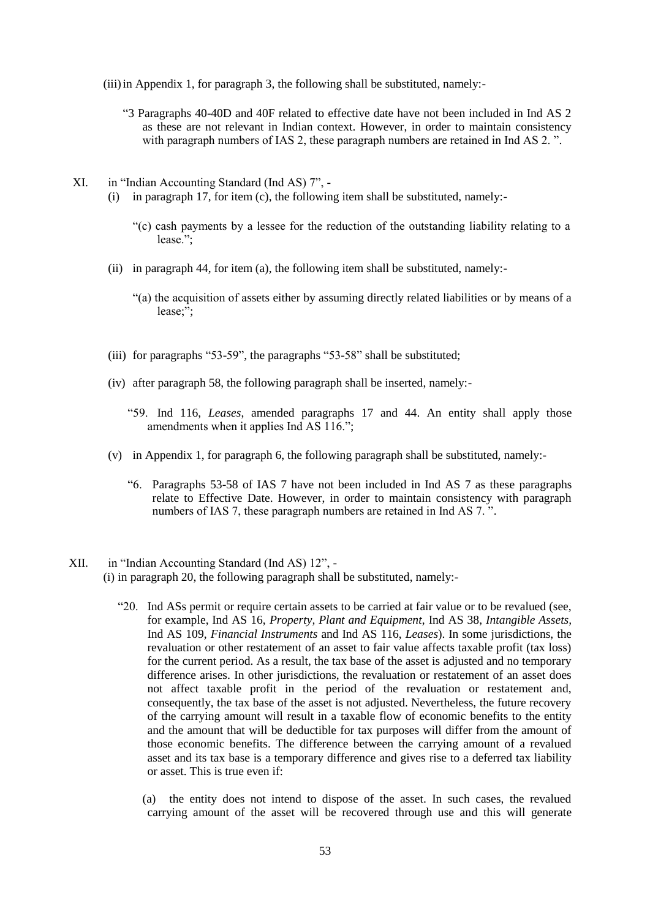- (iii)in Appendix 1, for paragraph 3, the following shall be substituted, namely:-
	- "3 Paragraphs 40-40D and 40F related to effective date have not been included in Ind AS 2 as these are not relevant in Indian context. However, in order to maintain consistency with paragraph numbers of IAS 2, these paragraph numbers are retained in Ind AS 2.".
- XI. in "Indian Accounting Standard (Ind AS) 7",
	- (i) in paragraph 17, for item (c), the following item shall be substituted, namely:-
		- "(c) cash payments by a lessee for the reduction of the outstanding liability relating to a lease.";
	- (ii) in paragraph 44, for item (a), the following item shall be substituted, namely:-
		- "(a) the acquisition of assets either by assuming directly related liabilities or by means of a lease: $\overline{r}$ :
	- (iii) for paragraphs "53-59", the paragraphs "53-58" shall be substituted;
	- (iv) after paragraph 58, the following paragraph shall be inserted, namely:-
		- "59. Ind 116, *Leases*, amended paragraphs 17 and 44. An entity shall apply those amendments when it applies Ind AS 116.";
	- (v) in Appendix 1, for paragraph 6, the following paragraph shall be substituted, namely:-
		- "6. Paragraphs 53-58 of IAS 7 have not been included in Ind AS 7 as these paragraphs relate to Effective Date. However, in order to maintain consistency with paragraph numbers of IAS 7, these paragraph numbers are retained in Ind AS 7. ".

### XII. in "Indian Accounting Standard (Ind AS) 12", - (i) in paragraph 20, the following paragraph shall be substituted, namely:-

"20. Ind ASs permit or require certain assets to be carried at fair value or to be revalued (see, for example, Ind AS 16, *Property, Plant and Equipment*, Ind AS 38, *Intangible Assets,* Ind AS 109, *Financial Instruments* and Ind AS 116, *Leases*). In some jurisdictions, the revaluation or other restatement of an asset to fair value affects taxable profit (tax loss) for the current period. As a result, the tax base of the asset is adjusted and no temporary difference arises. In other jurisdictions, the revaluation or restatement of an asset does not affect taxable profit in the period of the revaluation or restatement and, consequently, the tax base of the asset is not adjusted. Nevertheless, the future recovery of the carrying amount will result in a taxable flow of economic benefits to the entity and the amount that will be deductible for tax purposes will differ from the amount of those economic benefits. The difference between the carrying amount of a revalued asset and its tax base is a temporary difference and gives rise to a deferred tax liability or asset. This is true even if:

(a) the entity does not intend to dispose of the asset. In such cases, the revalued carrying amount of the asset will be recovered through use and this will generate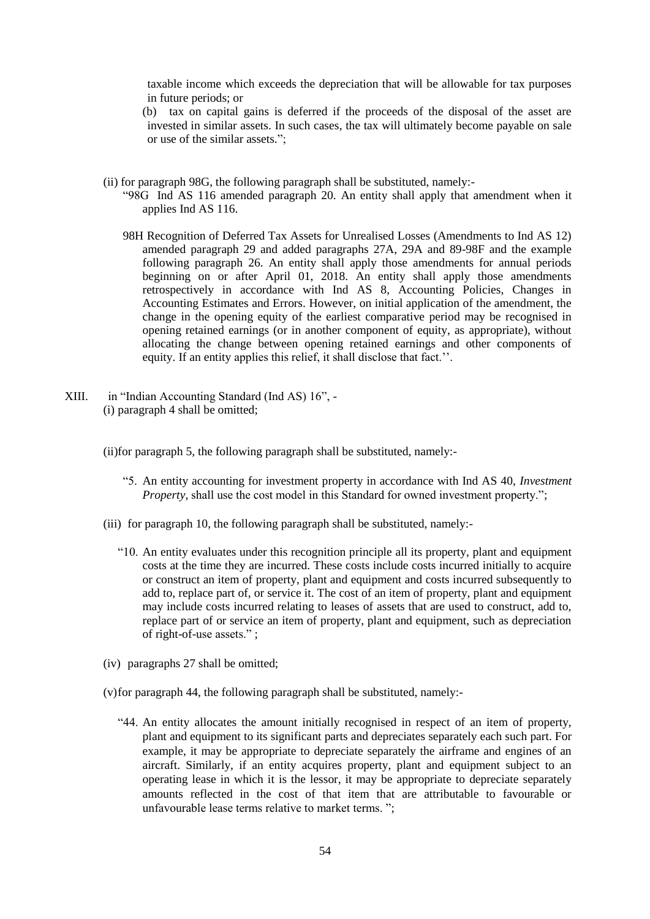taxable income which exceeds the depreciation that will be allowable for tax purposes in future periods; or

(b) tax on capital gains is deferred if the proceeds of the disposal of the asset are invested in similar assets. In such cases, the tax will ultimately become payable on sale or use of the similar assets.";

- (ii) for paragraph 98G, the following paragraph shall be substituted, namely:-
	- "98G Ind AS 116 amended paragraph 20. An entity shall apply that amendment when it applies Ind AS 116.
	- 98H Recognition of Deferred Tax Assets for Unrealised Losses (Amendments to Ind AS 12) amended paragraph 29 and added paragraphs 27A, 29A and 89-98F and the example following paragraph 26. An entity shall apply those amendments for annual periods beginning on or after April 01, 2018. An entity shall apply those amendments retrospectively in accordance with Ind AS 8, Accounting Policies, Changes in Accounting Estimates and Errors. However, on initial application of the amendment, the change in the opening equity of the earliest comparative period may be recognised in opening retained earnings (or in another component of equity, as appropriate), without allocating the change between opening retained earnings and other components of equity. If an entity applies this relief, it shall disclose that fact.''.
- XIII. in "Indian Accounting Standard (Ind AS) 16", (i) paragraph 4 shall be omitted;

(ii)for paragraph 5, the following paragraph shall be substituted, namely:-

- "5. An entity accounting for investment property in accordance with Ind AS 40, *Investment Property*, shall use the cost model in this Standard for owned investment property.";
- (iii) for paragraph 10, the following paragraph shall be substituted, namely:-
	- "10. An entity evaluates under this recognition principle all its property, plant and equipment costs at the time they are incurred. These costs include costs incurred initially to acquire or construct an item of property, plant and equipment and costs incurred subsequently to add to, replace part of, or service it. The cost of an item of property, plant and equipment may include costs incurred relating to leases of assets that are used to construct, add to, replace part of or service an item of property, plant and equipment, such as depreciation of right-of-use assets." ;
- (iv) paragraphs 27 shall be omitted;

(v)for paragraph 44, the following paragraph shall be substituted, namely:-

"44. An entity allocates the amount initially recognised in respect of an item of property, plant and equipment to its significant parts and depreciates separately each such part. For example, it may be appropriate to depreciate separately the airframe and engines of an aircraft. Similarly, if an entity acquires property, plant and equipment subject to an operating lease in which it is the lessor, it may be appropriate to depreciate separately amounts reflected in the cost of that item that are attributable to favourable or unfavourable lease terms relative to market terms. ";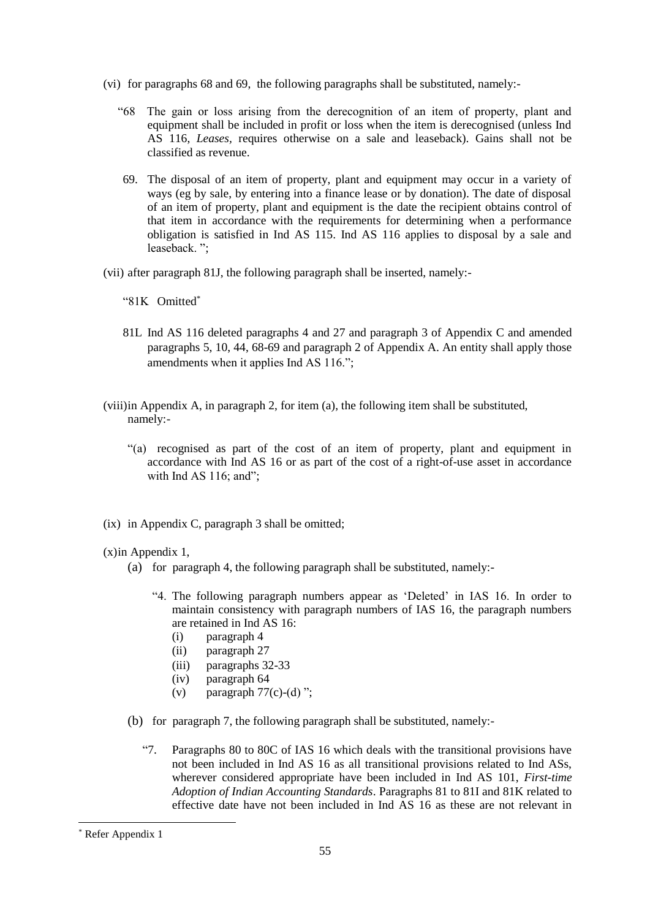- (vi) for paragraphs 68 and 69, the following paragraphs shall be substituted, namely:-
	- "68 The gain or loss arising from the derecognition of an item of property, plant and equipment shall be included in profit or loss when the item is derecognised (unless Ind AS 116, *Leases,* requires otherwise on a sale and leaseback). Gains shall not be classified as revenue.
	- 69. The disposal of an item of property, plant and equipment may occur in a variety of ways (eg by sale, by entering into a finance lease or by donation). The date of disposal of an item of property, plant and equipment is the date the recipient obtains control of that item in accordance with the requirements for determining when a performance obligation is satisfied in Ind AS 115. Ind AS 116 applies to disposal by a sale and leaseback. ";
- (vii) after paragraph 81J, the following paragraph shall be inserted, namely:-
	- "81K Omitted\*
	- 81L Ind AS 116 deleted paragraphs 4 and 27 and paragraph 3 of Appendix C and amended paragraphs 5, 10, 44, 68-69 and paragraph 2 of Appendix A. An entity shall apply those amendments when it applies Ind AS 116.";
- (viii)in Appendix A, in paragraph 2, for item (a), the following item shall be substituted, namely:-
	- "(a) recognised as part of the cost of an item of property, plant and equipment in accordance with Ind AS 16 or as part of the cost of a right-of-use asset in accordance with Ind AS 116; and":
- (ix) in Appendix C, paragraph 3 shall be omitted;
- (x)in Appendix 1,
	- (a) for paragraph 4, the following paragraph shall be substituted, namely:-
		- "4. The following paragraph numbers appear as 'Deleted' in IAS 16. In order to maintain consistency with paragraph numbers of IAS 16, the paragraph numbers are retained in Ind AS 16:
			- (i) paragraph 4
			- (ii) paragraph 27
			- (iii) paragraphs 32-33
			- (iv) paragraph 64
			- (v) paragraph  $77(c)-(d)$ ";
	- (b) for paragraph 7, the following paragraph shall be substituted, namely:-
		- "7. Paragraphs 80 to 80C of IAS 16 which deals with the transitional provisions have not been included in Ind AS 16 as all transitional provisions related to Ind ASs, wherever considered appropriate have been included in Ind AS 101, *First-time Adoption of Indian Accounting Standards*. Paragraphs 81 to 81I and 81K related to effective date have not been included in Ind AS 16 as these are not relevant in

<sup>\*</sup> Refer Appendix 1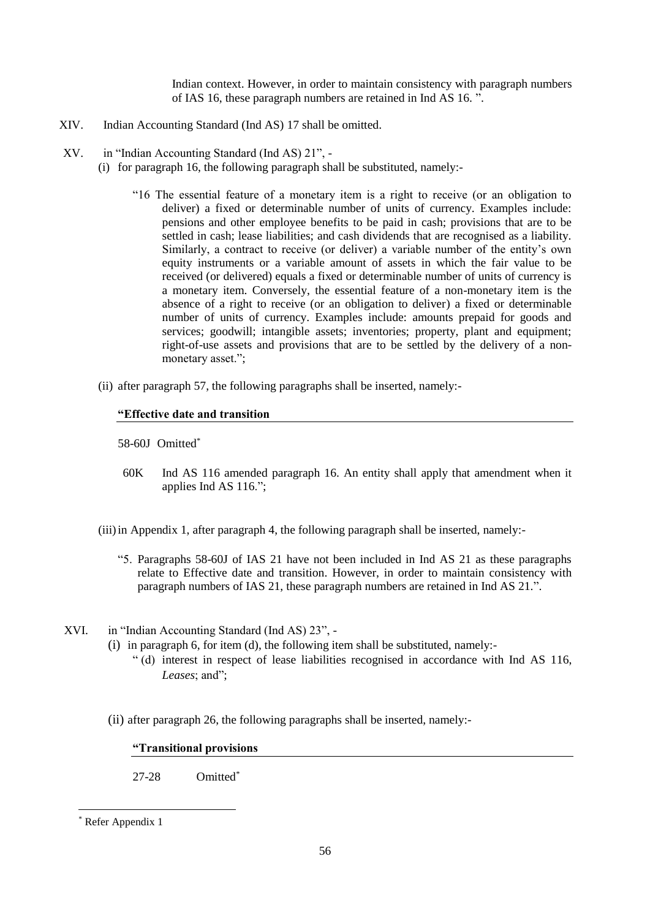Indian context. However, in order to maintain consistency with paragraph numbers of IAS 16, these paragraph numbers are retained in Ind AS 16. ".

- XIV. Indian Accounting Standard (Ind AS) 17 shall be omitted.
- XV. in "Indian Accounting Standard (Ind AS) 21",
	- (i) for paragraph 16, the following paragraph shall be substituted, namely:-
		- "16 The essential feature of a monetary item is a right to receive (or an obligation to deliver) a fixed or determinable number of units of currency. Examples include: pensions and other employee benefits to be paid in cash; provisions that are to be settled in cash; lease liabilities; and cash dividends that are recognised as a liability. Similarly, a contract to receive (or deliver) a variable number of the entity's own equity instruments or a variable amount of assets in which the fair value to be received (or delivered) equals a fixed or determinable number of units of currency is a monetary item. Conversely, the essential feature of a non-monetary item is the absence of a right to receive (or an obligation to deliver) a fixed or determinable number of units of currency. Examples include: amounts prepaid for goods and services: goodwill; intangible assets; inventories; property, plant and equipment; right-of-use assets and provisions that are to be settled by the delivery of a nonmonetary asset.":
	- (ii) after paragraph 57, the following paragraphs shall be inserted, namely:-

### **"Effective date and transition**

58-60J Omitted\*

- 60K Ind AS 116 amended paragraph 16. An entity shall apply that amendment when it applies Ind AS 116.";
- (iii)in Appendix 1, after paragraph 4, the following paragraph shall be inserted, namely:-
	- "5. Paragraphs 58-60J of IAS 21 have not been included in Ind AS 21 as these paragraphs relate to Effective date and transition. However, in order to maintain consistency with paragraph numbers of IAS 21, these paragraph numbers are retained in Ind AS 21.".
- XVI. in "Indian Accounting Standard (Ind AS) 23",
	- (i) in paragraph 6, for item (d), the following item shall be substituted, namely:-
		- " (d) interest in respect of lease liabilities recognised in accordance with Ind AS 116, *Leases*; and";
	- (ii) after paragraph 26, the following paragraphs shall be inserted, namely:-

### **"Transitional provisions**

27-28 Omitted\*

<sup>\*</sup> Refer Appendix 1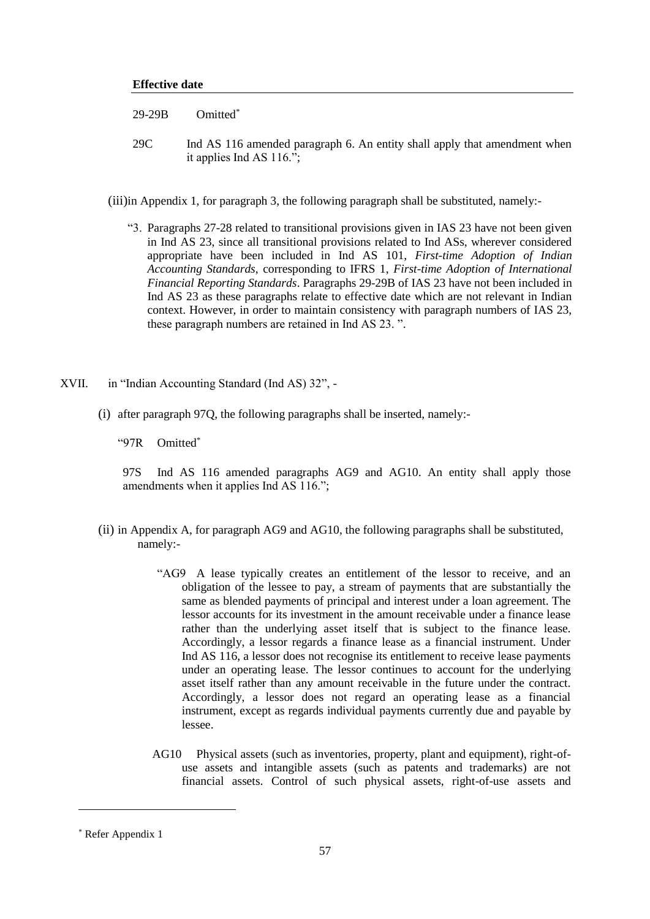#### **Effective date**

- 29-29B Omitted\*
- 29C Ind AS 116 amended paragraph 6. An entity shall apply that amendment when it applies Ind AS 116.";

(iii)in Appendix 1, for paragraph 3, the following paragraph shall be substituted, namely:-

- "3. Paragraphs 27-28 related to transitional provisions given in IAS 23 have not been given in Ind AS 23, since all transitional provisions related to Ind ASs, wherever considered appropriate have been included in Ind AS 101, *First-time Adoption of Indian Accounting Standards*, corresponding to IFRS 1, *First-time Adoption of International Financial Reporting Standards*. Paragraphs 29-29B of IAS 23 have not been included in Ind AS 23 as these paragraphs relate to effective date which are not relevant in Indian context. However, in order to maintain consistency with paragraph numbers of IAS 23, these paragraph numbers are retained in Ind AS 23. ".
- XVII. in "Indian Accounting Standard (Ind AS) 32",
	- (i) after paragraph 97Q, the following paragraphs shall be inserted, namely:-
		- "97R Omitted\*

97S Ind AS 116 amended paragraphs AG9 and AG10. An entity shall apply those amendments when it applies Ind AS 116.";

- (ii) in Appendix A, for paragraph AG9 and AG10, the following paragraphs shall be substituted, namely:-
	- "AG9 A lease typically creates an entitlement of the lessor to receive, and an obligation of the lessee to pay, a stream of payments that are substantially the same as blended payments of principal and interest under a loan agreement. The lessor accounts for its investment in the amount receivable under a finance lease rather than the underlying asset itself that is subject to the finance lease. Accordingly, a lessor regards a finance lease as a financial instrument. Under Ind AS 116, a lessor does not recognise its entitlement to receive lease payments under an operating lease. The lessor continues to account for the underlying asset itself rather than any amount receivable in the future under the contract. Accordingly, a lessor does not regard an operating lease as a financial instrument, except as regards individual payments currently due and payable by lessee.
	- AG10 Physical assets (such as inventories, property, plant and equipment), right-ofuse assets and intangible assets (such as patents and trademarks) are not financial assets. Control of such physical assets, right-of-use assets and

<sup>\*</sup> Refer Appendix 1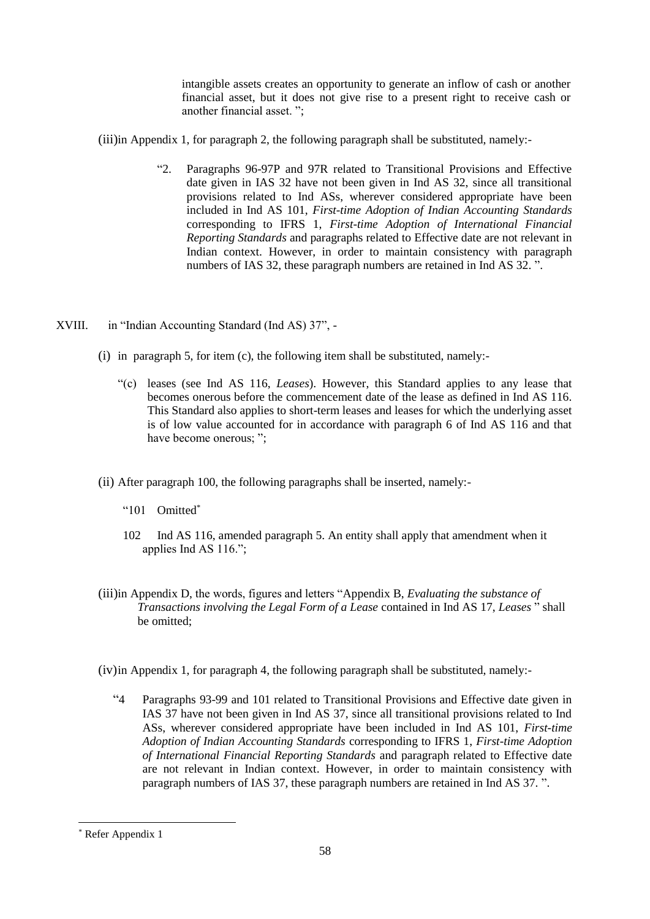intangible assets creates an opportunity to generate an inflow of cash or another financial asset, but it does not give rise to a present right to receive cash or another financial asset. ";

(iii)in Appendix 1, for paragraph 2, the following paragraph shall be substituted, namely:-

- "2. Paragraphs 96-97P and 97R related to Transitional Provisions and Effective date given in IAS 32 have not been given in Ind AS 32, since all transitional provisions related to Ind ASs, wherever considered appropriate have been included in Ind AS 101, *First-time Adoption of Indian Accounting Standards*  corresponding to IFRS 1, *First-time Adoption of International Financial Reporting Standards* and paragraphs related to Effective date are not relevant in Indian context. However, in order to maintain consistency with paragraph numbers of IAS 32, these paragraph numbers are retained in Ind AS 32.".
- XVIII. in "Indian Accounting Standard (Ind AS) 37",
	- (i) in paragraph 5, for item (c), the following item shall be substituted, namely:-
		- "(c) leases (see Ind AS 116, *Leases*). However, this Standard applies to any lease that becomes onerous before the commencement date of the lease as defined in Ind AS 116. This Standard also applies to short-term leases and leases for which the underlying asset is of low value accounted for in accordance with paragraph 6 of Ind AS 116 and that have become onerous: ":
	- (ii) After paragraph 100, the following paragraphs shall be inserted, namely:-
		- "101 Omitted\*
		- 102 Ind AS 116, amended paragraph 5. An entity shall apply that amendment when it applies Ind AS 116.";
	- (iii)in Appendix D, the words, figures and letters "Appendix B, *Evaluating the substance of Transactions involving the Legal Form of a Lease* contained in Ind AS 17, *Leases* " shall be omitted;
	- (iv)in Appendix 1, for paragraph 4, the following paragraph shall be substituted, namely:-
		- "4 Paragraphs 93-99 and 101 related to Transitional Provisions and Effective date given in IAS 37 have not been given in Ind AS 37, since all transitional provisions related to Ind ASs, wherever considered appropriate have been included in Ind AS 101, *First-time Adoption of Indian Accounting Standards* corresponding to IFRS 1, *First-time Adoption of International Financial Reporting Standards* and paragraph related to Effective date are not relevant in Indian context. However, in order to maintain consistency with paragraph numbers of IAS 37, these paragraph numbers are retained in Ind AS 37. ".

<sup>\*</sup> Refer Appendix 1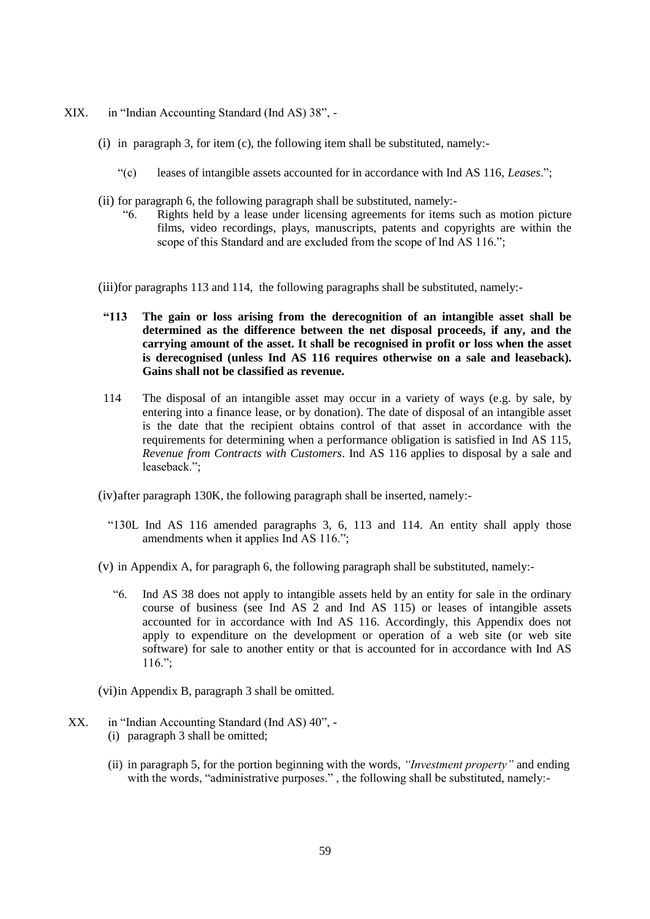- XIX. in "Indian Accounting Standard (Ind AS) 38",
	- (i) in paragraph 3, for item (c), the following item shall be substituted, namely:-
		- "(c) leases of intangible assets accounted for in accordance with Ind AS 116, *Leases*.";
	- (ii) for paragraph 6, the following paragraph shall be substituted, namely:-
		- "6. Rights held by a lease under licensing agreements for items such as motion picture films, video recordings, plays, manuscripts, patents and copyrights are within the scope of this Standard and are excluded from the scope of Ind AS 116.";

(iii)for paragraphs 113 and 114, the following paragraphs shall be substituted, namely:-

- **"113 The gain or loss arising from the derecognition of an intangible asset shall be determined as the difference between the net disposal proceeds, if any, and the carrying amount of the asset. It shall be recognised in profit or loss when the asset is derecognised (unless Ind AS 116 requires otherwise on a sale and leaseback). Gains shall not be classified as revenue.**
- 114 The disposal of an intangible asset may occur in a variety of ways (e.g. by sale, by entering into a finance lease, or by donation). The date of disposal of an intangible asset is the date that the recipient obtains control of that asset in accordance with the requirements for determining when a performance obligation is satisfied in Ind AS 115, *Revenue from Contracts with Customers*. Ind AS 116 applies to disposal by a sale and leaseback.";
- (iv)after paragraph 130K, the following paragraph shall be inserted, namely:-
	- "130L Ind AS 116 amended paragraphs 3, 6, 113 and 114. An entity shall apply those amendments when it applies Ind AS 116.";
- (v) in Appendix A, for paragraph 6, the following paragraph shall be substituted, namely:-
	- "6. Ind AS 38 does not apply to intangible assets held by an entity for sale in the ordinary course of business (see Ind AS 2 and Ind AS 115) or leases of intangible assets accounted for in accordance with Ind AS 116. Accordingly, this Appendix does not apply to expenditure on the development or operation of a web site (or web site software) for sale to another entity or that is accounted for in accordance with Ind AS 116.";

(vi)in Appendix B, paragraph 3 shall be omitted.

- XX. in "Indian Accounting Standard (Ind AS) 40",
	- (i) paragraph 3 shall be omitted;
	- (ii) in paragraph 5, for the portion beginning with the words, *"Investment property"* and ending with the words, "administrative purposes." , the following shall be substituted, namely:-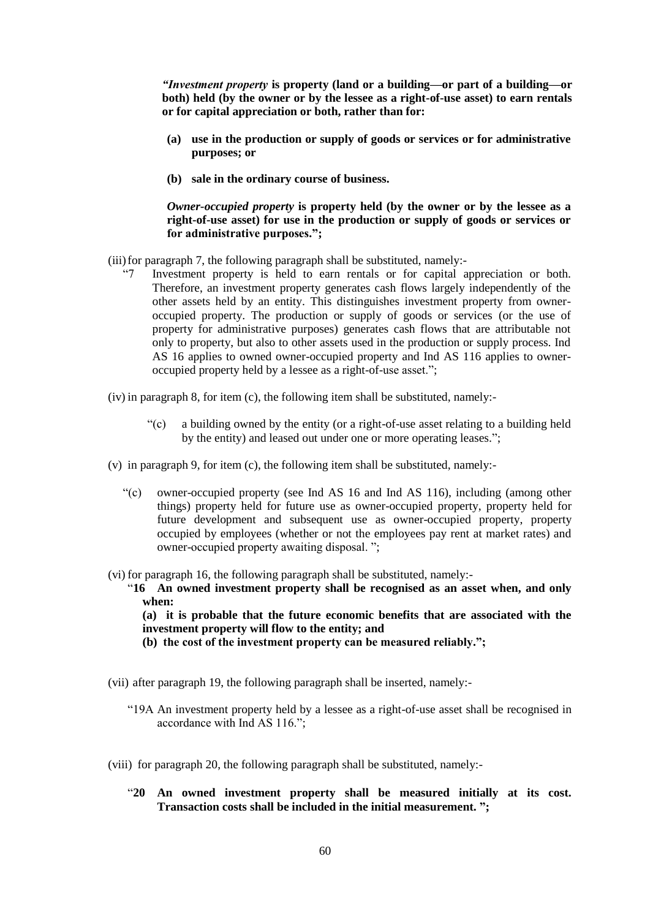*"Investment property* **is property (land or a building—or part of a building—or both) held (by the owner or by the lessee as a right-of-use asset) to earn rentals or for capital appreciation or both, rather than for:**

- **(a) use in the production or supply of goods or services or for administrative purposes; or**
- **(b) sale in the ordinary course of business.**

*Owner-occupied property* **is property held (by the owner or by the lessee as a right-of-use asset) for use in the production or supply of goods or services or for administrative purposes.";**

- (iii) for paragraph 7, the following paragraph shall be substituted, namely:-
	- "7 Investment property is held to earn rentals or for capital appreciation or both. Therefore, an investment property generates cash flows largely independently of the other assets held by an entity. This distinguishes investment property from owneroccupied property. The production or supply of goods or services (or the use of property for administrative purposes) generates cash flows that are attributable not only to property, but also to other assets used in the production or supply process. Ind AS 16 applies to owned owner-occupied property and Ind AS 116 applies to owneroccupied property held by a lessee as a right-of-use asset.";
- (iv) in paragraph 8, for item (c), the following item shall be substituted, namely:-
	- "(c) a building owned by the entity (or a right-of-use asset relating to a building held by the entity) and leased out under one or more operating leases.";
- (v) in paragraph 9, for item (c), the following item shall be substituted, namely:-
	- "(c) owner-occupied property (see Ind AS 16 and Ind AS 116), including (among other things) property held for future use as owner-occupied property, property held for future development and subsequent use as owner-occupied property, property occupied by employees (whether or not the employees pay rent at market rates) and owner-occupied property awaiting disposal. ";
- (vi) for paragraph 16, the following paragraph shall be substituted, namely:-
	- "**16 An owned investment property shall be recognised as an asset when, and only when:**

**(a) it is probable that the future economic benefits that are associated with the investment property will flow to the entity; and**

- **(b) the cost of the investment property can be measured reliably.";**
- (vii) after paragraph 19, the following paragraph shall be inserted, namely:-
	- "19A An investment property held by a lessee as a right-of-use asset shall be recognised in accordance with Ind AS 116.";
- (viii) for paragraph 20, the following paragraph shall be substituted, namely:-
	- "**20 An owned investment property shall be measured initially at its cost. Transaction costs shall be included in the initial measurement. ";**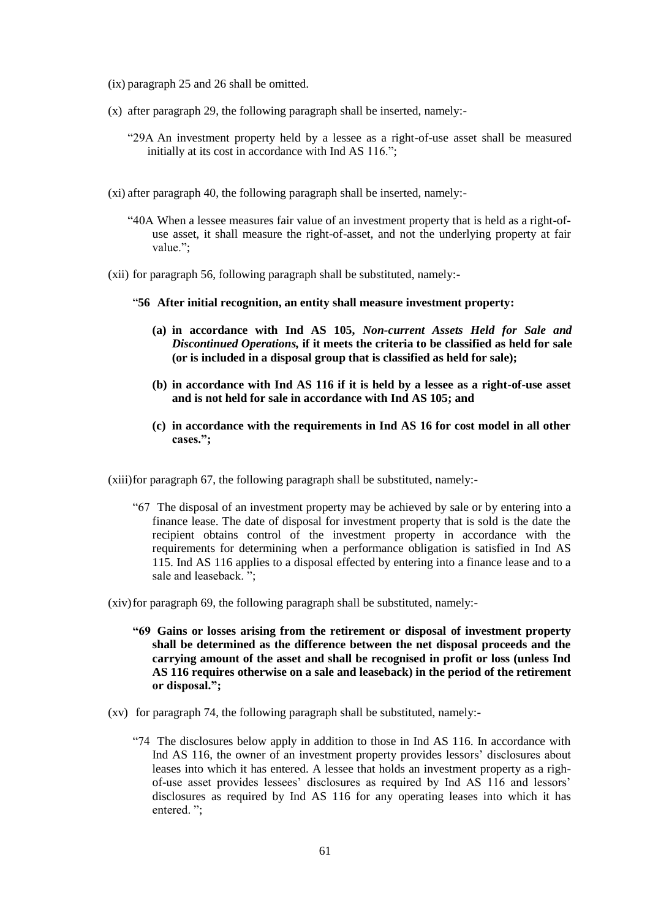- (ix) paragraph 25 and 26 shall be omitted.
- (x) after paragraph 29, the following paragraph shall be inserted, namely:-
	- "29A An investment property held by a lessee as a right-of-use asset shall be measured initially at its cost in accordance with Ind AS 116.";
- (xi) after paragraph 40, the following paragraph shall be inserted, namely:-
	- "40A When a lessee measures fair value of an investment property that is held as a right-ofuse asset, it shall measure the right-of-asset, and not the underlying property at fair value.":
- (xii) for paragraph 56, following paragraph shall be substituted, namely:-
	- "**56 After initial recognition, an entity shall measure investment property:**
		- **(a) in accordance with Ind AS 105,** *Non-current Assets Held for Sale and Discontinued Operations,* **if it meets the criteria to be classified as held for sale (or is included in a disposal group that is classified as held for sale);**
		- **(b) in accordance with Ind AS 116 if it is held by a lessee as a right-of-use asset and is not held for sale in accordance with Ind AS 105; and**
		- **(c) in accordance with the requirements in Ind AS 16 for cost model in all other cases.";**

(xiii)for paragraph 67, the following paragraph shall be substituted, namely:-

- "67 The disposal of an investment property may be achieved by sale or by entering into a finance lease. The date of disposal for investment property that is sold is the date the recipient obtains control of the investment property in accordance with the requirements for determining when a performance obligation is satisfied in Ind AS 115. Ind AS 116 applies to a disposal effected by entering into a finance lease and to a sale and leaseback. ";
- (xiv)for paragraph 69, the following paragraph shall be substituted, namely:-
	- **"69 Gains or losses arising from the retirement or disposal of investment property shall be determined as the difference between the net disposal proceeds and the carrying amount of the asset and shall be recognised in profit or loss (unless Ind AS 116 requires otherwise on a sale and leaseback) in the period of the retirement or disposal.";**
- (xv) for paragraph 74, the following paragraph shall be substituted, namely:-
	- "74 The disclosures below apply in addition to those in Ind AS 116. In accordance with Ind AS 116, the owner of an investment property provides lessors' disclosures about leases into which it has entered. A lessee that holds an investment property as a righof-use asset provides lessees' disclosures as required by Ind AS 116 and lessors' disclosures as required by Ind AS 116 for any operating leases into which it has entered. ";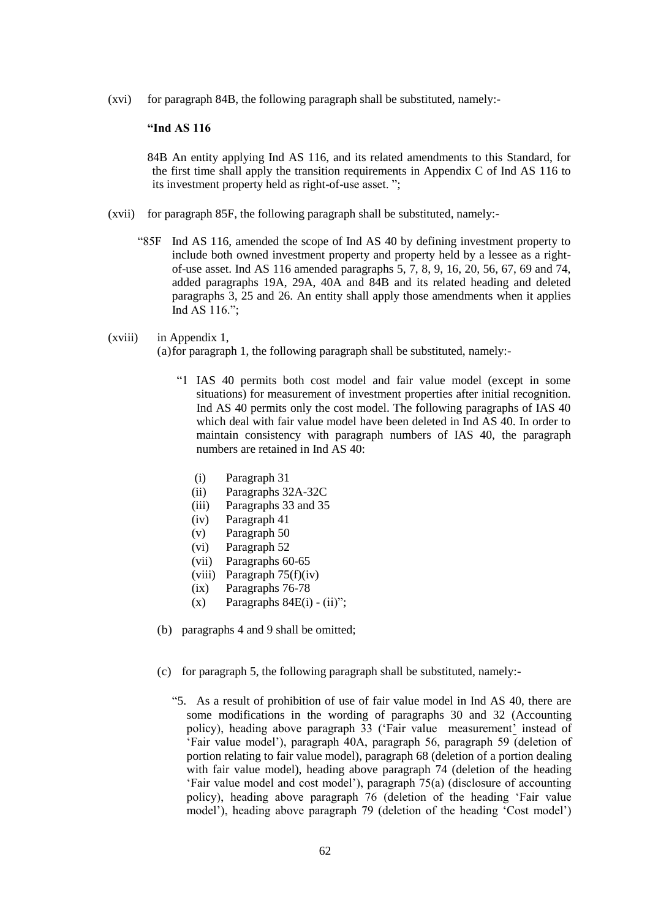(xvi) for paragraph 84B, the following paragraph shall be substituted, namely:-

### **"Ind AS 116**

84B An entity applying Ind AS 116, and its related amendments to this Standard, for the first time shall apply the transition requirements in Appendix C of Ind AS 116 to its investment property held as right-of-use asset. ";

- (xvii) for paragraph 85F, the following paragraph shall be substituted, namely:-
	- "85F Ind AS 116, amended the scope of Ind AS 40 by defining investment property to include both owned investment property and property held by a lessee as a rightof-use asset. Ind AS 116 amended paragraphs 5, 7, 8, 9, 16, 20, 56, 67, 69 and 74, added paragraphs 19A, 29A, 40A and 84B and its related heading and deleted paragraphs 3, 25 and 26. An entity shall apply those amendments when it applies Ind AS 116.";

### (xviii) in Appendix 1,

(a)for paragraph 1, the following paragraph shall be substituted, namely:-

- "1 IAS 40 permits both cost model and fair value model (except in some situations) for measurement of investment properties after initial recognition. Ind AS 40 permits only the cost model. The following paragraphs of IAS 40 which deal with fair value model have been deleted in Ind AS 40. In order to maintain consistency with paragraph numbers of IAS 40, the paragraph numbers are retained in Ind AS 40:
	- (i) Paragraph 31
	- (ii) Paragraphs 32A-32C
	- (iii) Paragraphs 33 and 35
	- (iv) Paragraph 41
	- (v) Paragraph 50
	- (vi) Paragraph 52
	- (vii) Paragraphs 60-65
	- (viii) Paragraph 75(f)(iv)
	- (ix) Paragraphs 76-78
	- $(x)$  Paragraphs 84E(i) (ii)";
- (b) paragraphs 4 and 9 shall be omitted;
- (c) for paragraph 5, the following paragraph shall be substituted, namely:-
	- "5. As a result of prohibition of use of fair value model in Ind AS 40, there are some modifications in the wording of paragraphs 30 and 32 (Accounting policy), heading above paragraph 33 ('Fair value measurement' instead of 'Fair value model'), paragraph 40A, paragraph 56, paragraph 59 (deletion of portion relating to fair value model), paragraph 68 (deletion of a portion dealing with fair value model), heading above paragraph 74 (deletion of the heading 'Fair value model and cost model'), paragraph 75(a) (disclosure of accounting policy), heading above paragraph 76 (deletion of the heading 'Fair value model'), heading above paragraph 79 (deletion of the heading 'Cost model')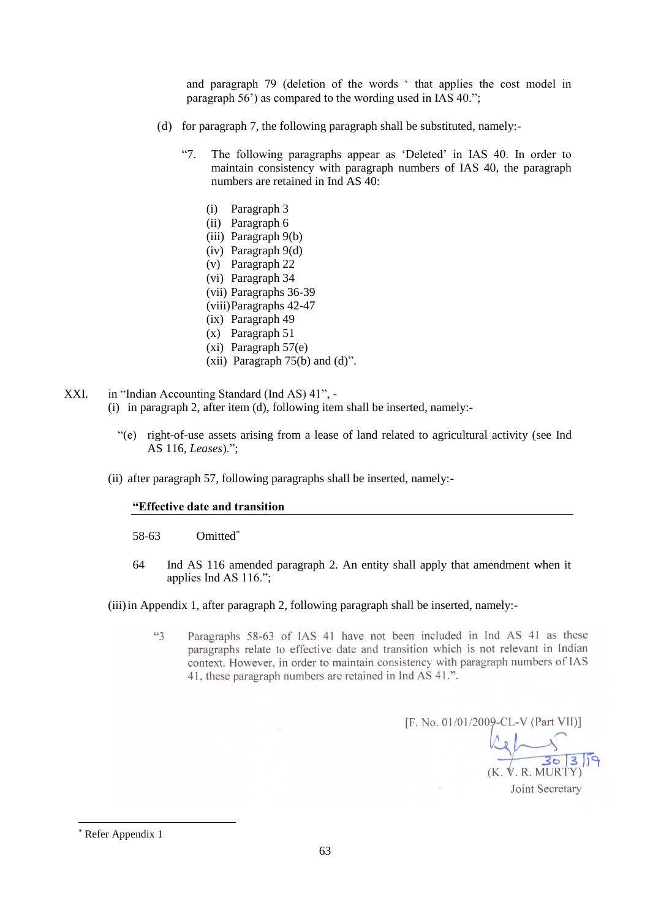and paragraph 79 (deletion of the words ' that applies the cost model in paragraph 56') as compared to the wording used in IAS 40.";

- (d) for paragraph 7, the following paragraph shall be substituted, namely:-
	- "7. The following paragraphs appear as 'Deleted' in IAS 40. In order to maintain consistency with paragraph numbers of IAS 40, the paragraph numbers are retained in Ind AS 40:
		- (i) Paragraph 3
		- (ii) Paragraph 6
		- (iii) Paragraph 9(b)
		- (iv) Paragraph 9(d)
		- (v) Paragraph 22
		- (vi) Paragraph 34
		- (vii) Paragraphs 36-39
		- (viii)Paragraphs 42-47
		- (ix) Paragraph 49
		- (x) Paragraph 51
		- (xi) Paragraph 57(e)
		- (xii) Paragraph 75(b) and (d)".
- XXI. in "Indian Accounting Standard (Ind AS) 41",
	- (i) in paragraph 2, after item (d), following item shall be inserted, namely:-
		- "(e) right-of-use assets arising from a lease of land related to agricultural activity (see Ind AS 116, *Leases*).";
	- (ii) after paragraph 57, following paragraphs shall be inserted, namely:-

#### **"Effective date and transition**

- 58-63 Omitted\*
- 64 Ind AS 116 amended paragraph 2. An entity shall apply that amendment when it applies Ind AS 116.";

(iii)in Appendix 1, after paragraph 2, following paragraph shall be inserted, namely:-

 $663$ Paragraphs 58-63 of IAS 41 have not been included in Ind AS 41 as these paragraphs relate to effective date and transition which is not relevant in Indian context. However, in order to maintain consistency with paragraph numbers of IAS 41, these paragraph numbers are retained in Ind AS 41.".

[F. No. 01/01/2009-CL-V (Part VII)]

 $\frac{36}{36}$ Joint Secretary

<sup>\*</sup> Refer Appendix 1